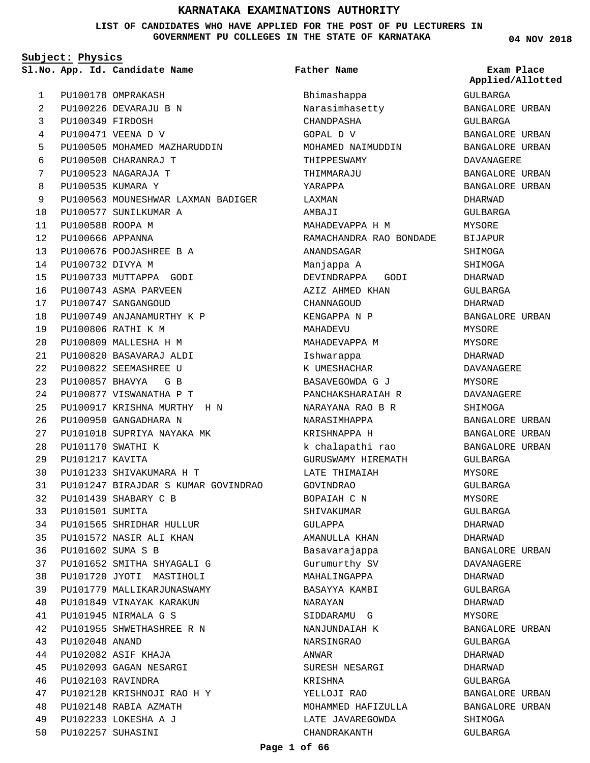**LIST OF CANDIDATES WHO HAVE APPLIED FOR THE POST OF PU LECTURERS IN GOVERNMENT PU COLLEGES IN THE STATE OF KARNATAKA**

**Subject: Physics**

PU100178 OMPRAKASH PU100226 DEVARAJU B N PU100349 FIRDOSH PU100471 VEENA D V PU100505 MOHAMED MAZHARUDDIN PU100508 CHARANRAJ T PU100523 NAGARAJA T PU100535 KUMARA Y PU100563 MOUNESHWAR LAXMAN BADIGER PU100577 SUNILKUMAR A PU100588 ROOPA M PU100666 APPANNA PU100676 POOJASHREE B A PU100732 DIVYA M PU100733 MUTTAPPA GODI PU100743 ASMA PARVEEN PU100747 SANGANGOUD PU100749 ANJANAMURTHY K P PU100806 RATHI K M PU100809 MALLESHA H M PU100820 BASAVARAJ ALDI PU100822 SEEMASHREE U PU100857 BHAVYA G B PU100877 VISWANATHA P T PU100917 KRISHNA MURTHY H N PU100950 GANGADHARA N PU101018 SUPRIYA NAYAKA MK PU101170 SWATHI K PU101217 KAVITA PU101233 SHIVAKUMARA H T PU101247 BIRAJDAR S KUMAR GOVINDRAO PU101439 SHABARY C B PU101501 SUMITA PU101565 SHRIDHAR HULLUR PU101572 NASIR ALI KHAN PU101602 SUMA S B PU101652 SMITHA SHYAGALI G PU101720 JYOTI MASTIHOLI PU101779 MALLIKARJUNASWAMY PU101849 VINAYAK KARAKUN PU101945 NIRMALA G S PU101955 SHWETHASHREE R N PU102048 ANAND PU102082 ASIF KHAJA PU102093 GAGAN NESARGI PU102103 RAVINDRA PU102128 KRISHNOJI RAO H Y PU102148 RABIA AZMATH PU102233 LOKESHA A J PU102257 SUHASINI 1  $\overline{2}$ 3 4 5 6 7 8 9  $1<sub>0</sub>$ 11  $12$ 13 14 15 16 17 18 19  $20$  $21$ 22 23 24  $25$ 26  $27$  $28$  $29$ 30 31 32 33 34 35 36 37 38 39 40 41  $42$ 43 44 45 46 47 48 49 50

**App. Id. Candidate Name Sl.No. Exam Place** Bhimashappa Narasimhasetty CHANDPASHA GOPAL D V MOHAMED NAIMUDDIN THIPPESWAMY THIMMARAJU YARAPPA LAXMAN AMBAJI MAHADEVAPPA H M RAMACHANDRA RAO BONDADE ANANDSAGAR Manjappa A DEVINDRAPPA GODI AZIZ AHMED KHAN **CHANNAGOUD** KENGAPPA N P MAHADEVU MAHADEVAPPA M Ishwarappa K UMESHACHAR BASAVEGOWDA G J PANCHAKSHARAIAH R NARAYANA RAO B R NARASIMHAPPA KRISHNAPPA H k chalapathi rao GURUSWAMY HIREMATH LATE THIMAIAH GOVINDRAO BOPAIAH C N SHIVAKUMAR GULAPPA AMANULLA KHAN Basavarajappa Gurumurthy SV MAHALINGAPPA BASAYYA KAMBI NARAYAN SIDDARAMU G NANJUNDAIAH K NARSINGRAO ANWAR SURESH NESARGI KRISHNA YELLOJI RAO MOHAMMED HAFIZULLA LATE JAVAREGOWDA CHANDRAKANTH **Father Name**

**04 NOV 2018**

GULBARGA BANGALORE URBAN GULBARGA BANGALORE URBAN BANGALORE URBAN DAVANAGERE BANGALORE URBAN BANGALORE URBAN DHARWAD GULBARGA MYSORE BIJAPUR SHIMOGA SHIMOGA DHARWAD GULBARGA DHARWAD BANGALORE URBAN MYSORE MYSORE DHARWAD DAVANAGERE MYSORE DAVANAGERE SHIMOGA BANGALORE URBAN BANGALORE URBAN BANGALORE URBAN GULBARGA MYSORE GULBARGA MYSORE GULBARGA DHARWAD DHARWAD BANGALORE URBAN DAVANAGERE DHARWAD GULBARGA DHARWAD MYSORE BANGALORE URBAN GULBARGA DHARWAD DHARWAD GULBARGA BANGALORE URBAN BANGALORE URBAN SHIMOGA GULBARGA **Applied/Allotted**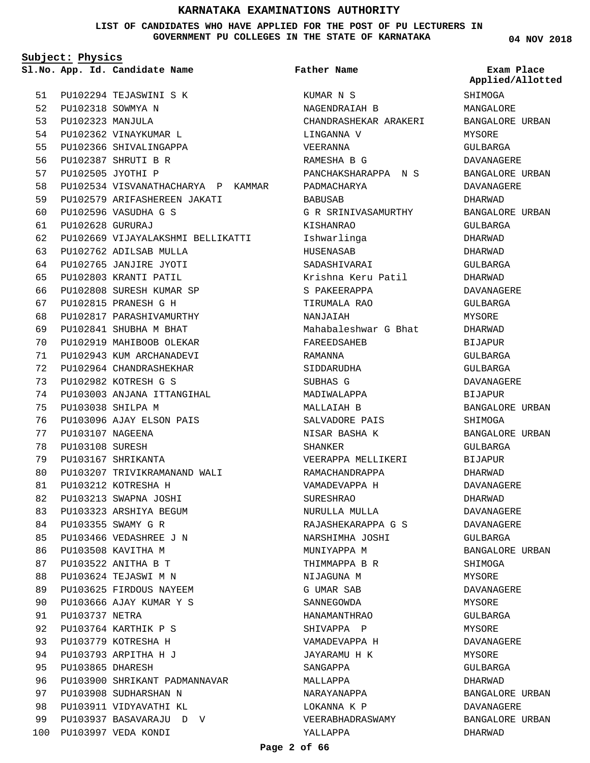**LIST OF CANDIDATES WHO HAVE APPLIED FOR THE POST OF PU LECTURERS IN GOVERNMENT PU COLLEGES IN THE STATE OF KARNATAKA**

**Father Name**

**Subject: Physics**

**App. Id. Candidate Name Sl.No. Exam Place**

PU102294 TEJASWINI S K PU102318 SOWMYA N 52 PU102323 MANJULA 53 PU102362 VINAYKUMAR L PU102366 SHIVALINGAPPA PU102387 SHRUTI B R PU102505 JYOTHI P PU102534 VISVANATHACHARYA P KAMMAR PU102579 ARIFASHEREEN JAKATI PU102596 VASUDHA G S PU102628 GURURAJ PU102669 VIJAYALAKSHMI BELLIKATTI PU102762 ADILSAB MULLA PU102765 JANJIRE JYOTI PU102803 KRANTI PATIL PU102808 SURESH KUMAR SP PU102815 PRANESH G H PU102817 PARASHIVAMURTHY PU102841 SHUBHA M BHAT PU102919 MAHIBOOB OLEKAR PU102943 KUM ARCHANADEVI PU102964 CHANDRASHEKHAR PU102982 KOTRESH G S PU103003 ANJANA ITTANGIHAL PU103038 SHILPA M PU103096 AJAY ELSON PAIS PU103107 NAGEENA PU103108 SURESH PU103167 SHRIKANTA PU103207 TRIVIKRAMANAND WALI PU103212 KOTRESHA H PU103213 SWAPNA JOSHI PU103323 ARSHIYA BEGUM PU103355 SWAMY G R PU103466 VEDASHREE J N PU103508 KAVITHA M PU103522 ANITHA B T PU103624 TEJASWI M N PU103625 FIRDOUS NAYEEM PU103666 AJAY KUMAR Y S PU103737 NETRA PU103764 KARTHIK P S PU103779 KOTRESHA H PU103793 ARPITHA H J PU103865 DHARESH PU103900 SHRIKANT PADMANNAVAR PU103908 SUDHARSHAN N PU103911 VIDYAVATHI KL PU103937 BASAVARAJU D V PU103997 VEDA KONDI 100 51 54 55 56 57 58 59  $60$ 61 62 63 64 65 66 67  $68$ 69  $70$ 71 72 73 74 75 76 77 78 79 80 81 82 83 84 85  $86$ 87 **88** 89 90 91  $92$ 93 94  $95$ 96 97 98 99

KUMAR N S NAGENDRAIAH B CHANDRASHEKAR ARAKERI LINGANNA V VEERANNA RAMESHA B G PANCHAKSHARAPPA N S PADMACHARYA **BABUSAB** G R SRINIVASAMURTHY KISHANRAO Ishwarlinga HUSENASAB SADASHIVARAI Krishna Keru Patil S PAKEERAPPA TIRUMALA RAO NANJAIAH Mahabaleshwar G Bhat FAREEDSAHEB RAMANNA SIDDARUDHA SUBHAS G MADIWALAPPA MALLAIAH B SALVADORE PAIS NISAR BASHA K SHANKER VEERAPPA MELLIKERI RAMACHANDRAPPA VAMADEVAPPA H SURESHRAO NURULLA MULLA RAJASHEKARAPPA G S NARSHIMHA JOSHI MUNIYAPPA M THIMMAPPA B R NIJAGUNA M G UMAR SAB SANNEGOWDA HANAMANTHRAO SHIVAPPA P VAMADEVAPPA H JAYARAMU H K SANGAPPA MALLAPPA NARAYANAPPA LOKANNA K P VEERABHADRASWAMY YALLAPPA

**04 NOV 2018**

**Applied/Allotted**

# **SHIMOGA** MANGALORE BANGALORE URBAN MYSORE GULBARGA DAVANAGERE BANGALORE URBAN DAVANAGERE DHARWAD BANGALORE URBAN GULBARGA DHARWAD DHARWAD GULBARGA DHARWAD DAVANAGERE GULBARGA **MYSORE** DHARWAD BIJAPUR GULBARGA GULBARGA DAVANAGERE BIJAPUR BANGALORE URBAN SHIMOGA BANGALORE URBAN GULBARGA BIJAPUR DHARWAD DAVANAGERE DHARWAD DAVANAGERE DAVANAGERE GULBARGA BANGALORE URBAN SHIMOGA MYSORE DAVANAGERE MYSORE GULBARGA MYSORE DAVANAGERE MYSORE GULBARGA DHARWAD BANGALORE URBAN DAVANAGERE BANGALORE URBAN DHARWAD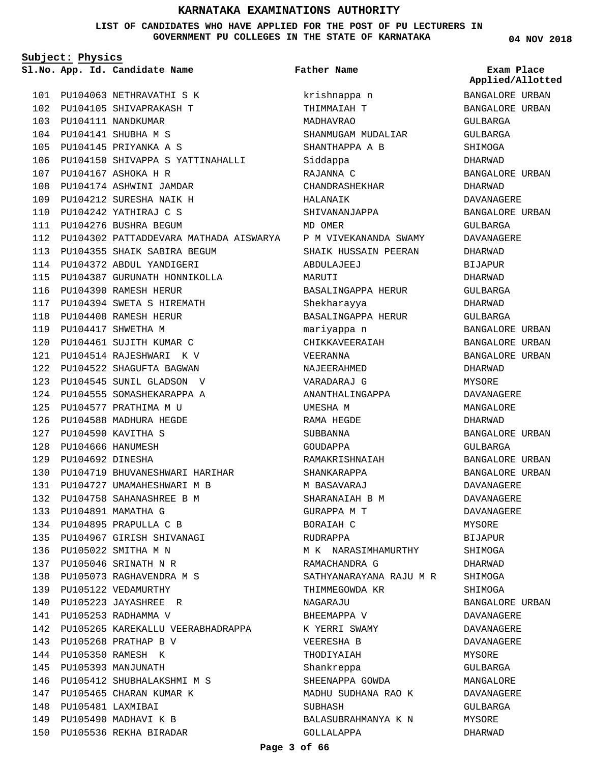**LIST OF CANDIDATES WHO HAVE APPLIED FOR THE POST OF PU LECTURERS IN GOVERNMENT PU COLLEGES IN THE STATE OF KARNATAKA**

> krishnappa n THIMMAIAH T MADHAVRAO

**Father Name**

SHANMUGAM MUDALIAR

**Subject: Physics**

**App. Id. Candidate Name Sl.No. Exam Place**

101 PU104063 NETHRAVATHI S K PU104105 SHIVAPRAKASH T 102 PU104111 NANDKUMAR 103 PU104141 SHUBHA M S 104 PU104145 PRIYANKA A S 105 106 PU104150 SHIVAPPA S YATTINAHALLI PU104167 ASHOKA H R 107 PU104174 ASHWINI JAMDAR 108 PU104212 SURESHA NAIK H 109 PU104242 YATHIRAJ C S 110 111 PU104276 BUSHRA BEGUM 112 PU104302 PATTADDEVARA MATHADA AISWARYA PU104355 SHAIK SABIRA BEGUM 113 PU104372 ABDUL YANDIGERI 114 PU104387 GURUNATH HONNIKOLLA 115 PU104390 RAMESH HERUR 116 PU104394 SWETA S HIREMATH 117 PU104408 RAMESH HERUR 118 PU104417 SHWETHA M 119 PU104461 SUJITH KUMAR C 120 PU104514 RAJESHWARI K V 121 PU104522 SHAGUFTA BAGWAN 122 PU104545 SUNIL GLADSON V 123 PU104555 SOMASHEKARAPPA A 124 PU104577 PRATHIMA M U 125 PU104588 MADHURA HEGDE 126 PU104590 KAVITHA S 127 PU104666 HANUMESH 128 PU104692 DINESHA 129 PU104719 BHUVANESHWARI HARIHAR 130 PU104727 UMAMAHESHWARI M B 131 PU104758 SAHANASHREE B M 132 PU104891 MAMATHA G 133 PU104895 PRAPULLA C B 134 PU104967 GIRISH SHIVANAGI 135 PU105022 SMITHA M N 136 PU105046 SRINATH N R 137 PU105073 RAGHAVENDRA M S 138 139 PU105122 VEDAMURTHY PU105223 JAYASHREE R 140 141 PU105253 RADHAMMA V 142 PU105265 KAREKALLU VEERABHADRAPPA 143 PU105268 PRATHAP B V PU105350 RAMESH K 144 PU105393 MANJUNATH 145 PU105412 SHUBHALAKSHMI M S 146 147 PU105465 CHARAN KUMAR K PU105481 LAXMIBAI 148 149 PU105490 MADHAVI K B 150 PU105536 REKHA BIRADAR

SHANTHAPPA A B Siddappa RAJANNA C CHANDRASHEKHAR HALANAIK SHIVANANJAPPA MD OMER P M VIVEKANANDA SWAMY SHAIK HUSSAIN PEERAN ABDULAJEEJ MARUTI BASALINGAPPA HERUR Shekharayya BASALINGAPPA HERUR mariyappa n CHIKKAVEERAIAH VEERANNA NAJEERAHMED VARADARAJ G ANANTHALINGAPPA UMESHA M RAMA HEGDE SUBBANNA GOUDAPPA RAMAKRISHNAIAH SHANKARAPPA M BASAVARAJ SHARANAIAH B M GURAPPA M T BORAIAH C RUDRAPPA M K NARASIMHAMURTHY RAMACHANDRA G SATHYANARAYANA RAJU M R THIMMEGOWDA KR NAGARAJU BHEEMAPPA V K YERRI SWAMY VEERESHA B THODIYAIAH Shankreppa SHEENAPPA GOWDA MADHU SUDHANA RAO K SUBHASH BALASUBRAHMANYA K N GOLLALAPPA

**04 NOV 2018**

BANGALORE URBAN BANGALORE URBAN GULBARGA GULBARGA SHIMOGA DHARWAD BANGALORE URBAN DHARWAD DAVANAGERE BANGALORE URBAN GULBARGA DAVANAGERE DHARWAD BIJAPUR DHARWAD GULBARGA DHARWAD GULBARGA BANGALORE URBAN BANGALORE URBAN BANGALORE URBAN DHARWAD MYSORE DAVANAGERE MANGALORE DHARWAD BANGALORE URBAN GULBARGA BANGALORE URBAN BANGALORE URBAN DAVANAGERE DAVANAGERE DAVANAGERE MYSORE BIJAPUR **SHIMOGA** DHARWAD SHIMOGA SHIMOGA BANGALORE URBAN DAVANAGERE DAVANAGERE DAVANAGERE MYSORE GULBARGA MANGALORE DAVANAGERE GULBARGA MYSORE DHARWAD **Applied/Allotted**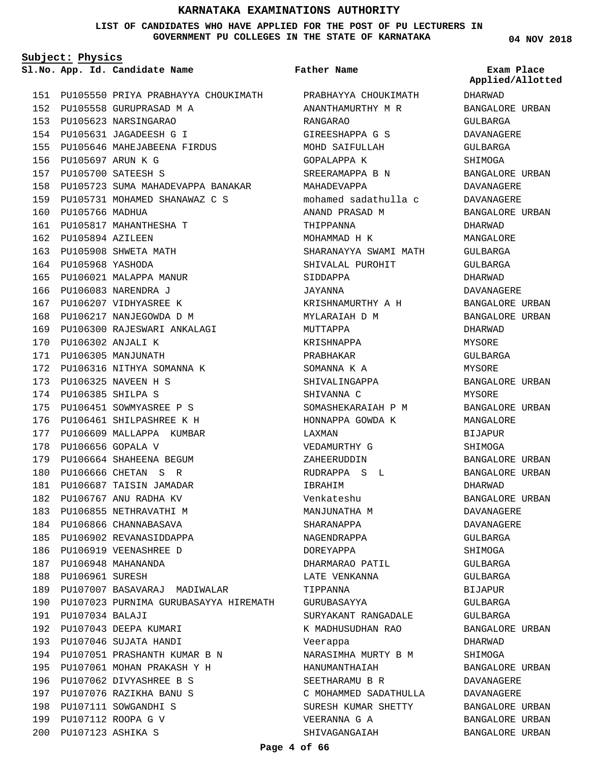**LIST OF CANDIDATES WHO HAVE APPLIED FOR THE POST OF PU LECTURERS IN GOVERNMENT PU COLLEGES IN THE STATE OF KARNATAKA**

**Subject: Physics**

**App. Id. Candidate Name Sl.No. Exam Place**

PU105550 PRIYA PRABHAYYA CHOUKIMATH PRABHAYYA CHOUKIMATH 151 PU105558 GURUPRASAD M A 152 PU105623 NARSINGARAO 153 PU105631 JAGADEESH G I 154 PU105646 MAHEJABEENA FIRDUS 155 PU105697 ARUN K G 156 PU105700 SATEESH S 157 158 PU105723 SUMA MAHADEVAPPA BANAKAR PU105731 MOHAMED SHANAWAZ C S 159 160 PU105766 MADHUA 161 PU105817 MAHANTHESHA T 162 PU105894 AZILEEN PU105908 SHWETA MATH 163 PU105968 YASHODA 164 165 PU106021 MALAPPA MANUR PU106083 NARENDRA J 166 167 PU106207 VIDHYASREE K PU106217 NANJEGOWDA D M 168 PU106300 RAJESWARI ANKALAGI 169 PU106302 ANJALI K 170 PU106305 MANJUNATH 171 172 PU106316 NITHYA SOMANNA K PU106325 NAVEEN H S 173 PU106385 SHILPA S 174 175 PU106451 SOWMYASREE P S PU106461 SHILPASHREE K H 176 177 PU106609 MALLAPPA KUMBAR 178 PU106656 GOPALA V PU106664 SHAHEENA BEGUM 179 PU106666 CHETAN S R 180 181 PU106687 TAISIN JAMADAR 182 PU106767 ANU RADHA KV 183 PU106855 NETHRAVATHI M 184 PU106866 CHANNABASAVA 185 PU106902 REVANASIDDAPPA 186 PU106919 VEENASHREE D PU106948 MAHANANDA 187 188 PU106961 SURESH 189 PU107007 BASAVARAJ MADIWALAR 190 PU107023 PURNIMA GURUBASAYYA HIREMATH PU107034 BALAJI 191 192 PU107043 DEEPA KUMARI PU107046 SUJATA HANDI 193 PU107051 PRASHANTH KUMAR B N 194 PU107061 MOHAN PRAKASH Y H 195 196 PU107062 DIVYASHREE B S PU107076 RAZIKHA BANU S 197 198 PU107111 SOWGANDHI S PU107112 ROOPA G V 199 PU107123 ASHIKA S 200

### **Father Name**

ANANTHAMURTHY M R RANGARAO GIREESHAPPA G S MOHD SAIFULLAH GOPALAPPA K SREERAMAPPA B N MAHADEVAPPA mohamed sadathulla c ANAND PRASAD M THIPPANNA MOHAMMAD H K SHARANAYYA SWAMI MATH SHIVALAL PUROHIT SIDDAPPA JAYANNA KRISHNAMURTHY A H MYLARAIAH D M MUTTAPPA KRISHNAPPA PRABHAKAR SOMANNA K A SHIVALINGAPPA SHIVANNA C SOMASHEKARAIAH P M HONNAPPA GOWDA K LAXMAN VEDAMURTHY G ZAHEERUDDIN RUDRAPPA S L IBRAHIM Venkateshu MANJUNATHA M SHARANAPPA NAGENDRAPPA DOREYAPPA DHARMARAO PATIL LATE VENKANNA TIPPANNA GURUBASAYYA SURYAKANT RANGADALE K MADHUSUDHAN RAO Veerappa NARASIMHA MURTY B M HANUMANTHAIAH SEETHARAMU B R C MOHAMMED SADATHULLA SURESH KUMAR SHETTY VEERANNA G A SHIVAGANGAIAH

**04 NOV 2018**

DHARWAD BANGALORE URBAN GULBARGA DAVANAGERE GULBARGA SHIMOGA BANGALORE URBAN DAVANAGERE DAVANAGERE BANGALORE URBAN DHARWAD MANGALORE GULBARGA GULBARGA DHARWAD DAVANAGERE BANGALORE URBAN BANGALORE URBAN DHARWAD MYSORE GULBARGA MYSORE BANGALORE URBAN MYSORE BANGALORE URBAN MANGALORE **BIJAPUR** SHIMOGA BANGALORE URBAN BANGALORE URBAN DHARWAD BANGALORE URBAN DAVANAGERE DAVANAGERE GULBARGA **SHIMOGA** GULBARGA GULBARGA BIJAPUR GULBARGA GULBARGA BANGALORE URBAN DHARWAD SHIMOGA BANGALORE URBAN DAVANAGERE DAVANAGERE BANGALORE URBAN BANGALORE URBAN BANGALORE URBAN **Applied/Allotted**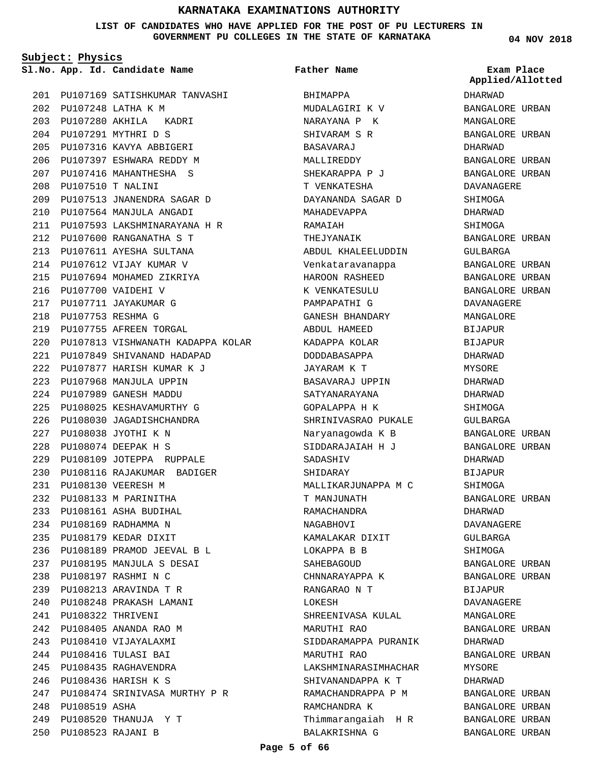**LIST OF CANDIDATES WHO HAVE APPLIED FOR THE POST OF PU LECTURERS IN GOVERNMENT PU COLLEGES IN THE STATE OF KARNATAKA**

**Subject: Physics**

**App. Id. Candidate Name Sl.No. Exam Place**

PU107169 SATISHKUMAR TANVASHI 201 PU107248 LATHA K M 202 PU107280 AKHILA KADRI 203 PU107291 MYTHRI D S 204 PU107316 KAVYA ABBIGERI 205 PU107397 ESHWARA REDDY M 206 PU107416 MAHANTHESHA S 207 PU107510 T NALINI 208 PU107513 JNANENDRA SAGAR D 209 PU107564 MANJULA ANGADI 210 PU107593 LAKSHMINARAYANA H R 211 PU107600 RANGANATHA S T 212 PU107611 AYESHA SULTANA 213 214 PU107612 VIJAY KUMAR V PU107694 MOHAMED ZIKRIYA 215 PU107700 VAIDEHI V 216 PU107711 JAYAKUMAR G 217 PU107753 RESHMA G 218 219 PU107755 AFREEN TORGAL PU107813 VISHWANATH KADAPPA KOLAR 220 PU107849 SHIVANAND HADAPAD 221 PU107877 HARISH KUMAR K J 222 PU107968 MANJULA UPPIN 223 PU107989 GANESH MADDU 224 PU108025 KESHAVAMURTHY G 225 PU108030 JAGADISHCHANDRA 226 PU108038 JYOTHI K N 227 PU108074 DEEPAK H S 228 PU108109 JOTEPPA RUPPALE 229 PU108116 RAJAKUMAR BADIGER 230 PU108130 VEERESH M 231 PU108133 M PARINITHA 232 PU108161 ASHA BUDIHAL 233 PU108169 RADHAMMA N 234 PU108179 KEDAR DIXIT 235 PU108189 PRAMOD JEEVAL B L 236 PU108195 MANJULA S DESAI 237 PU108197 RASHMI N C 238 PU108213 ARAVINDA T R 239 PU108248 PRAKASH LAMANI 240 PU108322 THRIVENI 241 PU108405 ANANDA RAO M 242 PU108410 VIJAYALAXMI 243 PU108416 TULASI BAI 244 245 PU108435 RAGHAVENDRA PU108436 HARISH K S 246 PU108474 SRINIVASA MURTHY P R 247 248 PU108519 ASHA PU108520 THANUJA Y T 249 PU108523 RAJANI B 250

BHIMAPPA MUDALAGIRI K V NARAYANA P K SHIVARAM S R BASAVARAJ MALLIREDDY SHEKARAPPA P J T VENKATESHA DAYANANDA SAGAR D MAHADEVAPPA RAMAIAH THEJYANAIK ABDUL KHALEELUDDIN Venkataravanappa HAROON RASHEED K VENKATESULU PAMPAPATHI G GANESH BHANDARY ABDUL HAMEED KADAPPA KOLAR DODDABASAPPA JAYARAM K T BASAVARAJ UPPIN SATYANARAYANA GOPALAPPA H K SHRINIVASRAO PUKALE Naryanagowda K B SIDDARAJAIAH H J SADASHIV SHIDARAY MALLIKARJUNAPPA M C T MANJUNATH RAMACHANDRA NAGABHOVI KAMALAKAR DIXIT LOKAPPA B B SAHEBAGOUD CHNNARAYAPPA K RANGARAO N T LOKESH SHREENIVASA KULAL MARUTHI RAO SIDDARAMAPPA PURANIK MARUTHI RAO LAKSHMINARASIMHACHAR SHIVANANDAPPA K T RAMACHANDRAPPA P M RAMCHANDRA K Thimmarangaiah H R BALAKRISHNA G **Father Name**

**04 NOV 2018**

DHARWAD BANGALORE URBAN MANGALORE BANGALORE URBAN DHARWAD BANGALORE URBAN BANGALORE URBAN DAVANAGERE **SHIMOGA** DHARWAD SHIMOGA BANGALORE URBAN GULBARGA BANGALORE URBAN BANGALORE URBAN BANGALORE URBAN DAVANAGERE MANGALORE **BIJAPUR** BIJAPUR DHARWAD MYSORE DHARWAD DHARWAD SHIMOGA GULBARGA BANGALORE URBAN BANGALORE URBAN DHARWAD BIJAPUR SHIMOGA BANGALORE URBAN DHARWAD DAVANAGERE GULBARGA **SHIMOGA** BANGALORE URBAN BANGALORE URBAN BIJAPUR DAVANAGERE MANGALORE BANGALORE URBAN DHARWAD BANGALORE URBAN MYSORE DHARWAD BANGALORE URBAN BANGALORE URBAN BANGALORE URBAN BANGALORE URBAN **Applied/Allotted**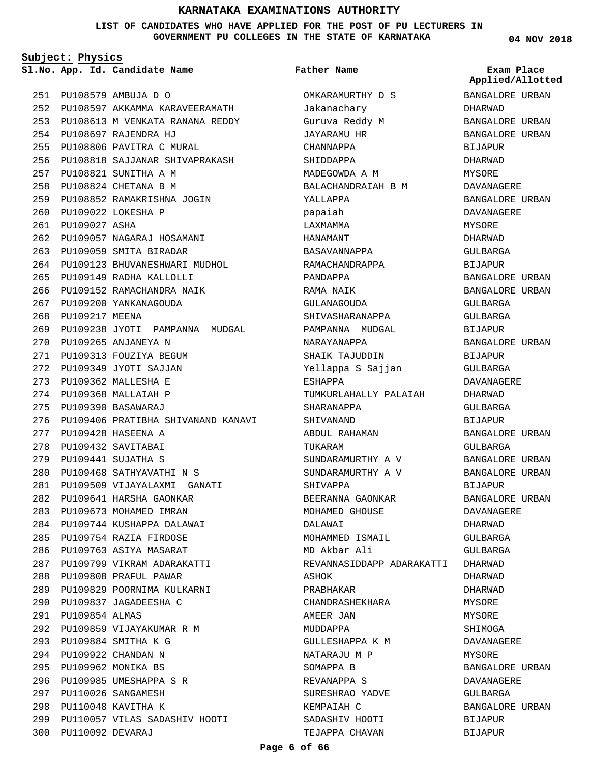**LIST OF CANDIDATES WHO HAVE APPLIED FOR THE POST OF PU LECTURERS IN GOVERNMENT PU COLLEGES IN THE STATE OF KARNATAKA**

**Subject: Physics**

**App. Id. Candidate Name Sl.No. Exam Place**

PU108579 AMBUJA D O 251 PU108597 AKKAMMA KARAVEERAMATH 252 253 PU108613 M VENKATA RANANA REDDY PU108697 RAJENDRA HJ 254 PU108806 PAVITRA C MURAL 255 PU108818 SAJJANAR SHIVAPRAKASH 256 PU108821 SUNITHA A M 257 PU108824 CHETANA B M 258 PU108852 RAMAKRISHNA JOGIN 259 PU109022 LOKESHA P 260 261 PU109027 ASHA PU109057 NAGARAJ HOSAMANI 262 263 PU109059 SMITA BIRADAR 264 PU109123 BHUVANESHWARI MUDHOL PU109149 RADHA KALLOLLI 265 266 PU109152 RAMACHANDRA NAIK 267 PU109200 YANKANAGOUDA 268 PU109217 MEENA 269 PU109238 JYOTI PAMPANNA MUDGAL PU109265 ANJANEYA N 270 271 PU109313 FOUZIYA BEGUM PU109349 JYOTI SAJJAN 272 PU109362 MALLESHA E 273 PU109368 MALLAIAH P 274 PU109390 BASAWARAJ 275 276 PU109406 PRATIBHA SHIVANAND KANAVI PU109428 HASEENA A 277 PU109432 SAVITABAI 278 PU109441 SUJATHA S 279 PU109468 SATHYAVATHI N S 280 PU109509 VIJAYALAXMI GANATI 281 PU109641 HARSHA GAONKAR 282 283 PU109673 MOHAMED IMRAN PU109744 KUSHAPPA DALAWAI 284 PU109754 RAZIA FIRDOSE 285 286 PU109763 ASIYA MASARAT PU109799 VIKRAM ADARAKATTI 287 PU109808 PRAFUL PAWAR 288 PU109829 POORNIMA KULKARNI 289 PU109837 JAGADEESHA C 290 PU109854 ALMAS 291 PU109859 VIJAYAKUMAR R M 292 PU109884 SMITHA K G 293 PU109922 CHANDAN N 294 PU109962 MONIKA BS 295 PU109985 UMESHAPPA S R 296 PU110026 SANGAMESH 297 PU110048 KAVITHA K 298 PU110057 VILAS SADASHIV HOOTI 299 PU110092 DEVARAJ 300

### **Father Name**

OMKARAMURTHY D S Jakanachary Guruva Reddy M JAYARAMU HR CHANNAPPA SHIDDAPPA MADEGOWDA A M BALACHANDRAIAH B M YALLAPPA papaiah LAXMAMMA HANAMANT BASAVANNAPPA RAMACHANDRAPPA PANDAPPA RAMA NAIK GULANAGOUDA SHIVASHARANAPPA PAMPANNA MUDGAL NARAYANAPPA SHAIK TAJUDDIN Yellappa S Sajjan ESHAPPA TUMKURLAHALLY PALAIAH SHARANAPPA SHIVANAND ABDUL RAHAMAN TUKARAM SUNDARAMURTHY A V SUNDARAMURTHY A V SHIVAPPA BEERANNA GAONKAR MOHAMED GHOUSE DALAWAI MOHAMMED ISMAIL MD Akbar Ali REVANNASIDDAPP ADARAKATTI DHARWAD ASHOK PRABHAKAR CHANDRASHEKHARA AMEER JAN MUDDAPPA GULLESHAPPA K M NATARAJU M P SOMAPPA B REVANAPPA S SURESHRAO YADVE KEMPAIAH C SADASHIV HOOTI TEJAPPA CHAVAN

**04 NOV 2018**

BANGALORE URBAN

**Applied/Allotted**

DHARWAD BANGALORE URBAN BANGALORE URBAN BIJAPUR DHARWAD MYSORE DAVANAGERE BANGALORE URBAN DAVANAGERE MYSORE DHARWAD GULBARGA BIJAPUR BANGALORE URBAN BANGALORE URBAN GULBARGA GULBARGA BIJAPUR BANGALORE URBAN BIJAPUR GULBARGA DAVANAGERE DHARWAD GULBARGA BIJAPUR BANGALORE URBAN GULBARGA BANGALORE URBAN BANGALORE URBAN BIJAPUR BANGALORE URBAN DAVANAGERE DHARWAD GULBARGA GULBARGA DHARWAD DHARWAD MYSORE MYSORE SHIMOGA DAVANAGERE **MYSORE** BANGALORE URBAN DAVANAGERE GULBARGA BANGALORE URBAN BIJAPUR BIJAPUR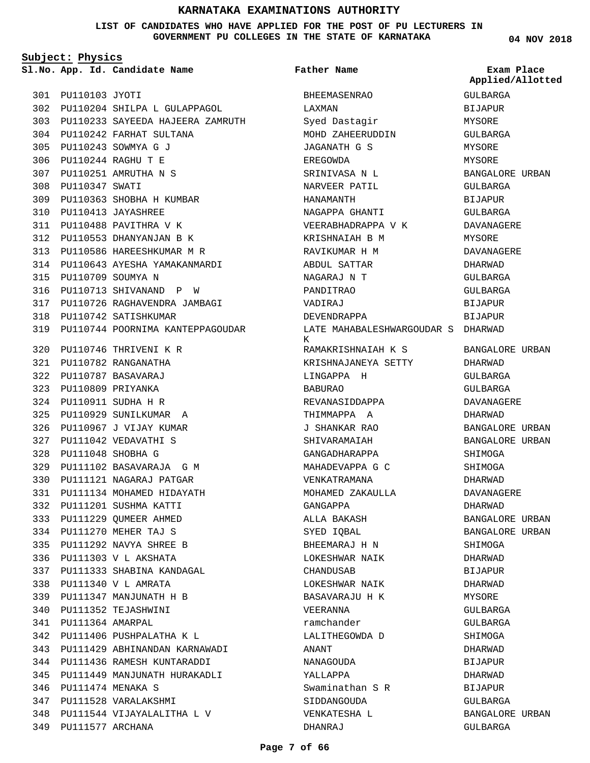**LIST OF CANDIDATES WHO HAVE APPLIED FOR THE POST OF PU LECTURERS IN GOVERNMENT PU COLLEGES IN THE STATE OF KARNATAKA**

 $\boldsymbol{\kappa}$ 

**Subject: Physics**

PU110103 JYOTI 301

308 PU110347 SWATI

**App. Id. Candidate Name Sl.No. Exam Place**

PU110242 FARHAT SULTANA 304 PU110243 SOWMYA G J 305 PU110244 RAGHU T E 306 PU110251 AMRUTHA N S 307

PU110204 SHILPA L GULAPPAGOL 302 PU110233 SAYEEDA HAJEERA ZAMRUTH 303 **Father Name**

BHEEMASENRAO

**04 NOV 2018** GULBARGA **BIJAPUR** MYSORE GULBARGA MYSORE MYSORE BANGALORE URBAN GULBARGA BIJAPUR GULBARGA DAVANAGERE MYSORE DAVANAGERE DHARWAD GULBARGA GULBARGA BIJAPUR BIJAPUR BANGALORE URBAN DHARWAD GULBARGA GULBARGA DAVANAGERE **Applied/Allotted**

PU110363 SHOBHA H KUMBAR 309 PU110413 JAYASHREE 310 PU110488 PAVITHRA V K 311 PU110553 DHANYANJAN B K 312 PU110586 HAREESHKUMAR M R 313 PU110643 AYESHA YAMAKANMARDI 314 PU110709 SOUMYA N 315 316 PU110713 SHIVANAND P W PU110726 RAGHAVENDRA JAMBAGI 317 PU110742 SATISHKUMAR 318 319 PU110744 POORNIMA KANTEPPAGOUDAR PU110746 THRIVENI K R 320 PU110782 RANGANATHA 321 PU110787 BASAVARAJ 322 PU110809 PRIYANKA 323 PU110911 SUDHA H R 324 PU110929 SUNILKUMAR A 325 PU110967 J VIJAY KUMAR 326 PU111042 VEDAVATHI S 327 PU111048 SHOBHA G 328 PU111102 BASAVARAJA G M 329 PU111121 NAGARAJ PATGAR 330 PU111134 MOHAMED HIDAYATH 331 PU111201 SUSHMA KATTI 332 PU111229 QUMEER AHMED 333 PU111270 MEHER TAJ S 334 PU111292 NAVYA SHREE B 335 PU111303 V L AKSHATA 336 PU111333 SHABINA KANDAGAL 337 PU111340 V L AMRATA 338 PU111347 MANJUNATH H B 339 PU111352 TEJASHWINI 340 PU111364 AMARPAL 341 PU111406 PUSHPALATHA K L 342 PU111429 ABHINANDAN KARNAWADI 343 PU111436 RAMESH KUNTARADDI 344 PU111449 MANJUNATH HURAKADLI 345 PU111474 MENAKA S 346 PU111528 VARALAKSHMI 347 PU111544 VIJAYALALITHA L V 348 PU111577 ARCHANA 349

LAXMAN Syed Dastagir MOHD ZAHEERUDDIN JAGANATH G S EREGOWDA SRINIVASA N L NARVEER PATIL HANAMANTH NAGAPPA GHANTI VEERABHADRAPPA V K KRISHNAIAH B M RAVIKUMAR H M ABDUL SATTAR NAGARAJ N T PANDITRAO VADIRAJ DEVENDRAPPA LATE MAHABALESHWARGOUDAR S DHARWAD RAMAKRISHNAIAH K S KRISHNAJANEYA SETTY LINGAPPA H BABURAO REVANASIDDAPPA THIMMAPPA A J SHANKAR RAO SHIVARAMAIAH GANGADHARAPPA MAHADEVAPPA G C VENKATRAMANA MOHAMED ZAKAULLA GANGAPPA ALLA BAKASH SYED IQBAL BHEEMARAJ H N LOKESHWAR NAIK CHANDUSAB LOKESHWAR NAIK BASAVARAJU H K VEERANNA ramchander LALITHEGOWDA D ANANT NANAGOUDA YALLAPPA Swaminathan S R SIDDANGOUDA VENKATESHA L DHANRAJ DHARWAD BANGALORE URBAN BANGALORE URBAN SHIMOGA SHIMOGA DHARWAD DAVANAGERE DHARWAD BANGALORE URBAN BANGALORE URBAN SHIMOGA DHARWAD BIJAPUR DHARWAD MYSORE GULBARGA GULBARGA SHIMOGA DHARWAD **BIJAPUR** DHARWAD BIJAPUR GULBARGA BANGALORE URBAN GULBARGA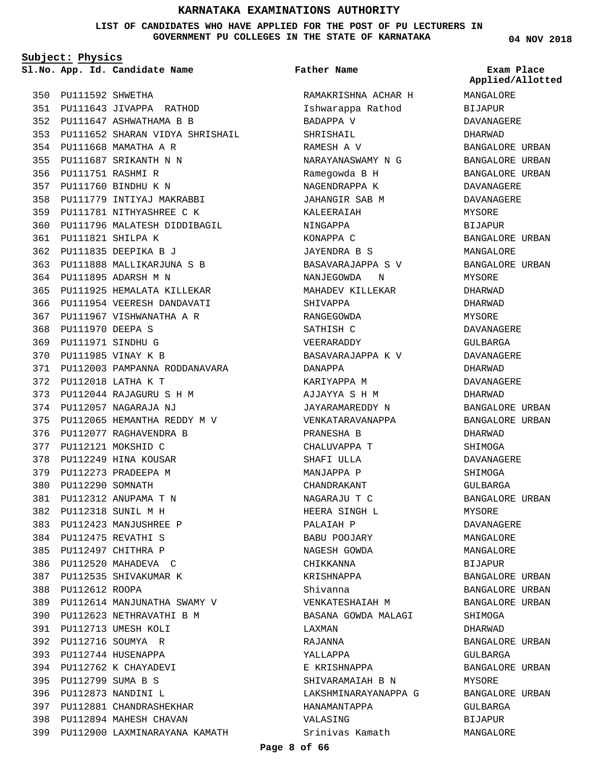**LIST OF CANDIDATES WHO HAVE APPLIED FOR THE POST OF PU LECTURERS IN GOVERNMENT PU COLLEGES IN THE STATE OF KARNATAKA**

**Subject: Physics**

**App. Id. Candidate Name Sl.No. Exam Place**

PU111592 SHWETHA 350 PU111643 JIVAPPA RATHOD 351 PU111647 ASHWATHAMA B B 352 353 PU111652 SHARAN VIDYA SHRISHAIL PU111668 MAMATHA A R 354 PU111687 SRIKANTH N N 355 PU111751 RASHMI R 356 PU111760 BINDHU K N 357 358 PU111779 INTIYAJ MAKRABBI PU111781 NITHYASHREE C K 359 PU111796 MALATESH DIDDIBAGIL 360 PU111821 SHILPA K 361 PU111835 DEEPIKA B J 362 PU111888 MALLIKARJUNA S B 363 PU111895 ADARSH M N 364 PU111925 HEMALATA KILLEKAR 365 366 PU111954 VEERESH DANDAVATI PU111967 VISHWANATHA A R 367 PU111970 DEEPA S 368 PU111971 SINDHU G 369 PU111985 VINAY K B 370 PU112003 PAMPANNA RODDANAVARA 371 PU112018 LATHA K T 372 PU112044 RAJAGURU S H M 373 PU112057 NAGARAJA NJ 374 PU112065 HEMANTHA REDDY M V 375 376 PU112077 RAGHAVENDRA B PU112121 MOKSHID C 377 PU112249 HINA KOUSAR 378 PU112273 PRADEEPA M 379 PU112290 SOMNATH 380 PU112312 ANUPAMA T N 381 PU112318 SUNIL M H 382 PU112423 MANJUSHREE P 383 PU112475 REVATHI S 384 PU112497 CHITHRA P 385 PU112520 MAHADEVA C 386 387 PU112535 SHIVAKUMAR K 388 PU112612 ROOPA PU112614 MANJUNATHA SWAMY V 389 PU112623 NETHRAVATHI B M 390 PU112713 UMESH KOLI 391 PU112716 SOUMYA R 392 PU112744 HUSENAPPA 393 PU112762 K CHAYADEVI 394 PU112799 SUMA B S 395 PU112873 NANDINI L 396 PU112881 CHANDRASHEKHAR 397 398 PU112894 MAHESH CHAVAN 399 PU112900 LAXMINARAYANA KAMATH

**Father Name**

RAMAKRISHNA ACHAR H Ishwarappa Rathod BADAPPA V SHRISHAIL RAMESH A V NARAYANASWAMY N G Ramegowda B H NAGENDRAPPA K JAHANGIR SAB M KALEERAIAH NINGAPPA KONAPPA C JAYENDRA B S BASAVARAJAPPA S V NANJEGOWDA N MAHADEV KILLEKAR SHIVAPPA **RANGEGOWDA** SATHISH C VEERARADDY BASAVARAJAPPA K V DANAPPA KARIYAPPA M AJJAYYA S H M JAYARAMAREDDY N VENKATARAVANAPPA PRANESHA B CHALUVAPPA T SHAFI ULLA MANJAPPA P CHANDRAKANT NAGARAJU T C HEERA SINGH L PALAIAH P BABU POOJARY NAGESH GOWDA CHIKKANNA KRISHNAPPA Shivanna VENKATESHAIAH M BASANA GOWDA MALAGI LAXMAN RAJANNA YALLAPPA E KRISHNAPPA SHIVARAMAIAH B N LAKSHMINARAYANAPPA G HANAMANTAPPA VALASING Srinivas Kamath

**04 NOV 2018**

MANGALORE BIJAPUR DAVANAGERE DHARWAD BANGALORE URBAN BANGALORE URBAN BANGALORE URBAN DAVANAGERE DAVANAGERE MYSORE **BIJAPUR** BANGALORE URBAN MANGALORE BANGALORE URBAN MYSORE DHARWAD DHARWAD MYSORE DAVANAGERE GULBARGA DAVANAGERE DHARWAD DAVANAGERE DHARWAD BANGALORE URBAN BANGALORE URBAN DHARWAD SHIMOGA DAVANAGERE SHIMOGA GULBARGA BANGALORE URBAN MYSORE DAVANAGERE MANGALORE MANGALORE BIJAPUR BANGALORE URBAN BANGALORE URBAN BANGALORE URBAN SHIMOGA DHARWAD BANGALORE URBAN GULBARGA BANGALORE URBAN MYSORE BANGALORE URBAN GULBARGA BIJAPUR MANGALORE **Applied/Allotted**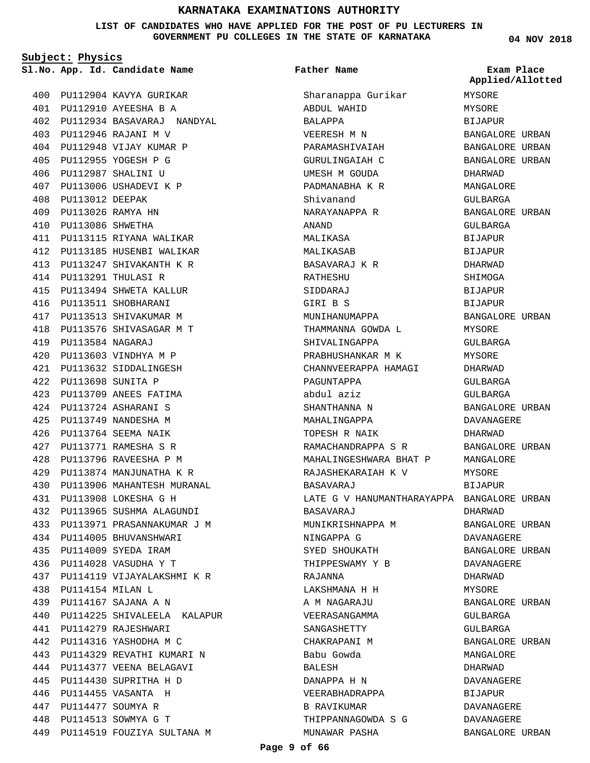### **LIST OF CANDIDATES WHO HAVE APPLIED FOR THE POST OF PU LECTURERS IN GOVERNMENT PU COLLEGES IN THE STATE OF KARNATAKA**

**Subject: Physics**

**App. Id. Candidate Name Sl.No. Exam Place**

PU112946 RAJANI M V 403 PU112948 VIJAY KUMAR P 404 PU112955 YOGESH P G 405 PU112987 SHALINI U 406 407 PU113006 USHADEVI K P

PU113012 DEEPAK 408 PU113026 RAMYA HN 409 PU113086 SHWETHA 410

PU113115 RIYANA WALIKAR 411 PU113185 HUSENBI WALIKAR 412 PU113247 SHIVAKANTH K R 413

PU113291 THULASI R 414 PU113494 SHWETA KALLUR 415 416 PU113511 SHOBHARANI 417 PU113513 SHIVAKUMAR M PU113576 SHIVASAGAR M T 418

PU113584 NAGARAJ 419 PU113603 VINDHYA M P 420 PU113632 SIDDALINGESH 421 PU113698 SUNITA P 422 PU113709 ANEES FATIMA 423 PU113724 ASHARANI S 424 PU113749 NANDESHA M 425 PU113764 SEEMA NAIK 426 PU113771 RAMESHA S R 427 PU113796 RAVEESHA P M 428 PU113874 MANJUNATHA K R 429 PU113906 MAHANTESH MURANAL 430

PU113908 LOKESHA G H 431 PU113965 SUSHMA ALAGUNDI 432 PU113971 PRASANNAKUMAR J M 433

434 PU114005 BHUVANSHWARI PU114009 SYEDA IRAM 435 PU114028 VASUDHA Y T 436

PU114154 MILAN L 438 PU114167 SAJANA A N 439

PU114279 RAJESHWARI 441 PU114316 YASHODHA M C 442 PU114329 REVATHI KUMARI N 443 PU114377 VEENA BELAGAVI 444 PU114430 SUPRITHA H D 445 PU114455 VASANTA H 446 PU114477 SOUMYA R 447 PU114513 SOWMYA G T 448

PU114119 VIJAYALAKSHMI K R 437

PU114225 SHIVALEELA KALAPUR 440

PU114519 FOUZIYA SULTANA M 449

PU112904 KAVYA GURIKAR 400 PU112910 AYEESHA B A 401

PU112934 BASAVARAJ NANDYAL 402

**Father Name**

Sharanappa Gurikar ABDUL WAHID BALAPPA VEERESH M N PARAMASHIVAIAH GURULINGAIAH C UMESH M GOUDA PADMANABHA K R Shivanand NARAYANAPPA R ANAND MALIKASA MALIKASAB BASAVARAJ K R RATHESHU SIDDARAJ GIRI B S MUNIHANUMAPPA THAMMANNA GOWDA L SHIVALINGAPPA PRABHUSHANKAR M K CHANNVEERAPPA HAMAGI PAGUNTAPPA abdul aziz SHANTHANNA N MAHALINGAPPA TOPESH R NAIK RAMACHANDRAPPA S R MAHALINGESHWARA BHAT P RAJASHEKARAIAH K V BASAVARAJ LATE G V HANUMANTHARAYAPPA BASAVARAJ MUNIKRISHNAPPA M NINGAPPA G SYED SHOUKATH THIPPESWAMY Y B RAJANNA LAKSHMANA H H A M NAGARAJU VEERASANGAMMA SANGASHETTY CHAKRAPANI M Babu Gowda BALESH DANAPPA H N VEERABHADRAPPA B RAVIKUMAR THIPPANNAGOWDA S G MUNAWAR PASHA

**04 NOV 2018**

| чаш<br>Applied/Allotted      | Place |
|------------------------------|-------|
| MYSORE                       |       |
| MYSORE                       |       |
| BIJAPUR                      |       |
| <b>BANGALORE URBAN</b>       |       |
| BANGALORE URBAN              |       |
| BANGALORE URBAN              |       |
| DHARWAD                      |       |
| MANGALORE                    |       |
| GULBARGA                     |       |
| <b>BANGALORE URBAN</b>       |       |
| GULBARGA                     |       |
| BIJAPUR                      |       |
| BIJAPUR                      |       |
| DHARWAD                      |       |
| SHIMOGA                      |       |
| <b>BIJAPUR</b>               |       |
| BIJAPUR                      |       |
| BANGALORE URBAN              |       |
| MYSORE                       |       |
| GULBARGA                     |       |
| MYSORE                       |       |
| DHARWAD                      |       |
| <b>GULBARGA</b>              |       |
| GULBARGA                     |       |
| <b>BANGALORE URBAN</b>       |       |
| DAVANAGERE                   |       |
| DHARWAD                      |       |
| <b>BANGALORE URBAN</b>       |       |
| MANGALORE                    |       |
| MYSORE                       |       |
| <b>BIJAPUR</b>               |       |
| BANGALORE URBAN              |       |
| DHARWAD                      |       |
| <b>BANGALORE URBAN</b>       |       |
| <b>DAVANAGERE</b>            |       |
| BANGALORE URBAN              |       |
| DAVANAGERE                   |       |
| DHARWAD                      |       |
| MYSORE                       |       |
| BANGALORE URBAN              |       |
| GULBARGA                     |       |
| <b>GULBARGA</b>              |       |
| BANGALORE URBAN<br>MANGALORE |       |
| DHARWAD                      |       |
| DAVANAGERE                   |       |
| BIJAPUR                      |       |
| DAVANAGERE                   |       |
| DAVANAGERE                   |       |
| BANGALORE URBAN              |       |
|                              |       |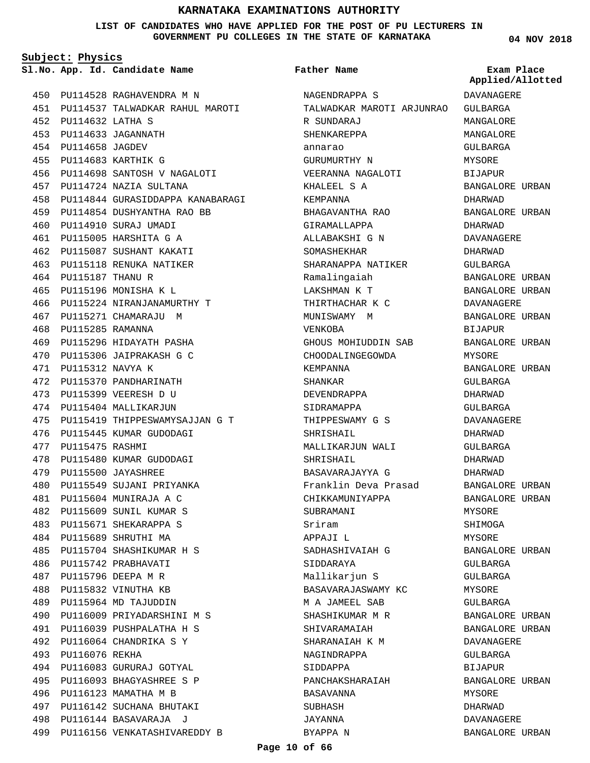**LIST OF CANDIDATES WHO HAVE APPLIED FOR THE POST OF PU LECTURERS IN GOVERNMENT PU COLLEGES IN THE STATE OF KARNATAKA**

**Subject: Physics**

**App. Id. Candidate Name Sl.No. Exam Place**

PU114528 RAGHAVENDRA M N 450 PU114537 TALWADKAR RAHUL MAROTI 451 PU114632 LATHA S 452 PU114633 JAGANNATH 453 PU114658 JAGDEV 454 PU114683 KARTHIK G 455 PU114698 SANTOSH V NAGALOTI 456 PU114724 NAZIA SULTANA 457 458 PU114844 GURASIDDAPPA KANABARAGI PU114854 DUSHYANTHA RAO BB 459 PU114910 SURAJ UMADI 460 PU115005 HARSHITA G A 461 PU115087 SUSHANT KAKATI 462 463 PU115118 RENUKA NATIKER PU115187 THANU R 464 PU115196 MONISHA K L 465 PU115224 NIRANJANAMURTHY T 466 467 PU115271 CHAMARAJU M PU115285 RAMANNA 468 469 PU115296 HIDAYATH PASHA PU115306 JAIPRAKASH G C 470 PU115312 NAVYA K 471 472 PU115370 PANDHARINATH PU115399 VEERESH D U 473 474 PU115404 MALLIKARJUN PU115419 THIPPESWAMYSAJJAN G T 475 476 PU115445 KUMAR GUDODAGI 477 PU115475 RASHMI 478 PU115480 KUMAR GUDODAGI PU115500 JAYASHREE 479 480 PU115549 SUJANI PRIYANKA PU115604 MUNIRAJA A C 481 PU115609 SUNIL KUMAR S 482 PU115671 SHEKARAPPA S 483 PU115689 SHRUTHI MA 484 PU115704 SHASHIKUMAR H S 485 PU115742 PRABHAVATI 486 PU115796 DEEPA M R 487 PU115832 VINUTHA KB 488 PU115964 MD TAJUDDIN 489 PU116009 PRIYADARSHINI M S 490 PU116039 PUSHPALATHA H S 491 PU116064 CHANDRIKA S Y 492 493 PU116076 REKHA PU116083 GURURAJ GOTYAL 494 PU116093 BHAGYASHREE S P 495 496 PU116123 MAMATHA M B PU116142 SUCHANA BHUTAKI 497 PU116144 BASAVARAJA J 498 PU116156 VENKATASHIVAREDDY B 499

### **Father Name**

NAGENDRAPPA S TALWADKAR MAROTI ARJUNRAO R SUNDARAJ SHENKAREPPA annarao GURUMURTHY N VEERANNA NAGALOTI KHALEEL S A KEMPANNA BHAGAVANTHA RAO GIRAMALLAPPA ALLABAKSHI G N SOMASHEKHAR SHARANAPPA NATIKER Ramalingaiah LAKSHMAN K T THIRTHACHAR K C MUNISWAMY M VENKOBA GHOUS MOHIUDDIN SAB CHOODALINGEGOWDA KEMPANNA SHANKAR DEVENDRAPPA SIDRAMAPPA THIPPESWAMY G S SHRISHAIL. MALLIKARJUN WALI SHRISHAIL BASAVARAJAYYA G Franklin Deva Prasad CHIKKAMUNIYAPPA SUBRAMANI Sriram APPAJI L SADHASHIVAIAH G SIDDARAYA Mallikarjun S BASAVARAJASWAMY KC M A JAMEEL SAB SHASHIKUMAR M R SHIVARAMAIAH SHARANAIAH K M NAGINDRAPPA SIDDAPPA PANCHAKSHARAIAH BASAVANNA SUBHASH JAYANNA BYAPPA N

**04 NOV 2018**

**Applied/Allotted**

DAVANAGERE

GULBARGA MANGALORE MANGALORE GULBARGA MYSORE BIJAPUR BANGALORE URBAN DHARWAD BANGALORE URBAN DHARWAD DAVANAGERE DHARWAD GULBARGA BANGALORE URBAN BANGALORE URBAN DAVANAGERE BANGALORE URBAN BIJAPUR BANGALORE URBAN MYSORE BANGALORE URBAN GULBARGA DHARWAD GULBARGA DAVANAGERE DHARWAD GULBARGA DHARWAD DHARWAD BANGALORE URBAN BANGALORE URBAN MYSORE SHIMOGA MYSORE BANGALORE URBAN GULBARGA GULBARGA MYSORE GULBARGA BANGALORE URBAN BANGALORE URBAN DAVANAGERE GULBARGA BIJAPUR BANGALORE URBAN MYSORE DHARWAD DAVANAGERE BANGALORE URBAN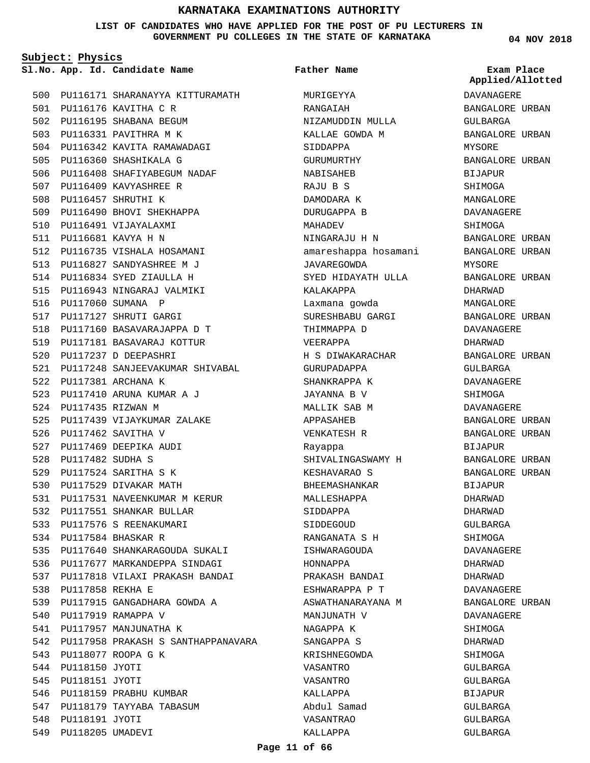**LIST OF CANDIDATES WHO HAVE APPLIED FOR THE POST OF PU LECTURERS IN GOVERNMENT PU COLLEGES IN THE STATE OF KARNATAKA**

**Subject: Physics**

**App. Id. Candidate Name Sl.No. Exam Place**

500 PU116171 SHARANAYYA KITTURAMATH PU116176 KAVITHA C R 501 502 PU116195 SHABANA BEGUM 503 PU116331 PAVITHRA M K PU116342 KAVITA RAMAWADAGI 504 505 PU116360 SHASHIKALA G 506 PU116408 SHAFIYABEGUM NADAF 507 PU116409 KAVYASHREE R 508 PU116457 SHRUTHI K 509 PU116490 BHOVI SHEKHAPPA 510 PU116491 VIJAYALAXMI PU116681 KAVYA H N 511 512 PU116735 VISHALA HOSAMANI PU116827 SANDYASHREE M J 513 PU116834 SYED ZIAULLA H 514 515 PU116943 NINGARAJ VALMIKI 516 PU117060 SUMANA P 517 PU117127 SHRUTI GARGI PU117160 BASAVARAJAPPA D T 518 519 PU117181 BASAVARAJ KOTTUR 520 PU117237 D DEEPASHRI 521 PU117248 SANJEEVAKUMAR SHIVABAL 522 PU117381 ARCHANA K PU117410 ARUNA KUMAR A J 523 524 PU117435 RIZWAN M PU117439 VIJAYKUMAR ZALAKE 525 PU117462 SAVITHA V 526 527 PU117469 DEEPIKA AUDI PU117482 SUDHA S 528 PU117524 SARITHA S K 529 530 PU117529 DIVAKAR MATH PU117531 NAVEENKUMAR M KERUR 531 532 PU117551 SHANKAR BULLAR 533 PU117576 S REENAKUMARI PU117584 BHASKAR R 534 535 PU117640 SHANKARAGOUDA SUKALI PU117677 MARKANDEPPA SINDAGI 536 PU117818 VILAXI PRAKASH BANDAI 537 PU117858 REKHA E 538 PU117915 GANGADHARA GOWDA A 539 540 PU117919 RAMAPPA V 541 PU117957 MANJUNATHA K 542 PU117958 PRAKASH S SANTHAPPANAVARA 543 PU118077 ROOPA G K 544 PU118150 JYOTI 545 PU118151 JYOTI 546 PU118159 PRABHU KUMBAR 547 PU118179 TAYYABA TABASUM 548 PU118191 JYOTI 549 PU118205 UMADEVI

MURIGEYYA RANGAIAH NIZAMUDDIN MULLA KALLAE GOWDA M SIDDAPPA GURUMURTHY NABISAHEB RAJU B S DAMODARA K DURUGAPPA B MAHADEV NINGARAJU H N amareshappa hosamani JAVAREGOWDA SYED HIDAYATH ULLA KALAKAPPA Laxmana gowda SURESHBABU GARGI THIMMAPPA D VEERAPPA H S DIWAKARACHAR GURUPADAPPA SHANKRAPPA K JAYANNA B V MALLIK SAB M APPASAHEB VENKATESH R Rayappa SHIVALINGASWAMY H KESHAVARAO S BHEEMASHANKAR MALLESHAPPA SIDDAPPA SIDDEGOUD RANGANATA S H ISHWARAGOUDA HONNAPPA PRAKASH BANDAI ESHWARAPPA P T ASWATHANARAYANA M MANJUNATH V NAGAPPA K SANGAPPA S KRISHNEGOWDA VASANTRO VASANTRO KALLAPPA Abdul Samad VASANTRAO KALLAPPA **Father Name**

**04 NOV 2018**

**Applied/Allotted**

DAVANAGERE BANGALORE URBAN GULBARGA BANGALORE URBAN MYSORE BANGALORE URBAN BIJAPUR SHIMOGA MANGALORE DAVANAGERE SHIMOGA BANGALORE URBAN BANGALORE URBAN MYSORE BANGALORE URBAN DHARWAD MANGALORE BANGALORE URBAN DAVANAGERE DHARWAD BANGALORE URBAN GULBARGA DAVANAGERE SHIMOGA DAVANAGERE BANGALORE URBAN BANGALORE URBAN BIJAPUR BANGALORE URBAN BANGALORE URBAN BIJAPUR DHARWAD DHARWAD GULBARGA SHIMOGA DAVANAGERE DHARWAD DHARWAD DAVANAGERE BANGALORE URBAN DAVANAGERE SHIMOGA DHARWAD SHIMOGA  $CITIRARCA$ GULBARGA BIJAPUR GULBARGA GULBARGA GULBARGA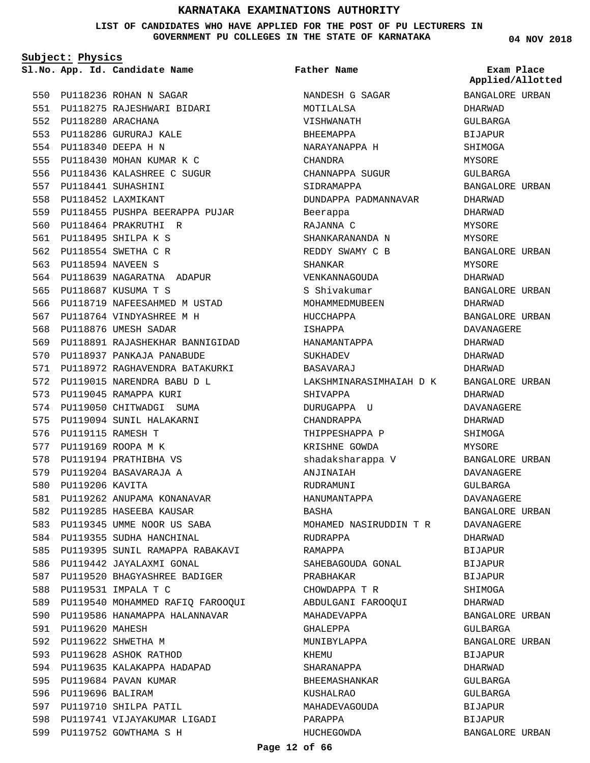**LIST OF CANDIDATES WHO HAVE APPLIED FOR THE POST OF PU LECTURERS IN GOVERNMENT PU COLLEGES IN THE STATE OF KARNATAKA**

**Subject: Physics**

**App. Id. Candidate Name Sl.No. Exam Place**

550 PU118236 ROHAN N SAGAR PU118275 RAJESHWARI BIDARI 551 PU118280 ARACHANA 552 553 PU118286 GURURAJ KALE PU118340 DEEPA H N 554 PU118430 MOHAN KUMAR K C 555 PU118436 KALASHREE C SUGUR 556 PU118441 SUHASHINI 557 PU118452 LAXMIKANT 558 559 PU118455 PUSHPA BEERAPPA PUJAR 560 PU118464 PRAKRUTHI R PU118495 SHILPA K S 561 562 PU118554 SWETHA C R PU118594 NAVEEN S 563 564 PU118639 NAGARATNA ADAPUR PU118687 KUSUMA T S 565 566 PU118719 NAFEESAHMED M USTAD PU118764 VINDYASHREE M H 567 568 PU118876 UMESH SADAR 569 PU118891 RAJASHEKHAR BANNIGIDAD 570 PU118937 PANKAJA PANABUDE 571 PU118972 RAGHAVENDRA BATAKURKI PU119015 NARENDRA BABU D L 572 573 PU119045 RAMAPPA KURI 574 PU119050 CHITWADGI SUMA 575 PU119094 SUNIL HALAKARNI 576 PU119115 RAMESH T 577 PU119169 ROOPA M K 578 PU119194 PRATHIBHA VS 579 PU119204 BASAVARAJA A 580 PU119206 KAVITA 581 PU119262 ANUPAMA KONANAVAR 582 PU119285 HASEEBA KAUSAR 583 PU119345 UMME NOOR US SABA 584 PU119355 SUDHA HANCHINAL 585 PU119395 SUNIL RAMAPPA RABAKAVI 586 PU119442 JAYALAXMI GONAL 587 PU119520 BHAGYASHREE BADIGER PU119531 IMPALA T C 588 589 PU119540 MOHAMMED RAFIQ FAROOQUI 590 PU119586 HANAMAPPA HALANNAVAR 591 PU119620 MAHESH 592 PU119622 SHWETHA M 593 PU119628 ASHOK RATHOD 594 PU119635 KALAKAPPA HADAPAD 595 PU119684 PAVAN KUMAR 596 PU119696 BALIRAM 597 PU119710 SHILPA PATIL 598 PU119741 VIJAYAKUMAR LIGADI 599 PU119752 GOWTHAMA S H

NANDESH G SAGAR MOTILALSA VISHWANATH BHEEMAPPA NARAYANAPPA H CHANDRA CHANNAPPA SUGUR SIDRAMAPPA DUNDAPPA PADMANNAVAR Beerappa RAJANNA C SHANKARANANDA N REDDY SWAMY C B SHANKAR VENKANNAGOUDA S Shivakumar MOHAMMEDMUBEEN HIICCHAPPA ISHAPPA HANAMANTAPPA SUKHADEV BASAVARAJ LAKSHMINARASIMHAIAH D K SHIVAPPA DURUGAPPA U CHANDRAPPA THIPPESHAPPA P KRISHNE GOWDA shadaksharappa V ANJINAIAH RUDRAMUNI HANUMANTAPPA BASHA MOHAMED NASIRUDDIN T R RUDRAPPA RAMAPPA SAHEBAGOUDA GONAL PRABHAKAR CHOWDAPPA T R ABDULGANI FAROOQUI MAHADEVAPPA GHALEPPA MUNIBYLAPPA KHEMU SHARANAPPA BHEEMASHANKAR KUSHALRAO MAHADEVAGOUDA PARAPPA HUCHEGOWDA **Father Name** BANGALORE URBAN

**04 NOV 2018**

**Applied/Allotted**

BANGALORE URBAN DHARWAD GULBARGA BIJAPUR SHIMOGA MYSORE GULBARGA BANGALORE URBAN DHARWAD DHARWAD MYSORE MYSORE BANGALORE URBAN MYSORE DHARWAD BANGALORE URBAN DHARWAD BANGALORE URBAN DAVANAGERE DHARWAD DHARWAD DHARWAD BANGALORE URBAN DHARWAD DAVANAGERE DHARWAD **SHIMOGA** MYSORE BANGALORE URBAN DAVANAGERE GULBARGA DAVANAGERE BANGALORE URBAN DAVANAGERE DHARWAD BIJAPUR **BIJAPUR** BIJAPUR SHIMOGA DHARWAD BANGALORE URBAN GULBARGA BANGALORE URBAN **BIJAPUR** DHARWAD GULBARGA GULBARGA BIJAPUR BIJAPUR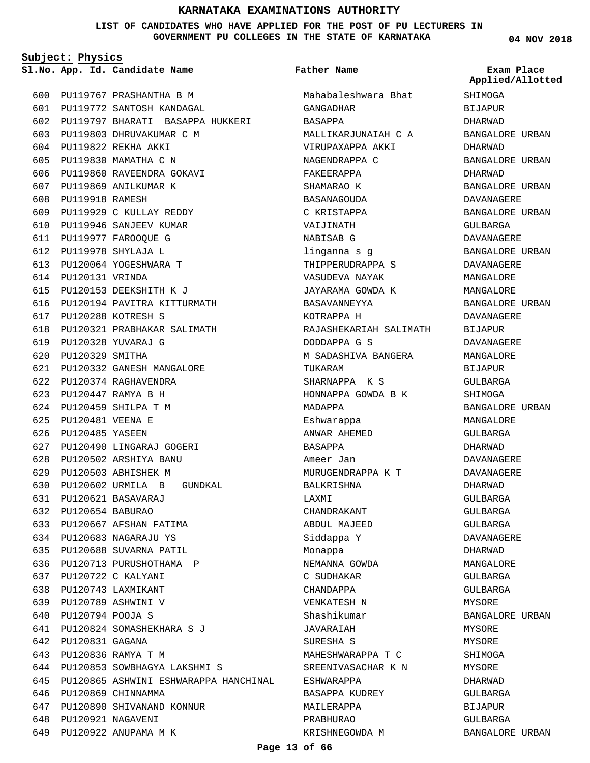### **LIST OF CANDIDATES WHO HAVE APPLIED FOR THE POST OF PU LECTURERS IN GOVERNMENT PU COLLEGES IN THE STATE OF KARNATAKA**

**Subject: Physics**

**App. Id. Candidate Name Sl.No. Exam Place**

PU119767 PRASHANTHA B M 600 PU119772 SANTOSH KANDAGAL 601 602 PU119797 BHARATI BASAPPA HUKKERI 603 PU119803 DHRUVAKUMAR C M PU119822 REKHA AKKI 604 PU119830 MAMATHA C N 605 606 PU119860 RAVEENDRA GOKAVI 607 PU119869 ANILKUMAR K 608 PU119918 RAMESH PU119929 C KULLAY REDDY 609 610 PU119946 SANJEEV KUMAR PU119977 FAROOQUE G 611 PU119978 SHYLAJA L 612 613 PU120064 YOGESHWARA T PU120131 VRINDA 614 PU120153 DEEKSHITH K J 615 616 PU120194 PAVITRA KITTURMATH PU120288 KOTRESH S 617 PU120321 PRABHAKAR SALIMATH 618 PU120328 YUVARAJ G 619 PU120329 SMITHA 620 PU120332 GANESH MANGALORE 621 PU120374 RAGHAVENDRA 622 PU120447 RAMYA B H 623 PU120459 SHILPA T M 624 PU120481 VEENA E 625 626 PU120485 YASEEN PU120490 LINGARAJ GOGERI 627 PU120502 ARSHIYA BANU 628 PU120503 ABHISHEK M 629 PU120602 URMILA B GUNDKAL 630 PU120621 BASAVARAJ 631 PU120654 BABURAO 632 PU120667 AFSHAN FATIMA 633 PU120683 NAGARAJU YS 634 635 PU120688 SUVARNA PATIL 636 PU120713 PURUSHOTHAMA P PU120722 C KALYANI 637 PU120743 LAXMIKANT 638 PU120789 ASHWINI V 639 PU120794 POOJA S 640 PU120824 SOMASHEKHARA S J 641 PU120831 GAGANA 642 PU120836 RAMYA T M 643 PU120853 SOWBHAGYA LAKSHMI S 644 645 PU120865 ASHWINI ESHWARAPPA HANCHINAL 646 PU120869 CHINNAMMA PU120890 SHIVANAND KONNUR 647 648 PU120921 NAGAVENI PU120922 ANUPAMA M K 649

Mahabaleshwara Bhat GANGADHAR BASAPPA MALLIKARJUNAIAH C A VIRUPAXAPPA AKKI NAGENDRAPPA C FAKEERAPPA SHAMARAO K **BASANAGOUDA** C KRISTAPPA VAIJINATH NABISAB G linganna s g THIPPERUDRAPPA S VASUDEVA NAYAK JAYARAMA GOWDA K BASAVANNEYYA KOTRAPPA H RAJASHEKARIAH SALIMATH DODDAPPA G S M SADASHIVA BANGERA TUKARAM SHARNAPPA K S HONNAPPA GOWDA B K MADAPPA Eshwarappa ANWAR AHEMED BASAPPA Ameer Jan MURUGENDRAPPA K T BALKRISHNA LAXMI CHANDRAKANT ABDUL MAJEED Siddappa Y Monappa NEMANNA GOWDA C SUDHAKAR CHANDAPPA VENKATESH N Shashikumar JAVARAIAH SURESHA S MAHESHWARAPPA T C SREENIVASACHAR K N ESHWARAPPA BASAPPA KUDREY MAILERAPPA PRABHURAO KRISHNEGOWDA M **Father Name**

**04 NOV 2018**

**SHIMOGA** BIJAPUR DHARWAD BANGALORE URBAN DHARWAD BANGALORE URBAN DHARWAD BANGALORE URBAN DAVANAGERE BANGALORE URBAN GULBARGA DAVANAGERE BANGALORE URBAN DAVANAGERE MANGALORE MANGALORE BANGALORE URBAN DAVANAGERE BIJAPUR DAVANAGERE MANGALORE BIJAPUR GULBARGA SHIMOGA BANGALORE URBAN MANGALORE GULBARGA DHARWAD DAVANAGERE DAVANAGERE DHARWAD GULBARGA GULBARGA GULBARGA DAVANAGERE DHARWAD MANGALORE GULBARGA GULBARGA MYSORE BANGALORE URBAN MYSORE MYSORE SHIMOGA **MYSORE** DHARWAD GULBARGA BIJAPUR GULBARGA BANGALORE URBAN **Applied/Allotted**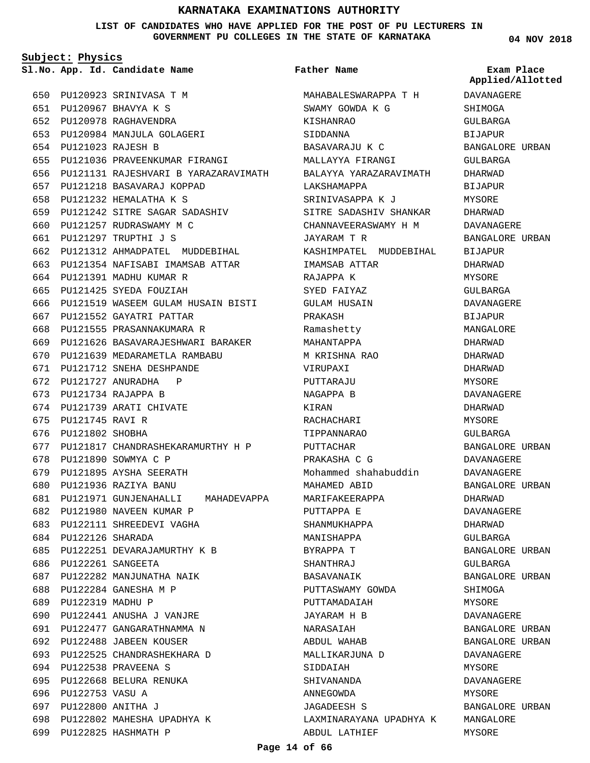**LIST OF CANDIDATES WHO HAVE APPLIED FOR THE POST OF PU LECTURERS IN GOVERNMENT PU COLLEGES IN THE STATE OF KARNATAKA**

**Subject: Physics**

**App. Id. Candidate Name Sl.No. Exam Place**

PU120923 SRINIVASA T M 650 PU120967 BHAVYA K S 651 PU120978 RAGHAVENDRA 652 PU120984 MANJULA GOLAGERI 653 PU121023 RAJESH B 654 655 PU121036 PRAVEENKUMAR FIRANGI PU121131 RAJESHVARI B YARAZARAVIMATH 656 PU121218 BASAVARAJ KOPPAD 657 PU121232 HEMALATHA K S 658 PU121242 SITRE SAGAR SADASHIV 659 660 PU121257 RUDRASWAMY M C PU121297 TRUPTHI J S 661 662 PU121312 AHMADPATEL MUDDEBIHAL 663 PU121354 NAFISABI IMAMSAB ATTAR 664 PU121391 MADHU KUMAR R PU121425 SYEDA FOUZIAH 666 PU121519 WASEEM GULAM HUSAIN BISTI 667 PU121552 GAYATRI PATTAR 668 PU121555 PRASANNAKUMARA R PU121626 BASAVARAJESHWARI BARAKER 669 PU121639 MEDARAMETLA RAMBABU 670 PU121712 SNEHA DESHPANDE 671 672 PU121727 ANURADHA P PU121734 RAJAPPA B 673 674 PU121739 ARATI CHIVATE 675 PU121745 RAVI R 676 PU121802 SHOBHA 677 PU121817 CHANDRASHEKARAMURTHY H P 678 PU121890 SOWMYA C P 679 PU121895 AYSHA SEERATH PU121936 RAZIYA BANU 680 PU121971 GUNJENAHALLI MAHADEVAPPA 681 PU121980 NAVEEN KUMAR P 682 683 PU122111 SHREEDEVI VAGHA PU122126 SHARADA 684 PU122251 DEVARAJAMURTHY K B 685 PU122261 SANGEETA 686 PU122282 MANJUNATHA NAIK 687 PU122284 GANESHA M P 688 689 PU122319 MADHU P PU122441 ANUSHA J VANJRE PU122477 GANGARATHNAMMA N 691 692 PU122488 JABEEN KOUSER PU122525 CHANDRASHEKHARA D 693 PU122538 PRAVEENA S 694 695 PU122668 BELURA RENUKA 696 PU122753 VASU A PU122800 ANITHA J 697 PU122802 MAHESHA UPADHYA K 698 699 PU122825 HASHMATH P 665 690

### **Father Name**

MAHABALESWARAPPA T H SWAMY GOWDA K G KISHANRAO SIDDANNA BASAVARAJU K C MALLAYYA FIRANGI BALAYYA YARAZARAVIMATH LAKSHAMAPPA SRINIVASAPPA K J SITRE SADASHIV SHANKAR CHANNAVEERASWAMY H M JAYARAM T R KASHIMPATEL MUDDEBIHAL IMAMSAB ATTAR RAJAPPA K SYED FAIYAZ GULAM HUSAIN PRAKASH Ramashetty MAHANTAPPA M KRISHNA RAO VIRUPAXI PUTTARAJU NAGAPPA B KIRAN RACHACHARI TIPPANNARAO PUTTACHAR PRAKASHA C G Mohammed shahabuddin MAHAMED ABID MARIFAKEERAPPA PUTTAPPA E SHANMUKHAPPA MANISHAPPA BYRAPPA T SHANTHRAJ BASAVANAIK PUTTASWAMY GOWDA PUTTAMADAIAH JAYARAM H B NARASAIAH ABDUL WAHAB MALLIKARJUNA D SIDDAIAH SHIVANANDA ANNEGOWDA JAGADEESH S LAXMINARAYANA UPADHYA K ABDUL LATHIEF

**04 NOV 2018**

DAVANAGERE **SHIMOGA** GULBARGA BIJAPUR BANGALORE URBAN GULBARGA DHARWAD BIJAPUR **MYSORE** DHARWAD DAVANAGERE BANGALORE URBAN BIJAPUR DHARWAD MYSORE GULBARGA DAVANAGERE BIJAPUR MANGALORE DHARWAD DHARWAD DHARWAD MYSORE DAVANAGERE DHARWAD MYSORE GULBARGA BANGALORE URBAN DAVANAGERE DAVANAGERE BANGALORE URBAN DHARWAD DAVANAGERE DHARWAD GULBARGA BANGALORE URBAN GULBARGA BANGALORE URBAN SHIMOGA MYSORE DAVANAGERE BANGALORE URBAN BANGALORE URBAN DAVANAGERE MYSORE DAVANAGERE MYSORE BANGALORE URBAN MANGALORE MYSORE **Applied/Allotted**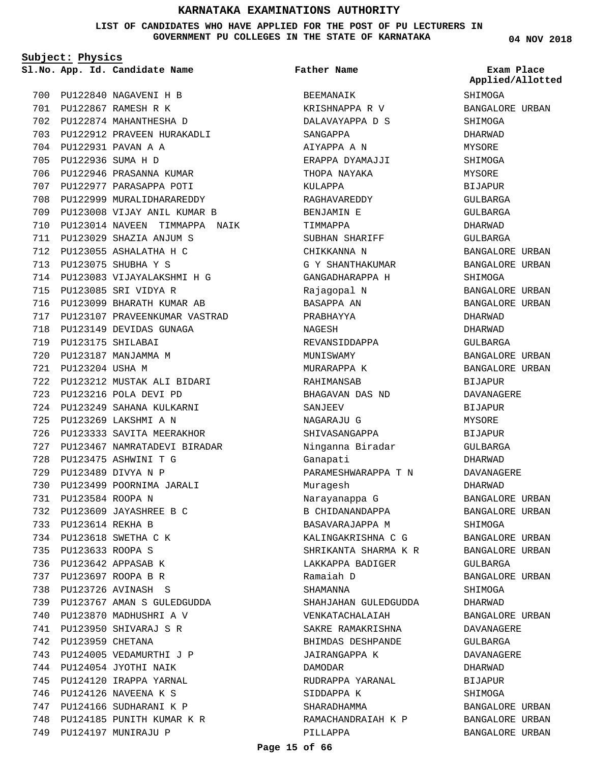**LIST OF CANDIDATES WHO HAVE APPLIED FOR THE POST OF PU LECTURERS IN GOVERNMENT PU COLLEGES IN THE STATE OF KARNATAKA**

**Subject: Physics**

PU122840 NAGAVENI H B 700 PU122867 RAMESH R K 701 PU122874 MAHANTHESHA D 702 703 PU122912 PRAVEEN HURAKADLI PU122931 PAVAN A A 704 PU122936 SUMA H D 705 706 PU122946 PRASANNA KUMAR 707 PU122977 PARASAPPA POTI 708 PU122999 MURALIDHARAREDDY PU123008 VIJAY ANIL KUMAR B 709 710 PU123014 NAVEEN TIMMAPPA NAIK PU123029 SHAZIA ANJUM S 711 PU123055 ASHALATHA H C 712 PU123075 SHUBHA Y S 713 PU123083 VIJAYALAKSHMI H G 714 PU123085 SRI VIDYA R 715 716 PU123099 BHARATH KUMAR AB 717 PU123107 PRAVEENKUMAR VASTRAD 718 PU123149 DEVIDAS GUNAGA PU123175 SHILABAI 719 PU123187 MANJAMMA M 720 PU123204 USHA M 721 PU123212 MUSTAK ALI BIDARI 722 PU123216 POLA DEVI PD 723 PU123249 SAHANA KULKARNI 724 PU123269 LAKSHMI A N 725 726 PU123333 SAVITA MEERAKHOR PU123467 NAMRATADEVI BIRADAR 727 PU123475 ASHWINI T G 728 PU123489 DIVYA N P 729 730 PU123499 POORNIMA JARALI PU123584 ROOPA N 731 PU123609 JAYASHREE B C 732 PU123614 REKHA B 733 PU123618 SWETHA C K 734 PU123633 ROOPA S 735 PU123642 APPASAB K 736 PU123697 ROOPA B R 737 PU123726 AVINASH S 738 PU123767 AMAN S GULEDGUDDA 739 PU123870 MADHUSHRI A V 740 PU123950 SHIVARAJ S R 741 742 PU123959 CHETANA 743 PU124005 VEDAMURTHI J P PU124054 JYOTHI NAIK 744 745 PU124120 IRAPPA YARNAL PU124126 NAVEENA K S 746 PU124166 SUDHARANI K P 747 748 PU124185 PUNITH KUMAR K R 749 PU124197 MUNIRAJU P

**App. Id. Candidate Name Sl.No. Exam Place** BEEMANAIK KRISHNAPPA R V DALAVAYAPPA D S SANGAPPA AIYAPPA A N ERAPPA DYAMAJJI THOPA NAYAKA KULAPPA RAGHAVAREDDY BENJAMIN E TIMMAPPA SUBHAN SHARIFF CHIKKANNA N G Y SHANTHAKUMAR GANGADHARAPPA H Rajagopal N BASAPPA AN PRABHAYYA NAGESH REVANSIDDAPPA MUNISWAMY MURARAPPA K RAHIMANSAB BHAGAVAN DAS ND SANJEEV NAGARAJU G SHIVASANGAPPA Ninganna Biradar Ganapati PARAMESHWARAPPA T N Muragesh Narayanappa G B CHIDANANDAPPA BASAVARAJAPPA M KALINGAKRISHNA C G SHRIKANTA SHARMA K R LAKKAPPA BADIGER Ramaiah D SHAMANNA SHAHJAHAN GULEDGUDDA VENKATACHALAIAH SAKRE RAMAKRISHNA BHIMDAS DESHPANDE JAIRANGAPPA K DAMODAR RUDRAPPA YARANAL SIDDAPPA K SHARADHAMMA RAMACHANDRAIAH K P PILLAPPA **Father Name** SHIMOGA **Applied/Allotted**

**04 NOV 2018**

BANGALORE URBAN SHIMOGA DHARWAD MYSORE SHIMOGA MYSORE BIJAPUR GULBARGA GULBARGA DHARWAD GULBARGA BANGALORE URBAN BANGALORE URBAN SHIMOGA BANGALORE URBAN BANGALORE URBAN DHARWAD DHARWAD GULBARGA BANGALORE URBAN BANGALORE URBAN BIJAPUR DAVANAGERE BIJAPUR MYSORE BIJAPUR GULBARGA DHARWAD DAVANAGERE DHARWAD BANGALORE URBAN BANGALORE URBAN SHIMOGA BANGALORE URBAN BANGALORE URBAN GULBARGA BANGALORE URBAN SHIMOGA DHARWAD BANGALORE URBAN DAVANAGERE GULBARGA DAVANAGERE DHARWAD BIJAPUR SHIMOGA BANGALORE URBAN BANGALORE URBAN BANGALORE URBAN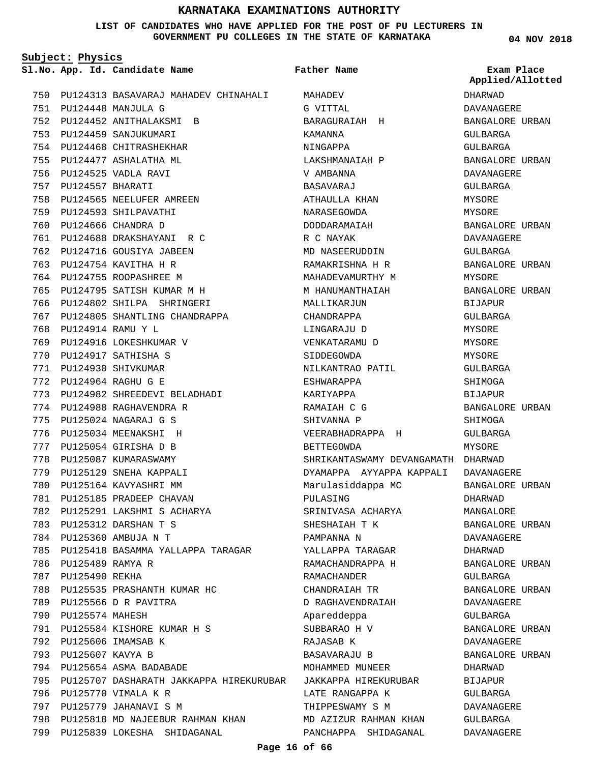**LIST OF CANDIDATES WHO HAVE APPLIED FOR THE POST OF PU LECTURERS IN GOVERNMENT PU COLLEGES IN THE STATE OF KARNATAKA**

**Subject: Physics**

PU124313 BASAVARAJ MAHADEV CHINAHALI MAHADEV 750 PU124448 MANJULA G 751 PU124452 ANITHALAKSMI B 752 753 PU124459 SANJUKUMARI 754 PU124468 CHITRASHEKHAR 755 PU124477 ASHALATHA ML PU124525 VADLA RAVI 756 PU124557 BHARATI 757 758 PU124565 NEELUFER AMREEN 759 PU124593 SHILPAVATHI PU124666 CHANDRA D 760 PU124688 DRAKSHAYANI R C 761 762 PU124716 GOUSIYA JABEEN 763 PU124754 KAVITHA H R 764 PU124755 ROOPASHREE M PU124795 SATISH KUMAR M H 765 766 PU124802 SHILPA SHRINGERI 767 PU124805 SHANTLING CHANDRAPPA PU124914 RAMU Y L 768 769 PU124916 LOKESHKUMAR V PU124917 SATHISHA S 770 PU124930 SHIVKUMAR 771 PU124964 RAGHU G E 772 PU124982 SHREEDEVI BELADHADI 773 774 PU124988 RAGHAVENDRA R PU125024 NAGARAJ G S 775 776 PU125034 MEENAKSHI H PU125054 GIRISHA D B 777 778 PU125087 KUMARASWAMY 779 PU125129 SNEHA KAPPALI 780 PU125164 KAVYASHRI MM 781 PU125185 PRADEEP CHAVAN PU125291 LAKSHMI S ACHARYA 782 PU125312 DARSHAN T S 783 PU125360 AMBUJA N T 784 785 PU125418 BASAMMA YALLAPPA TARAGAR 786 PU125489 RAMYA R 787 PU125490 REKHA 788 PU125535 PRASHANTH KUMAR HC PU125566 D R PAVITRA 789 790 PU125574 MAHESH PU125584 KISHORE KUMAR H S 791 792 PU125606 IMAMSAB K 793 PU125607 KAVYA B PU125654 ASMA BADABADE 794 795 PU125707 DASHARATH JAKKAPPA HIREKURUBAR JAKKAPPA HIREKURUBAR 796 PU125770 VIMALA K R PU125779 JAHANAVI S M 797 798 PU125818 MD NAJEEBUR RAHMAN KHAN PU125839 LOKESHA SHIDAGANAL 799

**App. Id. Candidate Name Sl.No. Exam Place** G VITTAL BARAGURAIAH H KAMANNA NINGAPPA LAKSHMANAIAH P V AMBANNA BASAVARAJ ATHAIILLA KHAN NARASEGOWDA DODDARAMAIAH R C NAYAK MD NASEERUDDIN RAMAKRISHNA H R MAHADEVAMURTHY M M HANUMANTHAIAH MALLIKARJUN CHANDRAPPA LINGARAJU D VENKATARAMU D SIDDEGOWDA NILKANTRAO PATIL ESHWARAPPA KARIYAPPA RAMAIAH C G SHIVANNA P VEERABHADRAPPA H BETTEGOWDA SHRIKANTASWAMY DEVANGAMATH DHARWAD DYAMAPPA AYYAPPA KAPPALI DAVANAGERE Marulasiddappa MC PULASING SRINIVASA ACHARYA SHESHAIAH T K PAMPANNA N YALLAPPA TARAGAR RAMACHANDRAPPA H RAMACHANDER CHANDRAIAH TR D RAGHAVENDRAIAH Apareddeppa SUBBARAO H V RAJASAB K BASAVARAJU B MOHAMMED MUNEER LATE RANGAPPA K THIPPESWAMY S M MD AZIZUR RAHMAN KHAN PANCHAPPA SHIDAGANAL **Father Name**

**04 NOV 2018**

DHARWAD DAVANAGERE BANGALORE URBAN GULBARGA GULBARGA BANGALORE URBAN DAVANAGERE GULBARGA MYSORE MYSORE BANGALORE URBAN DAVANAGERE GULBARGA BANGALORE URBAN MYSORE BANGALORE URBAN BIJAPUR GULBARGA MYSORE MYSORE MYSORE GULBARGA SHIMOGA BIJAPUR BANGALORE URBAN SHIMOGA GULBARGA MYSORE BANGALORE URBAN DHARWAD MANGALORE BANGALORE URBAN DAVANAGERE DHARWAD BANGALORE URBAN GULBARGA BANGALORE URBAN DAVANAGERE GULBARGA BANGALORE URBAN DAVANAGERE BANGALORE URBAN DHARWAD BIJAPUR GULBARGA DAVANAGERE GULBARGA DAVANAGERE **Applied/Allotted**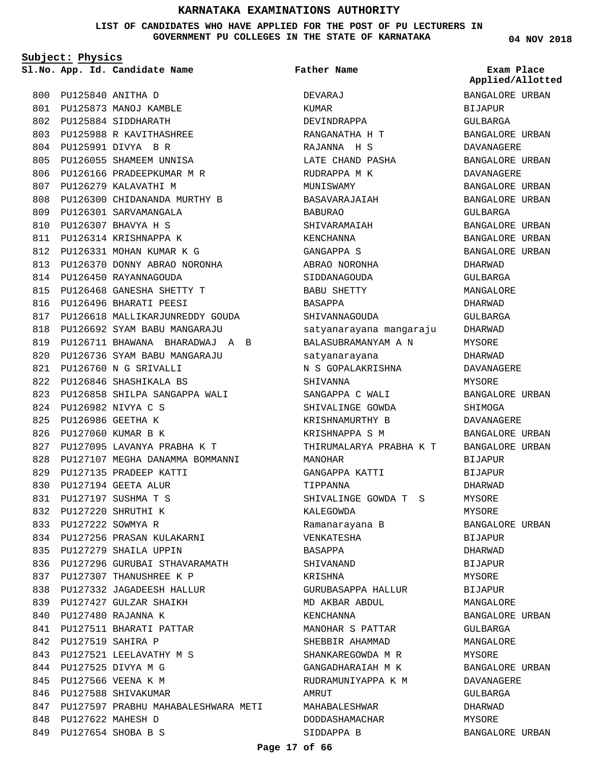**LIST OF CANDIDATES WHO HAVE APPLIED FOR THE POST OF PU LECTURERS IN GOVERNMENT PU COLLEGES IN THE STATE OF KARNATAKA**

**Subject: Physics**

PU125840 ANITHA D 800 801 PU125873 MANOJ KAMBLE 802 PU125884 SIDDHARATH PU125988 R KAVITHASHREE 803 PU125991 DIVYA B R 804 805 PU126055 SHAMEEM UNNISA 806 PU126166 PRADEEPKUMAR M R 807 PU126279 KALAVATHI M PU126300 CHIDANANDA MURTHY B 808 809 PU126301 SARVAMANGALA PU126307 BHAVYA H S 810 811 PU126314 KRISHNAPPA K PU126331 MOHAN KUMAR K G 812 813 PU126370 DONNY ABRAO NORONHA 814 PU126450 RAYANNAGOUDA PU126468 GANESHA SHETTY T 815 816 PU126496 BHARATI PEESI 817 PU126618 MALLIKARJUNREDDY GOUDA PU126692 SYAM BABU MANGARAJU 818 PU126711 BHAWANA BHARADWAJ A B 819 PU126736 SYAM BABU MANGARAJU 820 PU126760 N G SRIVALLI 821 PU126846 SHASHIKALA BS 822 823 PU126858 SHILPA SANGAPPA WALI PU126982 NIVYA C S 824 PU126986 GEETHA K 825 826 PU127060 KUMAR B K PU127095 LAVANYA PRABHA K T 827 828 PU127107 MEGHA DANAMMA BOMMANNI 829 PU127135 PRADEEP KATTI PU127194 GEETA ALUR 830 PU127197 SUSHMA T S 831 PU127220 SHRUTHI K 832 PU127222 SOWMYA R 833 PU127256 PRASAN KULAKARNI 834 835 PU127279 SHAILA UPPIN 836 PU127296 GURUBAI STHAVARAMATH 837 PU127307 THANUSHREE K P PU127332 JAGADEESH HALLUR 838 839 PU127427 GULZAR SHAIKH PU127480 RAJANNA K 840 PU127511 BHARATI PATTAR 841 PU127519 SAHIRA P 842 843 PU127521 LEELAVATHY M S PU127525 DIVYA M G 844 845 PU127566 VEENA K M 846 PU127588 SHIVAKUMAR 847 PU127597 PRABHU MAHABALESHWARA METI 848 PU127622 MAHESH D PU127654 SHOBA B S 849

**App. Id. Candidate Name Sl.No. Exam Place** DEVARAJ KUMAR DEVINDRAPPA RANGANATHA H T RAJANNA H S LATE CHAND PASHA RUDRAPPA M K MUNISWAMY BASAVARAJAIAH BABURAO SHIVARAMAIAH KENCHANNA GANGAPPA S ABRAO NORONHA SIDDANAGOUDA BABU SHETTY BASAPPA SHIVANNAGOUDA satyanarayana mangaraju BALASUBRAMANYAM A N satyanarayana N S GOPALAKRISHNA SHIVANNA SANGAPPA C WALI SHIVALINGE GOWDA KRISHNAMURTHY B KRISHNAPPA S M THIRUMALARYA PRABHA K T MANOHAR GANGAPPA KATTI TIPPANNA SHIVALINGE GOWDA T S KALEGOWDA Ramanarayana B VENKATESHA BASAPPA SHIVANAND KRISHNA GURUBASAPPA HALLUR MD AKBAR ABDUL KENCHANNA MANOHAR S PATTAR SHEBBIR AHAMMAD SHANKAREGOWDA M R GANGADHARAIAH M K RUDRAMUNIYAPPA K M **AMRITT** MAHABALESHWAR DODDASHAMACHAR SIDDAPPA B **Father Name**

**04 NOV 2018**

**Applied/Allotted**

BANGALORE URBAN BIJAPUR GULBARGA BANGALORE URBAN DAVANAGERE BANGALORE URBAN DAVANAGERE BANGALORE URBAN BANGALORE URBAN GULBARGA BANGALORE URBAN BANGALORE URBAN BANGALORE URBAN DHARWAD GULBARGA MANGALORE DHARWAD GULBARGA DHARWAD **MYSORF** DHARWAD DAVANAGERE MYSORE BANGALORE URBAN SHIMOGA DAVANAGERE BANGALORE URBAN BANGALORE URBAN BIJAPUR BIJAPUR DHARWAD MYSORE MYSORE BANGALORE URBAN **BIJAPUR** DHARWAD **BIJAPUR** MYSORE BIJAPUR MANGALORE BANGALORE URBAN GULBARGA MANGALORE MYSORE BANGALORE URBAN DAVANAGERE GULBARGA DHARWAD MYSORE BANGALORE URBAN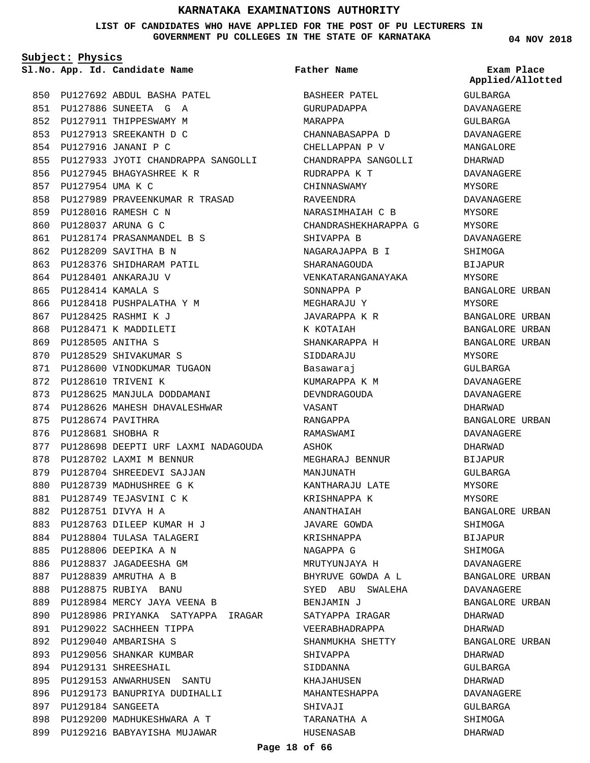**LIST OF CANDIDATES WHO HAVE APPLIED FOR THE POST OF PU LECTURERS IN GOVERNMENT PU COLLEGES IN THE STATE OF KARNATAKA**

**Subject: Physics**

**App. Id. Candidate Name Sl.No. Exam Place**

PU127692 ABDUL BASHA PATEL 850 PU127886 SUNEETA G A 851 852 PU127911 THIPPESWAMY M PU127913 SREEKANTH D C 853 PU127916 JANANI P C 854 855 PU127933 JYOTI CHANDRAPPA SANGOLLI PU127945 BHAGYASHREE K R 856 PU127954 UMA K C 857 858 PU127989 PRAVEENKUMAR R TRASAD PU128016 RAMESH C N 859 PU128037 ARUNA G C 860 PU128174 PRASANMANDEL B S 861 PU128209 SAVITHA B N 862 863 PU128376 SHIDHARAM PATIL PU128401 ANKARAJU V 864 PU128414 KAMALA S 865 866 PU128418 PUSHPALATHA Y M PU128425 RASHMI K J 867 868 PU128471 K MADDILETI PU128505 ANITHA S 869 870 PU128529 SHIVAKUMAR S 871 PU128600 VINODKUMAR TUGAON 872 PU128610 TRIVENI K 873 PU128625 MANJULA DODDAMANI 874 PU128626 MAHESH DHAVALESHWAR 875 PU128674 PAVITHRA 876 PU128681 SHOBHA R 877 PU128698 DEEPTI URF LAXMI NADAGOUDA 878 PU128702 LAXMI M BENNUR 879 PU128704 SHREEDEVI SAJJAN 880 PU128739 MADHUSHREE G K PU128749 TEJASVINI C K 881 PU128751 DIVYA H A 882 PU128763 DILEEP KUMAR H J 883 PU128804 TULASA TALAGERI 884 PU128806 DEEPIKA A N 885 886 PU128837 JAGADEESHA GM PU128839 AMRUTHA A B 887 888 PU128875 RUBIYA BANU PU128984 MERCY JAYA VEENA B 889 890 PU128986 PRIYANKA SATYAPPA IRAGAR 891 PU129022 SACHHEEN TIPPA PU129040 AMBARISHA S 892 893 PU129056 SHANKAR KUMBAR 894 PU129131 SHREESHAIL PU129153 ANWARHUSEN SANTU 895 896 PU129173 BANUPRIYA DUDIHALLI PU129184 SANGEETA 897 898 PU129200 MADHUKESHWARA A T 899 PU129216 BABYAYISHA MUJAWAR

**Father Name**

BASHEER PATEL GURUPADAPPA MARAPPA CHANNABASAPPA D CHELLAPPAN P V CHANDRAPPA SANGOLLI RUDRAPPA K T CHINNASWAMY RAVEENDRA NARASIMHAIAH C B CHANDRASHEKHARAPPA G SHIVAPPA B NAGARAJAPPA B I SHARANAGOUDA VENKATARANGANAYAKA SONNAPPA P MEGHARAJU Y JAVARAPPA K R K KOTAIAH SHANKARAPPA H SIDDARAJU Basawaraj KUMARAPPA K M DEVNDRAGOUDA VASANT RANGAPPA RAMASWAMI ASHOK MEGHARAJ BENNUR MANJUNATH KANTHARAJU LATE KRISHNAPPA K ANANTHAIAH JAVARE GOWDA KRISHNAPPA NAGAPPA G MRUTYUNJAYA H BHYRUVE GOWDA A L SYED ABU SWALEHA BENJAMIN J SATYAPPA IRAGAR VEERABHADRAPPA SHANMUKHA SHETTY SHIVAPPA SIDDANNA KHAJAHUSEN MAHANTESHAPPA SHIVAJI TARANATHA A HUSENASAB

**04 NOV 2018**

GULBARGA DAVANAGERE GULBARGA DAVANAGERE MANGALORE DHARWAD DAVANAGERE MYSORE DAVANAGERE **MYSORE** MYSORE DAVANAGERE SHIMOGA BIJAPUR MYSORE BANGALORE URBAN MYSORE BANGALORE URBAN BANGALORE URBAN BANGALORE URBAN MYSORE GULBARGA DAVANAGERE DAVANAGERE DHARWAD BANGALORE URBAN DAVANAGERE DHARWAD BIJAPUR GULBARGA MYSORE MYSORE BANGALORE URBAN SHIMOGA BIJAPUR **SHIMOGA** DAVANAGERE BANGALORE URBAN DAVANAGERE BANGALORE URBAN DHARWAD DHARWAD BANGALORE URBAN DHARWAD GULBARGA DHARWAD DAVANAGERE GULBARGA SHIMOGA DHARWAD **Applied/Allotted**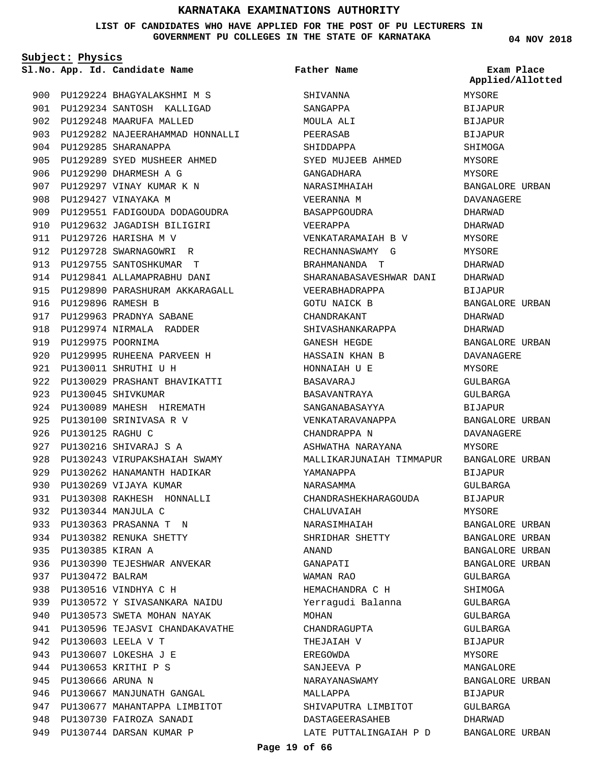### **LIST OF CANDIDATES WHO HAVE APPLIED FOR THE POST OF PU LECTURERS IN GOVERNMENT PU COLLEGES IN THE STATE OF KARNATAKA**

**Subject: Physics**

**App. Id. Candidate Name Sl.No. Exam Place**

PU129285 SHARANAPPA 904

908 PU129427 VINAYAKA M

PU129726 HARISHA M V 911 912 PU129728 SWARNAGOWRI R 913 PU129755 SANTOSHKUMAR T 914 PU129841 ALLAMAPRABHU DANI 915 PU129890 PARASHURAM AKKARAGALL

PU129896 RAMESH B 916

919 PU129975 POORNIMA

PU130011 SHRUTHI U H 921

923 PU130045 SHIVKUMAR

PU130125 RAGHU C 926

PU130216 SHIVARAJ S A 927

930 PU130269 VIJAYA KUMAR

PU130344 MANJULA C 932 PU130363 PRASANNA T N 933 934 PU130382 RENUKA SHETTY

PU130385 KIRAN A 935

PU130472 BALRAM 937

938 PU130516 VINDHYA C H

PU130603 LEELA V T 942 PU130607 LOKESHA J E 943 PU130653 KRITHI P S 944 PU130666 ARUNA N 945

917 PU129963 PRADNYA SABANE 918 PU129974 NIRMALA RADDER

920 PU129995 RUHEENA PARVEEN H

924 PU130089 MAHESH HIREMATH 925 PU130100 SRINIVASA R V

922 PU130029 PRASHANT BHAVIKATTI

928 PU130243 VIRUPAKSHAIAH SWAMY 929 PU130262 HANAMANTH HADIKAR

PU130308 RAKHESH HONNALLI 931

936 PU130390 TEJESHWAR ANVEKAR

PU130572 Y SIVASANKARA NAIDU 939 940 PU130573 SWETA MOHAN NAYAK 941 PU130596 TEJASVI CHANDAKAVATHE

946 PU130667 MANJUNATH GANGAL 947 PU130677 MAHANTAPPA LIMBITOT

948 PU130730 FAIROZA SANADI 949 PU130744 DARSAN KUMAR P

PU129290 DHARMESH A G 906 PU129297 VINAY KUMAR K N 907

900 PU129224 BHAGYALAKSHMI M S PU129234 SANTOSH KALLIGAD 901 902 PU129248 MAARUFA MALLED

PU129289 SYED MUSHEER AHMED 905

909 PU129551 FADIGOUDA DODAGOUDRA 910 PU129632 JAGADISH BILIGIRI

903 PU129282 NAJEERAHAMMAD HONNALLI

**Father Name**

**SHIVANNA** SANGAPPA MOULA ALI PEERASAB SHIDDAPPA

SYED MUJEEB AHMED

VENKATARAMAIAH B V RECHANNASWAMY G BRAHMANANDA T

VEERABHADRAPPA GOTU NAICK B CHANDRAKANT

SHIVASHANKARAPPA GANESH HEGDE HASSAIN KHAN B HONNAIAH U E BASAVARAJ BASAVANTRAYA SANGANABASAYYA VENKATARAVANAPPA

CHANDRAPPA N

YAMANAPPA NARASAMMA

CHALUVAIAH NARASIMHAIAH SHRIDHAR SHETTY

HEMACHANDRA C H Yerragudi Balanna

SHIVAPUTRA LIMBITOT DASTAGEERASAHEB

LATE PUTTALINGAIAH P D

CHANDRAGUPTA THEJAIAH V EREGOWDA SANJEEVA P NARAYANASWAMY

MALLAPPA

ANAND GANAPATI WAMAN RAO

MOHAN

ASHWATHA NARAYANA

CHANDRASHEKHARAGOUDA

SHARANABASAVESHWAR DANI

GANGADHARA NARASIMHAIAH VEERANNA M BASAPPGOUDRA VEERAPPA

**04 NOV 2018** MALLIKARJUNAIAH TIMMAPUR BANGALORE URBAN MYSORE **BIJAPUR** BIJAPUR BIJAPUR SHIMOGA MYSORE MYSORE BANGALORE URBAN DAVANAGERE DHARWAD DHARWAD MYSORE MYSORE DHARWAD DHARWAD BIJAPUR BANGALORE URBAN DHARWAD DHARWAD BANGALORE URBAN DAVANAGERE MYSORE GULBARGA GULBARGA BIJAPUR BANGALORE URBAN DAVANAGERE MYSORE BIJAPUR GULBARGA BIJAPUR MYSORE BANGALORE URBAN BANGALORE URBAN BANGALORE URBAN BANGALORE URBAN GULBARGA SHIMOGA GULBARGA GULBARGA GULBARGA **Applied/Allotted**

> BIJAPUR **MYSORE** MANCALORE

BIJAPUR GULBARGA DHARWAD

BANGALORE URBAN

BANGALORE URBAN

**Page 19 of 66**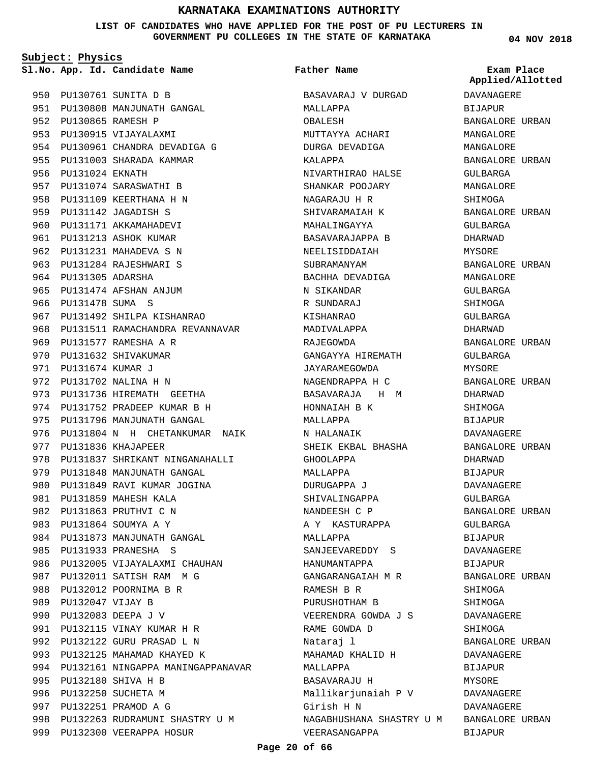**LIST OF CANDIDATES WHO HAVE APPLIED FOR THE POST OF PU LECTURERS IN GOVERNMENT PU COLLEGES IN THE STATE OF KARNATAKA**

**Subject: Physics**

**App. Id. Candidate Name Sl.No. Exam Place**

PU130761 SUNITA D B 950 951 PU130808 MANJUNATH GANGAL PU130865 RAMESH P 952 953 PU130915 VIJAYALAXMI 954 PU130961 CHANDRA DEVADIGA G 955 PU131003 SHARADA KAMMAR 956 PU131024 EKNATH 957 PU131074 SARASWATHI B 958 PU131109 KEERTHANA H N 959 PU131142 JAGADISH S 960 PU131171 AKKAMAHADEVI 961 PU131213 ASHOK KUMAR 962 PU131231 MAHADEVA S N 963 PU131284 RAJESHWARI S 964 PU131305 ADARSHA 965 PU131474 AFSHAN ANJUM 966 PU131478 SUMA S 967 PU131492 SHILPA KISHANRAO 968 PU131511 RAMACHANDRA REVANNAVAR 969 PU131577 RAMESHA A R 970 PU131632 SHIVAKUMAR PU131674 KUMAR J 971 972 PU131702 NALINA H N 973 PU131736 HIREMATH GEETHA 974 PU131752 PRADEEP KUMAR B H 975 PU131796 MANJUNATH GANGAL 976 PU131804 N H CHETANKUMAR NAIK 977 PU131836 KHAJAPEER 978 PU131837 SHRIKANT NINGANAHALLI 979 PU131848 MANJUNATH GANGAL 980 PU131849 RAVI KUMAR JOGINA 981 PU131859 MAHESH KALA PU131863 PRUTHVI C N 982 PU131864 SOUMYA A Y 983 984 PU131873 MANJUNATH GANGAL PU131933 PRANESHA S 985 986 PU132005 VIJAYALAXMI CHAUHAN 987 PU132011 SATISH RAM M G 988 PU132012 POORNIMA B R 989 PU132047 VIJAY B PU132083 DEEPA J V 990 PU132115 VINAY KUMAR H R 991 PU132122 GURU PRASAD L N 992 993 PU132125 MAHAMAD KHAYED K 994 PU132161 NINGAPPA MANINGAPPANAVAR PU132180 SHIVA H B 995 996 PU132250 SUCHETA M 997 PU132251 PRAMOD A G 998 PU132263 RUDRAMUNI SHASTRY U M 999 PU132300 VEERAPPA HOSUR

# **Father Name**

BASAVARAJ V DURGAD MALLAPPA OBALESH MUTTAYYA ACHARI DURGA DEVADIGA KALAPPA NIVARTHIRAO HALSE SHANKAR POOJARY NAGARAJU H R SHIVARAMAIAH K MAHALINGAYYA BASAVARAJAPPA B NEELISIDDAIAH SUBRAMANYAM BACHHA DEVADIGA N SIKANDAR R SUNDARAJ KISHANRAO MADIVALAPPA RAJEGOWDA GANGAYYA HIREMATH JAYARAMEGOWDA NAGENDRAPPA H C BASAVARAJA H M HONNAIAH B K MALLAPPA N HALANAIK SHEIK EKBAL BHASHA GHOOLAPPA MALLAPPA DURUGAPPA J SHIVALINGAPPA NANDEESH C P A Y KASTURAPPA MALLAPPA SANJEEVAREDDY S HANUMANTAPPA GANGARANGAIAH M R RAMESH B R PURUSHOTHAM B VEERENDRA GOWDA J S RAME GOWDA D Nataraj l MAHAMAD KHALID H MALLAPPA BASAVARAJU H Mallikarjunaiah P V Girish H N NAGABHUSHANA SHASTRY U M BANGALORE URBAN VEERASANGAPPA

**04 NOV 2018**

DAVANAGERE BIJAPUR BANGALORE URBAN MANGALORE MANGALORE BANGALORE URBAN GULBARGA MANGALORE SHIMOGA BANGALORE URBAN GULBARGA DHARWAD MYSORE BANGALORE URBAN MANGALORE GULBARGA SHIMOGA GULBARGA DHARWAD BANGALORE URBAN GULBARGA MYSORE BANGALORE URBAN DHARWAD SHIMOGA BIJAPUR DAVANAGERE BANGALORE URBAN DHARWAD BIJAPUR DAVANAGERE GULBARGA BANGALORE URBAN GULBARGA BIJAPUR DAVANAGERE **BIJAPUR** BANGALORE URBAN SHIMOGA SHIMOGA DAVANAGERE SHIMOGA BANGALORE URBAN DAVANAGERE BIJAPUR **MYSORE** DAVANAGERE DAVANAGERE BIJAPUR **Applied/Allotted**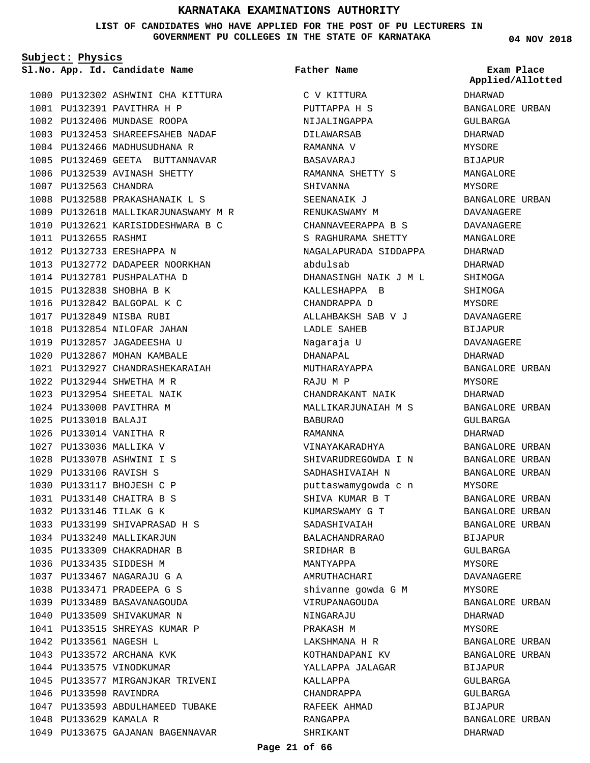**LIST OF CANDIDATES WHO HAVE APPLIED FOR THE POST OF PU LECTURERS IN GOVERNMENT PU COLLEGES IN THE STATE OF KARNATAKA**

**Subject: Physics**

**App. Id. Candidate Name Sl.No. Exam Place**

**Father Name**

C V KITTURA PUTTAPPA H S NIJALINGAPPA DILAWARSAB RAMANNA V

DHARWAD BANGALORE URBAN GULBARGA DHARWAD MYSORE BIJAPUR MANGALORE MYSORE BANGALORE URBAN DAVANAGERE DAVANAGERE MANGALORE DHARWAD DHARWAD SHIMOGA SHIMOGA MYSORE DAVANAGERE BIJAPUR DAVANAGERE DHARWAD BANGALORE URBAN MYSORE DHARWAD BANGALORE URBAN GULBARGA DHARWAD BANGALORE URBAN BANGALORE URBAN BANGALORE URBAN MYSORE BANGALORE URBAN BANGALORE URBAN BANGALORE URBAN BIJAPUR GULBARGA MYSORE DAVANAGERE MYSORE BANGALORE URBAN DHARWAD MYSORE BANGALORE URBAN BANGALORE URBAN BIJAPUR GULBARGA GULBARGA BIJAPUR BANGALORE URBAN **Applied/Allotted**

DHARWAD

1000 PU132302 ASHWINI CHA KITTURA 1001 PU132391 PAVITHRA H P 1002 PU132406 MUNDASE ROOPA PU132453 SHAREEFSAHEB NADAF 1003 1004 PU132466 MADHUSUDHANA R 1005 PU132469 GEETA BUTTANNAVAR 1006 PU132539 AVINASH SHETTY 1007 PU132563 CHANDRA 1008 PU132588 PRAKASHANAIK L S 1009 PU132618 MALLIKARJUNASWAMY M R 1010 PU132621 KARISIDDESHWARA B C 1011 PU132655 RASHMI PU132733 ERESHAPPA N 1012 1013 PU132772 DADAPEER NOORKHAN 1014 PU132781 PUSHPALATHA D PU132838 SHOBHA B K 1015 1016 PU132842 BALGOPAL K C PU132849 NISBA RUBI 1017 1018 PU132854 NILOFAR JAHAN 1019 PU132857 JAGADEESHA U 1020 PU132867 MOHAN KAMBALE PU132927 CHANDRASHEKARAIAH 1021 PU132944 SHWETHA M R 1022 PU132954 SHEETAL NAIK 1023 1024 PU133008 PAVITHRA M PU133010 BALAJI 1025 PU133014 VANITHA R 1026 1027 PU133036 MALLIKA V PU133078 ASHWINI I S 1028 PU133106 RAVISH S 1029 1030 PU133117 BHOJESH C P PU133140 CHAITRA B S 1031 PU133146 TILAK G K 1032 1033 PU133199 SHIVAPRASAD H S 1034 PU133240 MALLIKARJUN PU133309 CHAKRADHAR B 1035 1036 PU133435 SIDDESH M PU133467 NAGARAJU G A 1037 PU133471 PRADEEPA G S 1038 1039 PU133489 BASAVANAGOUDA 1040 PU133509 SHIVAKUMAR N 1041 PU133515 SHREYAS KUMAR P 1042 PU133561 NAGESH L 1043 PU133572 ARCHANA KVK 1044 PU133575 VINODKUMAR 1045 PU133577 MIRGANJKAR TRIVENI 1046 PU133590 RAVINDRA 1047 PU133593 ABDULHAMEED TUBAKE 1048 PU133629 KAMALA R

1049 PU133675 GAJANAN BAGENNAVAR

BASAVARAJ RAMANNA SHETTY S SHIVANNA SEENANAIK J RENUKASWAMY M CHANNAVEERAPPA B S S RAGHURAMA SHETTY NAGALAPURADA SIDDAPPA abdulsab DHANASINGH NAIK J M L KALLESHAPPA B CHANDRAPPA D ALLAHBAKSH SAB V J LADLE SAHEB Nagaraja U DHANAPAL MUTHARAYAPPA RAJU M P CHANDRAKANT NAIK MALLIKARJUNAIAH M S BABURAO RAMANNA VINAYAKARADHYA SHIVARUDREGOWDA I N SADHASHIVAIAH N puttaswamygowda c n SHIVA KUMAR B T KUMARSWAMY G T SADASHIVAIAH BALACHANDRARAO SRIDHAR B MANTYAPPA AMRUTHACHARI shivanne gowda G M VIRUPANAGOUDA NINGARAJU PRAKASH M LAKSHMANA H R KOTHANDAPANI KV YALLAPPA JALAGAR KALLAPPA CHANDRAPPA RAFEEK AHMAD RANGAPPA SHRIKANT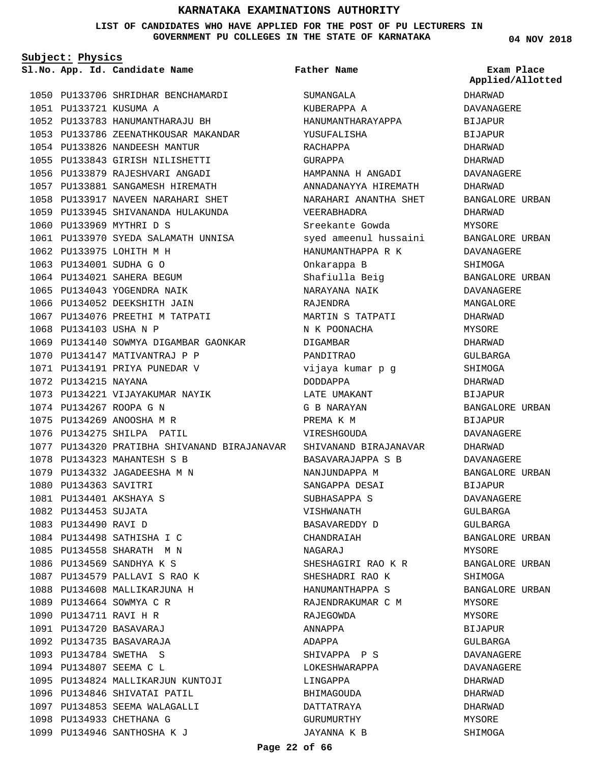### **LIST OF CANDIDATES WHO HAVE APPLIED FOR THE POST OF PU LECTURERS IN GOVERNMENT PU COLLEGES IN THE STATE OF KARNATAKA**

**Father Name**

**Subject: Physics**

**App. Id. Candidate Name Sl.No. Exam Place**

1050 PU133706 SHRIDHAR BENCHAMARDI PU133721 KUSUMA A 1051 PU133783 HANUMANTHARAJU BH 1052 1053 PU133786 ZEENATHKOUSAR MAKANDAR 1054 PU133826 NANDEESH MANTUR PU133843 GIRISH NILISHETTI 1055 PU133879 RAJESHVARI ANGADI 1056 PU133881 SANGAMESH HIREMATH 1057 1058 PU133917 NAVEEN NARAHARI SHET 1059 PU133945 SHIVANANDA HULAKUNDA 1060 PU133969 MYTHRI D S 1061 PU133970 SYEDA SALAMATH UNNISA 1062 PU133975 LOHITH M H PU134001 SUDHA G O 1063 1064 PU134021 SAHERA BEGUM 1065 PU134043 YOGENDRA NAIK 1066 PU134052 DEEKSHITH JAIN 1067 PU134076 PREETHI M TATPATI 1068 PU134103 USHA N P 1069 PU134140 SOWMYA DIGAMBAR GAONKAR 1070 PU134147 MATIVANTRAJ P P 1071 PU134191 PRIYA PUNEDAR V 1072 PU134215 NAYANA 1073 PU134221 VIJAYAKUMAR NAYIK PU134267 ROOPA G N 1074 PU134269 ANOOSHA M R 1075 1076 PU134275 SHILPA PATIL 1077 PU134320 PRATIBHA SHIVANAND BIRAJANAVAR SHIVANAND BIRAJANAVAR 1078 PU134323 MAHANTESH S B 1079 PU134332 JAGADEESHA M N 1080 PU134363 SAVITRI PU134401 AKSHAYA S 1081 1082 PU134453 SUJATA 1083 PU134490 RAVI D 1084 PU134498 SATHISHA I C PU134558 SHARATH M N 1085 1086 PU134569 SANDHYA K S 1087 PU134579 PALLAVI S RAO K 1088 PU134608 MALLIKARJUNA H PU134664 SOWMYA C R 1089 1090 PU134711 RAVI H R PU134720 BASAVARAJ 1091 PU134735 BASAVARAJA 1092 PU134784 SWETHA S 1093 1094 PU134807 SEEMA C L PU134824 MALLIKARJUN KUNTOJI 1095 1096 PU134846 SHIVATAI PATIL 1097 PU134853 SEEMA WALAGALLI 1098 PU134933 CHETHANA G

1099 PU134946 SANTHOSHA K J

SUMANGALA KUBERAPPA A HANUMANTHARAYAPPA YUSUFALISHA RACHAPPA GURAPPA HAMPANNA H ANGADI ANNADANAYYA HIREMATH NARAHARI ANANTHA SHET VEERABHADRA Sreekante Gowda syed ameenul hussaini HANUMANTHAPPA R K Onkarappa B Shafiulla Beig NARAYANA NAIK RAJENDRA MARTIN S TATPATI N K POONACHA DIGAMBAR PANDITRAO vijaya kumar p g DODDAPPA LATE UMAKANT G B NARAYAN PREMA K M VIRESHGOUDA BASAVARAJAPPA S B NANJUNDAPPA M SANGAPPA DESAI SUBHASAPPA S VISHWANATH BASAVAREDDY D CHANDRAIAH NAGARAJ SHESHAGIRI RAO K R SHESHADRI RAO K HANUMANTHAPPA S RAJENDRAKUMAR C M RAJEGOWDA ANNAPPA ADAPPA SHIVAPPA P S LOKESHWARAPPA LINGAPPA BHIMAGOUDA DATTATRAYA GURUMURTHY JAYANNA K B

### **04 NOV 2018**

# **Applied/Allotted**

DHARWAD DAVANAGERE BIJAPUR BIJAPUR DHARWAD DHARWAD DAVANAGERE DHARWAD BANGALORE URBAN DHARWAD MYSORE BANGALORE URBAN DAVANAGERE SHIMOGA BANGALORE URBAN DAVANAGERE MANGALORE DHARWAD MYSORE DHARWAD GULBARGA SHIMOGA DHARWAD BIJAPUR BANGALORE URBAN BIJAPUR DAVANAGERE DHARWAD DAVANAGERE BANGALORE URBAN BIJAPUR DAVANAGERE GULBARGA GULBARGA BANGALORE URBAN MYSORE BANGALORE URBAN SHIMOGA BANGALORE URBAN MYSORE MYSORE BIJAPUR GULBARGA DAVANAGERE DAVANAGERE DHARWAD DHARWAD DHARWAD MYSORE

SHIMOGA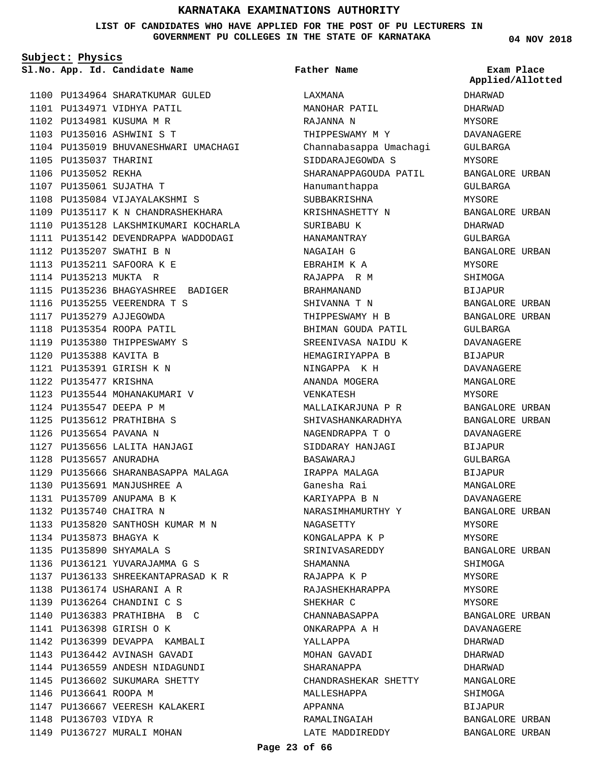### **LIST OF CANDIDATES WHO HAVE APPLIED FOR THE POST OF PU LECTURERS IN GOVERNMENT PU COLLEGES IN THE STATE OF KARNATAKA**

**Subject: Physics**

**App. Id. Candidate Name Sl.No. Exam Place**

1100 PU134964 SHARATKUMAR GULED 1101 PU134971 VIDHYA PATIL 1102 PU134981 KUSUMA M R PU135016 ASHWINI S T 1103 1104 PU135019 BHUVANESHWARI UMACHAGI 1105 PU135037 THARINI 1106 PU135052 REKHA 1107 PU135061 SUJATHA T 1108 PU135084 VIJAYALAKSHMI S 1109 PU135117 K N CHANDRASHEKHARA 1110 PU135128 LAKSHMIKUMARI KOCHARLA 1111 PU135142 DEVENDRAPPA WADDODAGI 1112 PU135207 SWATHI B N 1113 PU135211 SAFOORA K E 1114 PU135213 MUKTA R 1115 PU135236 BHAGYASHREE BADIGER 1116 PU135255 VEERENDRA T S 1117 PU135279 AJJEGOWDA 1118 PU135354 ROOPA PATIL 1119 PU135380 THIPPESWAMY S PU135388 KAVITA B 1120 PU135391 GIRISH K N 1121 1122 PU135477 KRISHNA 1123 PU135544 MOHANAKUMARI V PU135547 DEEPA P M 1124 PU135612 PRATHIBHA S 1125 1126 PU135654 PAVANA N 1127 PU135656 LALITA HANJAGI PU135657 ANURADHA 1128 1129 PU135666 SHARANBASAPPA MALAGA PU135691 MANJUSHREE A 1130 1131 PU135709 ANUPAMA B K PU135740 CHAITRA N 1132 PU135820 SANTHOSH KUMAR M N 1133 1134 PU135873 BHAGYA K PU135890 SHYAMALA S 1135 1136 PU136121 YUVARAJAMMA G S PU136133 SHREEKANTAPRASAD K R 1137 PU136174 USHARANI A R 1138 PU136264 CHANDINI C S 1139 1140 PU136383 PRATHIBHA B C PU136398 GIRISH O K 1141 1142 PU136399 DEVAPPA KAMBALI 1143 PU136442 AVINASH GAVADI 1144 PU136559 ANDESH NIDAGUNDI 1145 PU136602 SUKUMARA SHETTY 1146 PU136641 ROOPA M PU136667 VEERESH KALAKERI 1147 1148 PU136703 VIDYA R 1149 PU136727 MURALI MOHAN

LAXMANA MANOHAR PATIL RAJANNA N THIPPESWAMY M Y Channabasappa Umachagi SIDDARAJEGOWDA S SHARANAPPAGOUDA PATIL Hanumanthappa SUBBAKRISHNA KRISHNASHETTY N SURIBABU K HANAMANTRAY NAGAIAH G EBRAHIM K A RAJAPPA R M BRAHMANAND SHIVANNA T N THIPPESWAMY H B BHIMAN GOUDA PATIL SREENIVASA NAIDU K HEMAGIRIYAPPA B NINGAPPA K H ANANDA MOGERA VENKATESH MALLAIKARJUNA P R SHIVASHANKARADHYA NAGENDRAPPA T O SIDDARAY HANJAGI BASAWARAJ IRAPPA MALAGA Ganesha Rai KARIYAPPA B N NARASIMHAMURTHY Y NAGASETTY KONGALAPPA K P SRINIVASAREDDY SHAMANNA RAJAPPA K P RAJASHEKHARAPPA SHEKHAR C CHANNABASAPPA ONKARAPPA A H YALLAPPA MOHAN GAVADI SHARANAPPA CHANDRASHEKAR SHETTY MALLESHAPPA APPANNA RAMALINGAIAH **Father Name**

**04 NOV 2018**

DHARWAD DHARWAD MYSORE DAVANAGERE GULBARGA MYSORE BANGALORE URBAN GULBARGA MYSORE BANGALORE URBAN DHARWAD GULBARGA BANGALORE URBAN MYSORE SHIMOGA BIJAPUR BANGALORE URBAN BANGALORE URBAN GULBARGA DAVANAGERE **BIJAPUR** DAVANAGERE MANGALORE MYSORE BANGALORE URBAN BANGALORE URBAN DAVANAGERE BIJAPUR GULBARGA BIJAPUR MANGALORE DAVANAGERE BANGALORE URBAN MYSORE MYSORE BANGALORE URBAN SHIMOGA MYSORE MYSORE MYSORE BANGALORE URBAN DAVANAGERE DHARWAD DHARWAD DHARWAD MANGALORE SHIMOGA BIJAPUR BANGALORE URBAN BANGALORE URBAN **Applied/Allotted**

LATE MADDIREDDY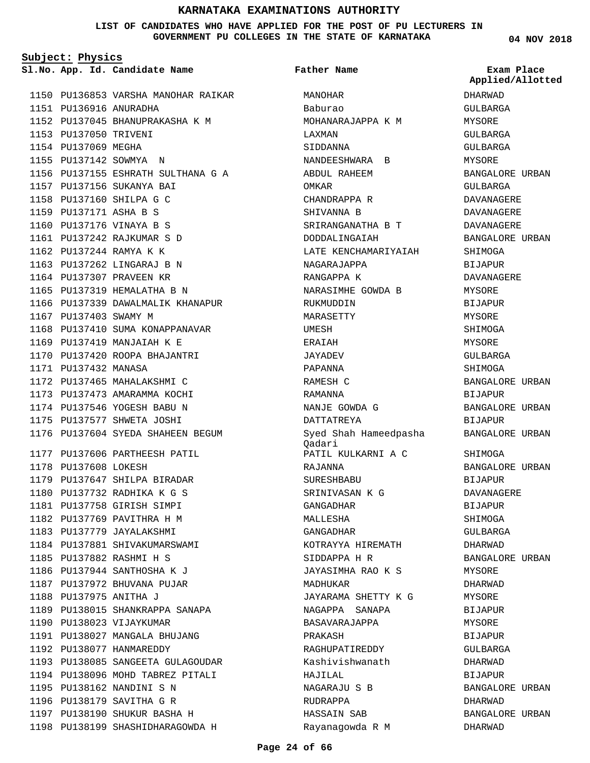### **LIST OF CANDIDATES WHO HAVE APPLIED FOR THE POST OF PU LECTURERS IN GOVERNMENT PU COLLEGES IN THE STATE OF KARNATAKA**

**Subject: Physics**

**App. Id. Candidate Name Sl.No. Exam Place**

1150 PU136853 VARSHA MANOHAR RAIKAR PU136916 ANURADHA 1151 PU137045 BHANUPRAKASHA K M 1152 1153 PU137050 TRIVENI 1154 PU137069 MEGHA 1155 PU137142 SOWMYA N 1156 PU137155 ESHRATH SULTHANA G A PU137156 SUKANYA BAI 1157 1158 PU137160 SHILPA G C PU137171 ASHA B S 1159 1160 PU137176 VINAYA B S PU137242 RAJKUMAR S D 1161 PU137244 RAMYA K K 1162 1163 PU137262 LINGARAJ B N 1164 PU137307 PRAVEEN KR 1165 PU137319 HEMALATHA B N 1166 PU137339 DAWALMALIK KHANAPUR 1167 PU137403 SWAMY M 1168 PU137410 SUMA KONAPPANAVAR 1169 PU137419 MANJAIAH K E 1170 PU137420 ROOPA BHAJANTRI 1171 PU137432 MANASA 1172 PU137465 MAHALAKSHMI C 1173 PU137473 AMARAMMA KOCHI 1174 PU137546 YOGESH BABU N 1175 PU137577 SHWETA JOSHI 1176 PU137604 SYEDA SHAHEEN BEGUM 1177 PU137606 PARTHEESH PATIL 1178 PU137608 LOKESH 1179 PU137647 SHILPA BIRADAR PU137732 RADHIKA K G S 1180 PU137758 GIRISH SIMPI 1181 1182 PU137769 PAVITHRA H M 1183 PU137779 JAYALAKSHMI 1184 PU137881 SHIVAKUMARSWAMI PU137882 RASHMI H S 1185 1186 PU137944 SANTHOSHA K J 1187 PU137972 BHUVANA PUJAR PU137975 ANITHA J 1188 1189 PU138015 SHANKRAPPA SANAPA 1190 PU138023 VIJAYKUMAR 1191 PU138027 MANGALA BHUJANG 1192 PU138077 HANMAREDDY 1193 PU138085 SANGEETA GULAGOUDAR 1194 PU138096 MOHD TABREZ PITALI 1195 PU138162 NANDINI S N 1196 PU138179 SAVITHA G R 1197 PU138190 SHUKUR BASHA H 1198 PU138199 SHASHIDHARAGOWDA H

MANOHAR Baburao MOHANARAJAPPA K M LAXMAN SIDDANNA NANDEESHWARA B ABDUL RAHEEM OMKAR CHANDRAPPA R SHIVANNA B SRIRANGANATHA B T DODDALINGAIAH LATE KENCHAMARIYAIAH NAGARAJAPPA RANGAPPA K NARASIMHE GOWDA B RUKMUDDIN MARASETTY UMESH ERAIAH JAYADEV PAPANNA RAMESH C RAMANNA NANJE GOWDA G DATTATREYA Syed Shah Hameedpasha Qadari PATIL KULKARNI A C RAJANNA SURESHBABU SRINIVASAN K G GANGADHAR MALLESHA GANGADHAR KOTRAYYA HIREMATH SIDDAPPA H R JAYASIMHA RAO K S MADHUKAR JAYARAMA SHETTY K G NAGAPPA SANAPA BASAVARAJAPPA PRAKASH RAGHUPATIREDDY Kashivishwanath HAJILAL NAGARAJU S B RUDRAPPA HASSAIN SAB Rayanagowda R M **Father Name**

**04 NOV 2018**

DHARWAD GULBARGA MYSORE GULBARGA GULBARGA MYSORE BANGALORE URBAN GULBARGA DAVANAGERE DAVANAGERE DAVANAGERE BANGALORE URBAN SHIMOGA BIJAPUR DAVANAGERE MYSORE BIJAPUR **MYSORE** SHIMOGA **MYSORF** GULBARGA SHIMOGA BANGALORE URBAN BIJAPUR BANGALORE URBAN BIJAPUR BANGALORE URBAN SHIMOGA BANGALORE URBAN BIJAPUR DAVANAGERE BIJAPUR SHIMOGA GULBARGA DHARWAD BANGALORE URBAN MYSORE DHARWAD MYSORE BIJAPUR MYSORE BIJAPUR GULBARGA DHARWAD BIJAPUR BANGALORE URBAN DHARWAD BANGALORE URBAN DHARWAD **Applied/Allotted**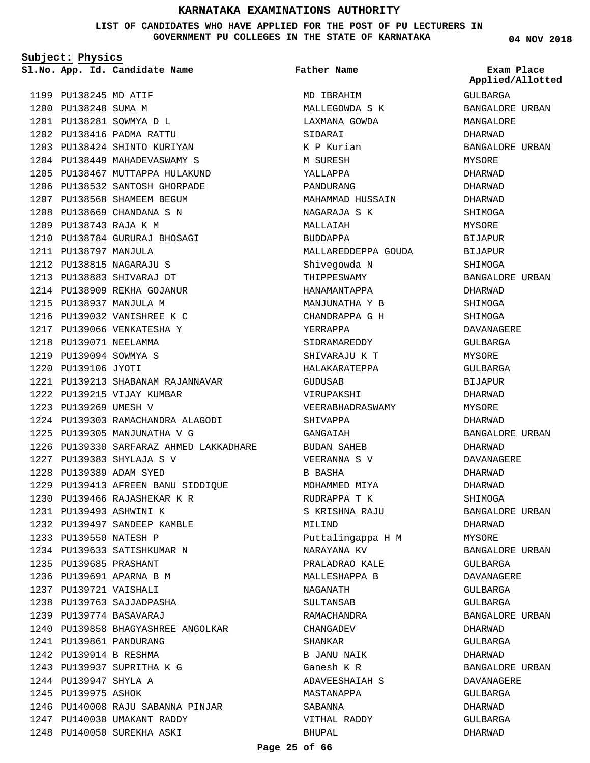**LIST OF CANDIDATES WHO HAVE APPLIED FOR THE POST OF PU LECTURERS IN GOVERNMENT PU COLLEGES IN THE STATE OF KARNATAKA**

**Subject: Physics**

1199 PU138245 MD ATIF 1200 PU138248 SUMA M PU138281 SOWMYA D L 1201 PU138416 PADMA RATTU 1202 1203 PU138424 SHINTO KURIYAN 1204 PU138449 MAHADEVASWAMY S 1205 PU138467 MUTTAPPA HULAKUND 1206 PU138532 SANTOSH GHORPADE 1207 PU138568 SHAMEEM BEGUM PU138669 CHANDANA S N 1208 PU138743 RAJA K M 1209 1210 PU138784 GURURAJ BHOSAGI PU138797 MANJULA 1211 PU138815 NAGARAJU S 1212 PU138883 SHIVARAJ DT 1213 1214 PU138909 REKHA GOJANUR 1215 PU138937 MANJULA M 1216 PU139032 VANISHREE K C 1217 PU139066 VENKATESHA Y 1218 PU139071 NEELAMMA PU139094 SOWMYA S 1219 PU139106 JYOTI 1220 PU139213 SHABANAM RAJANNAVAR 1221 1222 PU139215 VIJAY KUMBAR 1223 PU139269 UMESH V PU139303 RAMACHANDRA ALAGODI 1224 1225 PU139305 MANJUNATHA V G 1226 PU139330 SARFARAZ AHMED LAKKADHARE PU139383 SHYLAJA S V 1227 PU139389 ADAM SYED 1228 PU139413 AFREEN BANU SIDDIQUE 1229 1230 PU139466 RAJASHEKAR K R PU139493 ASHWINI K 1231 1232 PU139497 SANDEEP KAMBLE 1233 PU139550 NATESH P 1234 PU139633 SATISHKUMAR N PU139685 PRASHANT 1235 1236 PU139691 APARNA B M PU139721 VAISHALI 1237 1238 PU139763 SAJJADPASHA PU139774 BASAVARAJ 1239 1240 PU139858 BHAGYASHREE ANGOLKAR 1241 PU139861 PANDURANG PU139914 B RESHMA 1242 1243 PU139937 SUPRITHA K G 1244 PU139947 SHYLA A 1245 PU139975 ASHOK 1246 PU140008 RAJU SABANNA PINJAR 1247 PU140030 UMAKANT RADDY 1248 PU140050 SUREKHA ASKI **App. Id. Candidate Name Sl.No. Exam Place**

MD IBRAHIM MALLEGOWDA S K LAXMANA GOWDA SIDARAI K P Kurian M SURESH YALLAPPA PANDURANG MAHAMMAD HUSSAIN NAGARAJA S K MALLAIAH BUDDAPPA MALLAREDDEPPA GOUDA Shivegowda N THIPPESWAMY HANAMANTAPPA MANJUNATHA Y B CHANDRAPPA G H YERRAPPA SIDRAMAREDDY SHIVARAJU K T HALAKARATEPPA GUDUSAB VIRUPAKSHI VEERABHADRASWAMY SHIVAPPA GANGAIAH BUDAN SAHEB VEERANNA S V B BASHA MOHAMMED MIYA RUDRAPPA T K S KRISHNA RAJU MILIND Puttalingappa H M NARAYANA KV PRALADRAO KALE MALLESHAPPA B NAGANATH SULTANSAB RAMACHANDRA CHANGADEV SHANKAR B JANU NAIK Ganesh K R ADAVEESHAIAH S MASTANAPPA SABANNA VITHAL RADDY BHUPAL **Father Name**

**04 NOV 2018**

GULBARGA BANGALORE URBAN MANGALORE DHARWAD BANGALORE URBAN MYSORE DHARWAD DHARWAD DHARWAD SHIMOGA MYSORE BIJAPUR BIJAPUR SHIMOGA BANGALORE URBAN DHARWAD SHIMOGA **SHIMOGA** DAVANAGERE GULBARGA MYSORE GULBARGA BIJAPUR DHARWAD MYSORE DHARWAD BANGALORE URBAN DHARWAD DAVANAGERE DHARWAD DHARWAD SHIMOGA BANGALORE URBAN DHARWAD MYSORE BANGALORE URBAN GULBARGA DAVANAGERE GULBARGA GULBARGA BANGALORE URBAN DHARWAD GULBARGA DHARWAD BANGALORE URBAN DAVANAGERE GULBARGA DHARWAD GULBARGA DHARWAD **Applied/Allotted**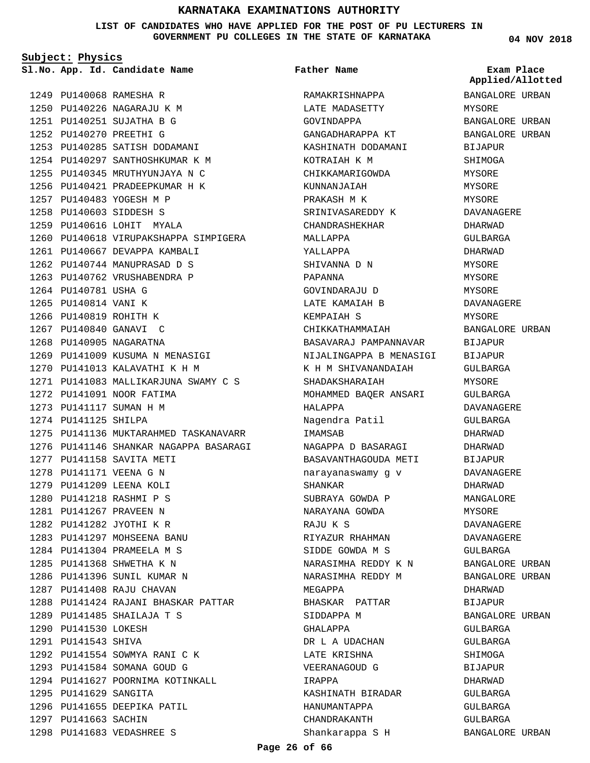**LIST OF CANDIDATES WHO HAVE APPLIED FOR THE POST OF PU LECTURERS IN GOVERNMENT PU COLLEGES IN THE STATE OF KARNATAKA**

**Subject: Physics**

**App. Id. Candidate Name Sl.No. Exam Place**

**Father Name**

PU140068 RAMESHA R 1249 1250 PU140226 NAGARAJU K M PU140251 SUJATHA B G 1251 PU140270 PREETHI G 1252 1253 PU140285 SATISH DODAMANI 1254 PU140297 SANTHOSHKUMAR K M 1255 PU140345 MRUTHYUNJAYA N C 1256 PU140421 PRADEEPKUMAR H K 1257 PU140483 YOGESH M P PU140603 SIDDESH S 1258 1259 PU140616 LOHIT MYALA 1260 PU140618 VIRUPAKSHAPPA SIMPIGERA 1261 PU140667 DEVAPPA KAMBALI 1262 PU140744 MANUPRASAD D S 1263 PU140762 VRUSHABENDRA P 1264 PU140781 USHA G 1265 PU140814 VANI K 1266 PU140819 ROHITH K 1267 PU140840 GANAVI C 1268 PU140905 NAGARATNA 1269 PU141009 KUSUMA N MENASIGI 1270 PU141013 KALAVATHI K H M PU141083 MALLIKARJUNA SWAMY C S 1271 1272 PU141091 NOOR FATIMA 1273 PU141117 SUMAN H M 1274 PU141125 SHILPA 1275 PU141136 MUKTARAHMED TASKANAVARR 1276 PU141146 SHANKAR NAGAPPA BASARAGI 1277 PU141158 SAVITA METI 1278 PU141171 VEENA G N 1279 PU141209 LEENA KOLI PU141218 RASHMI P S 1280 PU141267 PRAVEEN N 1281 PU141282 JYOTHI K R 1282 1283 PU141297 MOHSEENA BANU PU141304 PRAMEELA M S 1284 PU141368 SHWETHA K N 1285 1286 PU141396 SUNIL KUMAR N 1287 PU141408 RAJU CHAVAN 1288 PU141424 RAJANI BHASKAR PATTAR PU141485 SHAILAJA T S 1289 1290 PU141530 LOKESH 1291 PU141543 SHIVA 1292 PU141554 SOWMYA RANI C K 1293 PU141584 SOMANA GOUD G 1294 PU141627 POORNIMA KOTINKALL 1295 PU141629 SANGITA 1296 PU141655 DEEPIKA PATIL 1297 PU141663 SACHIN PU141683 VEDASHREE S 1298

RAMAKRISHNAPPA LATE MADASETTY GOVINDAPPA GANGADHARAPPA KT KASHINATH DODAMANI KOTRAIAH K M CHIKKAMARIGOWDA KUNNANJAIAH PRAKASH M K SRINIVASAREDDY K CHANDRASHEKHAR MALLAPPA YALLAPPA SHIVANNA D N PAPANNA GOVINDARAJU D LATE KAMAIAH B KEMPAIAH S CHIKKATHAMMAIAH BASAVARAJ PAMPANNAVAR NIJALINGAPPA B MENASIGI K H M SHIVANANDAIAH SHADAKSHARAIAH MOHAMMED BAQER ANSARI HALAPPA Nagendra Patil **TMAMSAR** NAGAPPA D BASARAGI BASAVANTHAGOUDA METI narayanaswamy g v SHANKAR SUBRAYA GOWDA P NARAYANA GOWDA RAJU K S RIYAZUR RHAHMAN SIDDE GOWDA M S NARASIMHA REDDY K N NARASIMHA REDDY M MEGAPPA BHASKAR PATTAR SIDDAPPA M GHALAPPA DR L A UDACHAN LATE KRISHNA VEERANAGOUD G IRAPPA KASHINATH BIRADAR HANUMANTAPPA CHANDRAKANTH Shankarappa S H

**04 NOV 2018**

BANGALORE URBAN MYSORE BANGALORE URBAN BANGALORE URBAN BIJAPUR SHIMOGA MYSORE MYSORE **MYSORE** DAVANAGERE DHARWAD GULBARGA DHARWAD MYSORE MYSORE MYSORE DAVANAGERE MYSORE BANGALORE URBAN BIJAPUR BIJAPUR GULBARGA MYSORE GULBARGA DAVANAGERE GULBARGA DHARWAD DHARWAD BIJAPUR DAVANAGERE DHARWAD MANGALORE MYSORE DAVANAGERE DAVANAGERE GULBARGA BANGALORE URBAN BANGALORE URBAN DHARWAD BIJAPUR BANGALORE URBAN GULBARGA GULBARGA SHIMOGA BIJAPUR DHARWAD GULBARGA GULBARGA GULBARGA **Applied/Allotted**

BANGALORE URBAN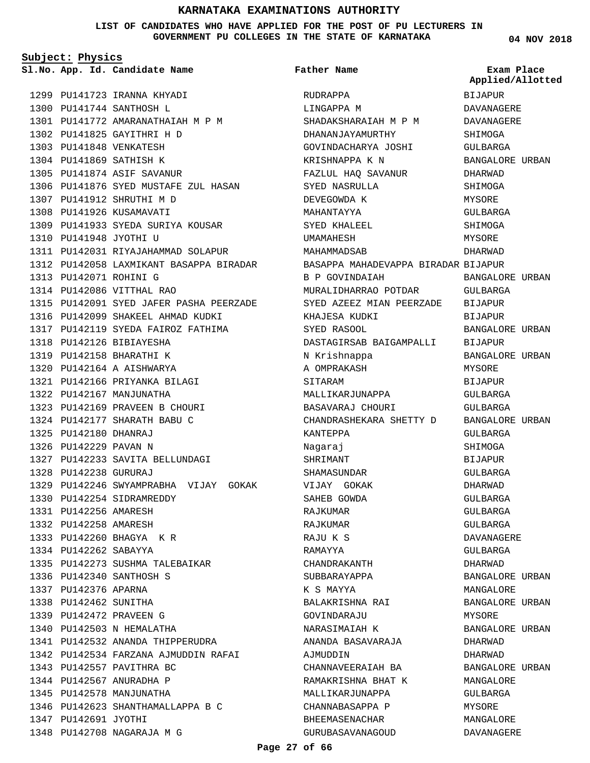**LIST OF CANDIDATES WHO HAVE APPLIED FOR THE POST OF PU LECTURERS IN GOVERNMENT PU COLLEGES IN THE STATE OF KARNATAKA**

**Subject: Physics**

**App. Id. Candidate Name Sl.No. Exam Place**

| Father Name |  |
|-------------|--|
|             |  |

**04 NOV 2018**

|                        |                                         |                                     | Applied/Allotted       |
|------------------------|-----------------------------------------|-------------------------------------|------------------------|
|                        | 1299 PU141723 IRANNA KHYADI             | RUDRAPPA                            | <b>BIJAPUR</b>         |
|                        | 1300 PU141744 SANTHOSH L                | LINGAPPA M                          | DAVANAGERE             |
|                        | 1301 PU141772 AMARANATHAIAH M P M       | SHADAKSHARAIAH M P M                | DAVANAGERE             |
|                        | 1302 PU141825 GAYITHRI H D              | DHANANJAYAMURTHY                    | SHIMOGA                |
|                        | 1303 PU141848 VENKATESH                 | GOVINDACHARYA JOSHI                 | <b>GULBARGA</b>        |
|                        | 1304 PU141869 SATHISH K                 | KRISHNAPPA K N                      | BANGALORE URBAN        |
|                        | 1305 PU141874 ASIF SAVANUR              | FAZLUL HAQ SAVANUR                  | DHARWAD                |
|                        | 1306 PU141876 SYED MUSTAFE ZUL HASAN    | SYED NASRULLA                       | SHIMOGA                |
|                        | 1307 PU141912 SHRUTHI M D               | DEVEGOWDA K                         | MYSORE                 |
|                        | 1308 PU141926 KUSAMAVATI                | MAHANTAYYA                          | GULBARGA               |
|                        | 1309 PU141933 SYEDA SURIYA KOUSAR       | SYED KHALEEL                        | SHIMOGA                |
| 1310 PU141948 JYOTHI U |                                         | UMAMAHESH                           | MYSORE                 |
|                        | 1311 PU142031 RIYAJAHAMMAD SOLAPUR      | MAHAMMADSAB                         | DHARWAD                |
|                        | 1312 PU142058 LAXMIKANT BASAPPA BIRADAR | BASAPPA MAHADEVAPPA BIRADAR BIJAPUR |                        |
| 1313 PU142071 ROHINI G |                                         | B P GOVINDAIAH                      | BANGALORE URBAN        |
|                        | 1314 PU142086 VITTHAL RAO               | MURALIDHARRAO POTDAR                | GULBARGA               |
|                        | 1315 PU142091 SYED JAFER PASHA PEERZADE | SYED AZEEZ MIAN PEERZADE            | BIJAPUR                |
|                        | 1316 PU142099 SHAKEEL AHMAD KUDKI       | KHAJESA KUDKI                       | BIJAPUR                |
|                        | 1317 PU142119 SYEDA FAIROZ FATHIMA      | SYED RASOOL                         | BANGALORE URBAN        |
|                        | 1318 PU142126 BIBIAYESHA                | DASTAGIRSAB BAIGAMPALLI             | BIJAPUR                |
|                        | 1319 PU142158 BHARATHI K                | N Krishnappa                        | BANGALORE URBAN        |
|                        | 1320 PU142164 A AISHWARYA               | A OMPRAKASH                         | MYSORE                 |
|                        | 1321 PU142166 PRIYANKA BILAGI           | SITARAM                             | BIJAPUR                |
|                        | 1322 PU142167 MANJUNATHA                | MALLIKARJUNAPPA                     | GULBARGA               |
|                        | 1323 PU142169 PRAVEEN B CHOURI          | BASAVARAJ CHOURI                    | GULBARGA               |
|                        | 1324 PU142177 SHARATH BABU C            | CHANDRASHEKARA SHETTY D             | <b>BANGALORE URBAN</b> |
| 1325 PU142180 DHANRAJ  |                                         | KANTEPPA                            | GULBARGA               |
| 1326 PU142229 PAVAN N  |                                         | Nagaraj                             | SHIMOGA                |
|                        | 1327 PU142233 SAVITA BELLUNDAGI         | SHRIMANT                            | <b>BIJAPUR</b>         |
| 1328 PU142238 GURURAJ  |                                         | SHAMASUNDAR                         | GULBARGA               |
|                        | 1329 PU142246 SWYAMPRABHA VIJAY GOKAK   | VIJAY GOKAK                         | DHARWAD                |
|                        | 1330 PU142254 SIDRAMREDDY               | SAHEB GOWDA                         | GULBARGA               |
| 1331 PU142256 AMARESH  |                                         | RAJKUMAR                            | GULBARGA               |
| 1332 PU142258 AMARESH  |                                         | RAJKUMAR                            | GULBARGA               |
|                        | 1333 PU142260 BHAGYA KR                 | RAJU K S                            | <b>DAVANAGERE</b>      |
| 1334 PU142262 SABAYYA  |                                         | RAMAYYA                             | GULBARGA               |
|                        | 1335 PU142273 SUSHMA TALEBAIKAR         | CHANDRAKANTH                        | DHARWAD                |
|                        | 1336 PU142340 SANTHOSH S                | SUBBARAYAPPA                        | BANGALORE URBAN        |
| 1337 PU142376 APARNA   |                                         | K S MAYYA                           | MANGALORE              |
| 1338 PU142462 SUNITHA  |                                         | BALAKRISHNA RAI                     | BANGALORE URBAN        |
|                        | 1339 PU142472 PRAVEEN G                 | GOVINDARAJU                         | MYSORE                 |
|                        | 1340 PU142503 N HEMALATHA               | NARASIMAIAH K                       | BANGALORE URBAN        |
|                        | 1341 PU142532 ANANDA THIPPERUDRA        | ANANDA BASAVARAJA                   | DHARWAD                |
|                        | 1342 PU142534 FARZANA AJMUDDIN RAFAI    | AJMUDDIN                            | DHARWAD                |
|                        | 1343 PU142557 PAVITHRA BC               | CHANNAVEERAIAH BA                   | BANGALORE URBAN        |
|                        | 1344 PU142567 ANURADHA P                | RAMAKRISHNA BHAT K                  | MANGALORE              |
|                        | 1345 PU142578 MANJUNATHA                | MALLIKARJUNAPPA                     | GULBARGA               |
|                        | 1346 PU142623 SHANTHAMALLAPPA B C       | CHANNABASAPPA P                     | MYSORE                 |
| 1347 PU142691 JYOTHI   |                                         | BHEEMASENACHAR                      | MANGALORE              |
|                        | 1348 PU142708 NAGARAJA M G              | GURUBASAVANAGOUD                    | DAVANAGERE             |
|                        |                                         |                                     |                        |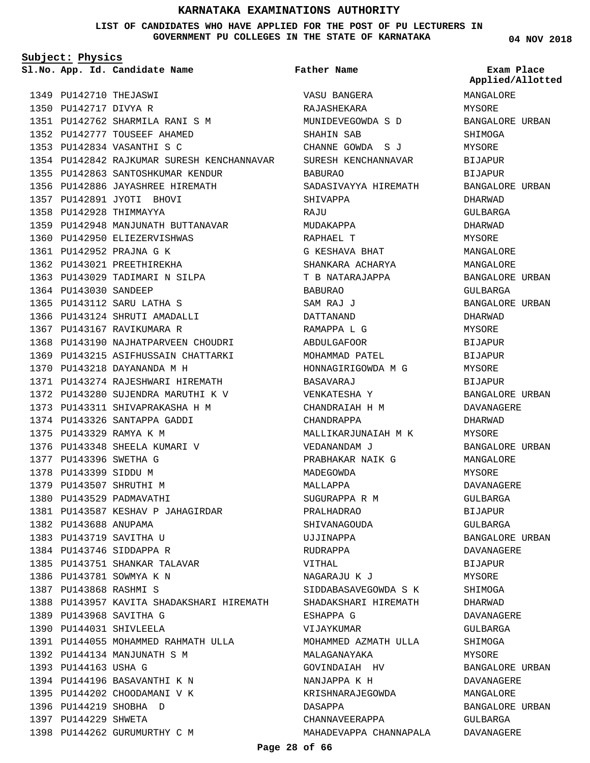**LIST OF CANDIDATES WHO HAVE APPLIED FOR THE POST OF PU LECTURERS IN GOVERNMENT PU COLLEGES IN THE STATE OF KARNATAKA**

**Father Name**

**Subject: Physics**

**App. Id. Candidate Name Sl.No. Exam Place**

1349 PU142710 THEJASWI 1350 PU142717 DIVYA R PU142762 SHARMILA RANI S M 1351 1352 PU142777 TOUSEEF AHAMED PU142834 VASANTHI S C 1353 1354 PU142842 RAJKUMAR SURESH KENCHANNAVAR 1355 PU142863 SANTOSHKUMAR KENDUR 1356 PU142886 JAYASHREE HIREMATH PU142891 JYOTI BHOVI 1357 1358 PU142928 THIMMAYYA 1359 PU142948 MANJUNATH BUTTANAVAR 1360 PU142950 ELIEZERVISHWAS 1361 PU142952 PRAJNA G K 1362 PU143021 PREETHIREKHA 1363 PU143029 TADIMARI N SILPA 1364 PU143030 SANDEEP PU143112 SARU LATHA S 1365 1366 PU143124 SHRUTI AMADALLI 1367 PU143167 RAVIKUMARA R 1368 PU143190 NAJHATPARVEEN CHOUDRI 1369 PU143215 ASIFHUSSAIN CHATTARKI PU143218 DAYANANDA M H 1370 1371 PU143274 RAJESHWARI HIREMATH 1372 PU143280 SUJENDRA MARUTHI K V 1373 PU143311 SHIVAPRAKASHA H M 1374 PU143326 SANTAPPA GADDI PU143329 RAMYA K M 1375 1376 PU143348 SHEELA KUMARI V 1377 PU143396 SWETHA G 1378 PU143399 SIDDU M 1379 PU143507 SHRUTHI M 1380 PU143529 PADMAVATHI 1381 PU143587 KESHAV P JAHAGIRDAR 1382 PU143688 ANUPAMA 1383 PU143719 SAVITHA U 1384 PU143746 SIDDAPPA R 1385 PU143751 SHANKAR TALAVAR 1386 PU143781 SOWMYA K N PU143868 RASHMI S 1387 1388 PU143957 KAVITA SHADAKSHARI HIREMATH PU143968 SAVITHA G 1389 1390 PU144031 SHIVLEELA PU144055 MOHAMMED RAHMATH ULLA 1391 1392 PU144134 MANJUNATH S M 1393 PU144163 USHA G 1394 PU144196 BASAVANTHI K N 1395 PU144202 CHOODAMANI V K 1396 PU144219 SHOBHA D 1397 PU144229 SHWETA 1398 PU144262 GURUMURTHY C M

VASU BANGERA RAJASHEKARA MUNIDEVEGOWDA S D SHAHIN SAB CHANNE GOWDA S J SURESH KENCHANNAVAR BABURAO SADASIVAYYA HIREMATH SHIVAPPA **RAJU** MUDAKAPPA RAPHAEL T G KESHAVA BHAT SHANKARA ACHARYA T B NATARAJAPPA BABURAO SAM RAJ J DATTANAND RAMAPPA L G ABDULGAFOOR MOHAMMAD PATEL HONNAGIRIGOWDA M G BASAVARAJ VENKATESHA Y CHANDRAIAH H M CHANDRAPPA MALLIKARJUNAIAH M K VEDANANDAM J PRABHAKAR NAIK G MADEGOWDA MALLAPPA SUGURAPPA R M PRALHADRAO SHIVANAGOUDA UJJINAPPA RUDRAPPA VITHAL NAGARAJU K J SIDDABASAVEGOWDA S K SHADAKSHARI HIREMATH ESHAPPA G VIJAYKUMAR MOHAMMED AZMATH ULLA MALAGANAYAKA GOVINDAIAH HV NANJAPPA K H KRISHNARAJEGOWDA DASAPPA CHANNAVEERAPPA MAHADEVAPPA CHANNAPALA **04 NOV 2018**

**Applied/Allotted**

MANGALORE MYSORE BANGALORE URBAN SHIMOGA MYSORE BIJAPUR BIJAPUR BANGALORE URBAN DHARWAD GULBARGA DHARWAD MYSORE MANGALORE MANGALORE BANGALORE URBAN GULBARGA BANGALORE URBAN DHARWAD MYSORE BIJAPUR BIJAPUR MYSORE BIJAPUR BANGALORE URBAN DAVANAGERE DHARWAD MYSORE BANGALORE URBAN MANGALORE MYSORE DAVANAGERE GULBARGA BIJAPUR GULBARGA BANGALORE URBAN DAVANAGERE BIJAPUR MYSORE SHIMOGA DHARWAD DAVANAGERE GULBARGA SHIMOGA **MYSORE** BANGALORE URBAN DAVANAGERE MANGALORE BANGALORE URBAN GULBARGA

DAVANAGERE

**Page 28 of 66**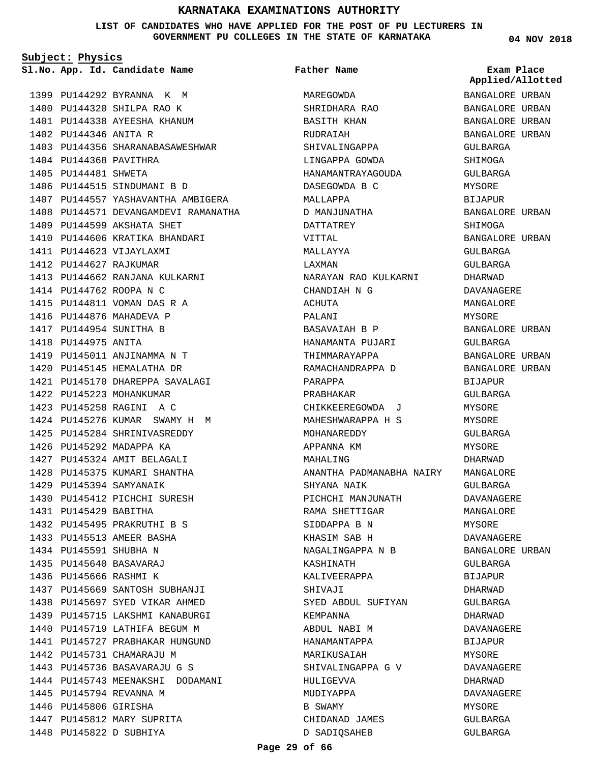**LIST OF CANDIDATES WHO HAVE APPLIED FOR THE POST OF PU LECTURERS IN GOVERNMENT PU COLLEGES IN THE STATE OF KARNATAKA**

**Subject: Physics**

**App. Id. Candidate Name Sl.No. Exam Place**

1399 PU144292 BYRANNA K M 1400 PU144320 SHILPA RAO K 1401 PU144338 AYEESHA KHANUM

1406 PU144515 SINDUMANI B D

1409 PU144599 AKSHATA SHET 1410 PU144606 KRATIKA BHANDARI

1413 PU144662 RANJANA KULKARNI

1419 PU145011 ANJINAMMA N T 1420 PU145145 HEMALATHA DR

1422 PU145223 MOHANKUMAR PU145258 RAGINI A C 1423

1429 PU145394 SAMYANAIK

1431 PU145429 BABITHA

1430 PU145412 PICHCHI SURESH

1432 PU145495 PRAKRUTHI B S 1433 PU145513 AMEER BASHA 1434 PU145591 SHUBHA N PU145640 BASAVARAJ 1435 1436 PU145666 RASHMI K

1437 PU145669 SANTOSH SUBHANJI 1438 PU145697 SYED VIKAR AHMED 1439 PU145715 LAKSHMI KANABURGI 1440 PU145719 LATHIFA BEGUM M 1441 PU145727 PRABHAKAR HUNGUND

1444 PU145743 MEENAKSHI DODAMANI

1442 PU145731 CHAMARAJU M 1443 PU145736 BASAVARAJU G S

1445 PU145794 REVANNA M 1446 PU145806 GIRISHA

1447 PU145812 MARY SUPRITA 1448 PU145822 D SUBHIYA

1421 PU145170 DHAREPPA SAVALAGI

1424 PU145276 KUMAR SWAMY H M 1425 PU145284 SHRINIVASREDDY 1426 PU145292 MADAPPA KA 1427 PU145324 AMIT BELAGALI 1428 PU145375 KUMARI SHANTHA

1411 PU144623 VIJAYLAXMI 1412 PU144627 RAJKUMAR

1414 PU144762 ROOPA N C 1415 PU144811 VOMAN DAS R A 1416 PU144876 MAHADEVA P 1417 PU144954 SUNITHA B 1418 PU144975 ANITA

1403 PU144356 SHARANABASAWESHWAR

1407 PU144557 YASHAVANTHA AMBIGERA 1408 PU144571 DEVANGAMDEVI RAMANATHA

1402 PU144346 ANITA R

1404 PU144368 PAVITHRA 1405 PU144481 SHWETA

**Father Name**

MAREGOWDA SHRIDHARA RAO BASITH KHAN RUDRAIAH SHIVALINGAPPA LINGAPPA GOWDA HANAMANTRAYAGOUDA DASEGOWDA B C MALLAPPA D MANJUNATHA DATTATREY VITTAL MALLAYYA LAXMAN NARAYAN RAO KULKARNI CHANDIAH N G ACHUTA PALANI BASAVAIAH B P HANAMANTA PUJARI THIMMARAYAPPA RAMACHANDRAPPA D PARAPPA PRABHAKAR CHIKKEEREGOWDA J MAHESHWARAPPA H S MOHANAREDDY APPANNA KM MAHALING ANANTHA PADMANABHA NAIRY MANGALORE SHYANA NAIK PICHCHI MANJUNATH RAMA SHETTIGAR SIDDAPPA B N KHASIM SAB H NAGALINGAPPA N B KASHINATH KALIVEERAPPA SHIVAJI SYED ABDUL SUFIYAN KEMPANNA ABDUL NABI M HANAMANTAPPA MARIKUSAIAH SHIVALINGAPPA G V HULIGEVVA MUDIYAPPA B SWAMY CHIDANAD JAMES D SADIQSAHEB

BANGALORE URBAN BANGALORE URBAN BANGALORE URBAN BANGALORE URBAN GULBARGA SHIMOGA GULBARGA MYSORE **BIJAPUR** BANGALORE URBAN SHIMOGA BANGALORE URBAN GULBARGA GULBARGA DHARWAD DAVANAGERE MANGALORE MYSORE BANGALORE URBAN GULBARGA BANGALORE URBAN BANGALORE URBAN BIJAPUR GULBARGA MYSORE MYSORE GULBARGA MYSORE DHARWAD GULBARGA DAVANAGERE MANGALORE MYSORE DAVANAGERE BANGALORE URBAN GULBARGA BIJAPUR DHARWAD GULBARGA DHARWAD DAVANAGERE BIJAPUR **MYSORE** DAVANAGERE DHARWAD DAVANAGERE MYSORE GULBARGA GULBARGA **Applied/Allotted**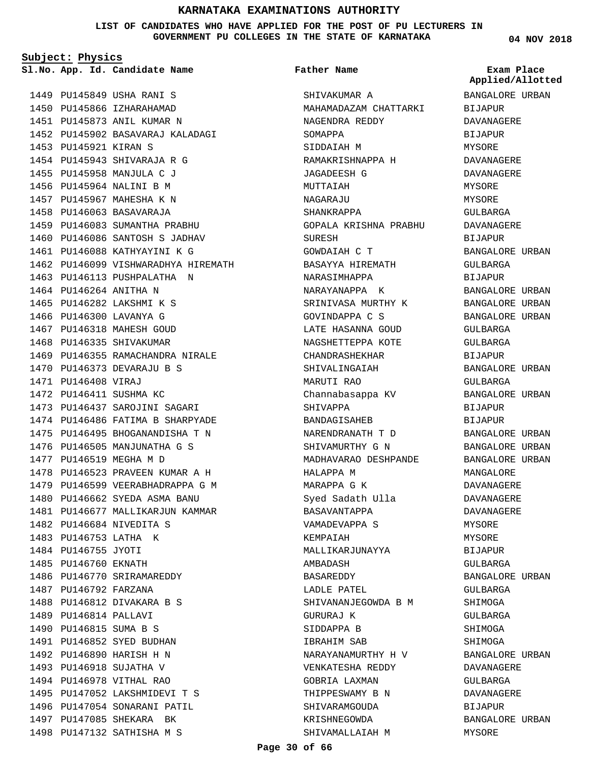**LIST OF CANDIDATES WHO HAVE APPLIED FOR THE POST OF PU LECTURERS IN GOVERNMENT PU COLLEGES IN THE STATE OF KARNATAKA**

**Subject: Physics**

**App. Id. Candidate Name Sl.No. Exam Place**

1449 PU145849 USHA RANI S 1450 PU145866 IZHARAHAMAD 1451 PU145873 ANIL KUMAR N PU145902 BASAVARAJ KALADAGI 1452 1453 PU145921 KIRAN S 1454 PU145943 SHIVARAJA R G 1455 PU145958 MANJULA C J 1456 PU145964 NALINI B M 1457 PU145967 MAHESHA K N 1458 PU146063 BASAVARAJA 1459 PU146083 SUMANTHA PRABHU 1460 PU146086 SANTOSH S JADHAV 1461 PU146088 KATHYAYINI K G 1462 PU146099 VISHWARADHYA HIREMATH 1463 PU146113 PUSHPALATHA N 1464 PU146264 ANITHA N 1465 PU146282 LAKSHMI K S 1466 PU146300 LAVANYA G 1467 PU146318 MAHESH GOUD 1468 PU146335 SHIVAKUMAR 1469 PU146355 RAMACHANDRA NIRALE 1470 PU146373 DEVARAJU B S 1471 PU146408 VIRAJ 1472 PU146411 SUSHMA KC 1473 PU146437 SAROJINI SAGARI 1474 PU146486 FATIMA B SHARPYADE 1475 PU146495 BHOGANANDISHA T N 1476 PU146505 MANJUNATHA G S 1477 PU146519 MEGHA M D 1478 PU146523 PRAVEEN KUMAR A H 1479 PU146599 VEERABHADRAPPA G M 1480 PU146662 SYEDA ASMA BANU 1481 PU146677 MALLIKARJUN KAMMAR PU146684 NIVEDITA S 1482 1483 PU146753 LATHA K 1484 PU146755 JYOTI 1485 PU146760 EKNATH 1486 PU146770 SRIRAMAREDDY 1487 PU146792 FARZANA 1488 PU146812 DIVAKARA B S 1489 PU146814 PALLAVI 1490 PU146815 SUMA B S 1491 PU146852 SYED BUDHAN 1492 PU146890 HARISH H N 1493 PU146918 SUJATHA V 1494 PU146978 VITHAL RAO 1495 PU147052 LAKSHMIDEVI T S 1496 PU147054 SONARANI PATIL 1497 PU147085 SHEKARA BK 1498 PU147132 SATHISHA M S

### **Father Name**

SHIVAKUMAR A MAHAMADAZAM CHATTARKI NAGENDRA REDDY SOMAPPA SIDDAIAH M RAMAKRISHNAPPA H JAGADEESH G MUTTAIAH NAGAR AJIJ SHANKRAPPA GOPALA KRISHNA PRABHU SURESH GOWDAIAH C T BASAYYA HIREMATH NARASIMHAPPA NARAYANAPPA K SRINIVASA MURTHY K GOVINDAPPA C S LATE HASANNA GOUD NAGSHETTEPPA KOTE CHANDRASHEKHAR SHIVALINGAIAH MARUTI RAO Channabasappa KV SHIVAPPA BANDAGISAHEB NARENDRANATH T D SHIVAMURTHY G N MADHAVARAO DESHPANDE HALAPPA M MARAPPA G K Syed Sadath Ulla BASAVANTAPPA VAMADEVAPPA S KEMPAIAH MALLIKARJUNAYYA AMBADASH BASAREDDY LADLE PATEL SHIVANANJEGOWDA B M GURURAJ K SIDDAPPA B IBRAHIM SAB NARAYANAMURTHY H V VENKATESHA REDDY GOBRIA LAXMAN THIPPESWAMY B N SHIVARAMGOUDA KRISHNEGOWDA SHIVAMALLAIAH M

**04 NOV 2018**

# **Applied/Allotted**

BANGALORE URBAN BIJAPUR DAVANAGERE BIJAPUR MYSORE DAVANAGERE DAVANAGERE MYSORE MYSORE GULBARGA DAVANAGERE BIJAPUR BANGALORE URBAN GULBARGA BIJAPUR BANGALORE URBAN BANGALORE URBAN BANGALORE URBAN GULBARGA GULBARGA BIJAPUR BANGALORE URBAN GULBARGA BANGALORE URBAN BIJAPUR BIJAPUR BANGALORE URBAN BANGALORE URBAN BANGALORE URBAN MANGALORE DAVANAGERE DAVANAGERE DAVANAGERE MYSORE MYSORE BIJAPUR GULBARGA BANGALORE URBAN GULBARGA SHIMOGA GULBARGA SHIMOGA SHIMOGA BANGALORE URBAN DAVANAGERE GULBARGA DAVANAGERE BIJAPUR BANGALORE URBAN MYSORE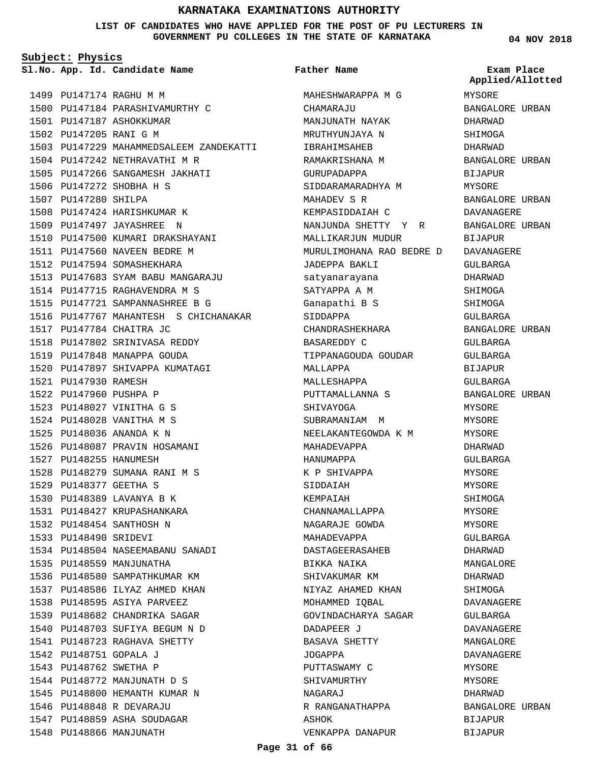**LIST OF CANDIDATES WHO HAVE APPLIED FOR THE POST OF PU LECTURERS IN GOVERNMENT PU COLLEGES IN THE STATE OF KARNATAKA**

**Subject: Physics**

**App. Id. Candidate Name Sl.No. Exam Place**

1499 PU147174 RAGHU M M 1500 PU147184 PARASHIVAMURTHY C 1501 PU147187 ASHOKKUMAR 1502 PU147205 RANI G M 1503 PU147229 MAHAMMEDSALEEM ZANDEKATTI 1504 PU147242 NETHRAVATHI M R PU147266 SANGAMESH JAKHATI 1505 1506 PU147272 SHOBHA H S 1507 PU147280 SHILPA 1508 PU147424 HARISHKUMAR K 1509 PU147497 JAYASHREE N 1510 PU147500 KUMARI DRAKSHAYANI 1511 PU147560 NAVEEN BEDRE M 1512 PU147594 SOMASHEKHARA 1513 PU147683 SYAM BABU MANGARAJU 1514 PU147715 RAGHAVENDRA M S PU147721 SAMPANNASHREE B G 1515 1516 PU147767 MAHANTESH S CHICHANAKAR 1517 PU147784 CHAITRA JC 1518 PU147802 SRINIVASA REDDY 1519 PU147848 MANAPPA GOUDA 1520 PU147897 SHIVAPPA KUMATAGI 1521 PU147930 RAMESH 1522 PU147960 PUSHPA P PU148027 VINITHA G S 1523 PU148028 VANITHA M S 1524 PU148036 ANANDA K N 1525 1526 PU148087 PRAVIN HOSAMANI 1527 PU148255 HANUMESH 1528 PU148279 SUMANA RANI M S PU148377 GEETHA S 1529 1530 PU148389 LAVANYA B K PU148427 KRUPASHANKARA 1531 1532 PU148454 SANTHOSH N 1533 PU148490 SRIDEVI 1534 PU148504 NASEEMABANU SANADI 1535 PU148559 MANJUNATHA 1536 PU148580 SAMPATHKUMAR KM 1537 PU148586 ILYAZ AHMED KHAN 1538 PU148595 ASIYA PARVEEZ 1539 PU148682 CHANDRIKA SAGAR PU148703 SUFIYA BEGUM N D 1540 1541 PU148723 RAGHAVA SHETTY PU148751 GOPALA J 1542 1543 PU148762 SWETHA P 1544 PU148772 MANJUNATH D S 1545 PU148800 HEMANTH KUMAR N PU148848 R DEVARAJU 1546 1547 PU148859 ASHA SOUDAGAR 1548 PU148866 MANJUNATH

MAHESHWARAPPA M G CHAMARAJU MANJUNATH NAYAK MRUTHYUNJAYA N IBRAHIMSAHEB RAMAKRISHANA M GURUPADAPPA SIDDARAMARADHYA M MAHADEV S R KEMPASIDDAIAH C NANJUNDA SHETTY Y R MALLIKARJUN MUDUR MURULIMOHANA RAO BEDRE D DAVANAGERE JADEPPA BAKLI satyanarayana SATYAPPA A M Ganapathi B S SIDDAPPA CHANDRASHEKHARA BASAREDDY C TIPPANAGOUDA GOUDAR MALLAPPA MALLESHAPPA PUTTAMALLANNA S SHIVAYOGA SUBRAMANIAM M NEELAKANTEGOWDA K M MAHADEVAPPA HANUMAPPA K P SHIVAPPA SIDDAIAH KEMPAIAH CHANNAMALLAPPA NAGARAJE GOWDA MAHADEVAPPA DASTAGEERASAHEB BIKKA NAIKA SHIVAKUMAR KM NIYAZ AHAMED KHAN MOHAMMED IQBAL GOVINDACHARYA SAGAR DADAPEER J BASAVA SHETTY JOGAPPA PUTTASWAMY C SHIVAMURTHY NAGARAJ R RANGANATHAPPA ASHOK **Father Name**

VENKAPPA DANAPUR

**04 NOV 2018**

MYSORE BANGALORE URBAN DHARWAD SHIMOGA DHARWAD BANGALORE URBAN BIJAPUR MYSORE BANGALORE URBAN DAVANAGERE BANGALORE URBAN **BIJAPUR** GULBARGA DHARWAD SHIMOGA SHIMOGA GULBARGA BANGALORE URBAN GULBARGA GULBARGA BIJAPUR GULBARGA BANGALORE URBAN MYSORE MYSORE MYSORE DHARWAD GULBARGA MYSORE MYSORE SHIMOGA MYSORE MYSORE GULBARGA DHARWAD MANGALORE DHARWAD SHIMOGA DAVANAGERE GULBARGA DAVANAGERE MANGALORE DAVANAGERE MYSORE MYSORE DHARWAD BANGALORE URBAN BIJAPUR BIJAPUR **Applied/Allotted**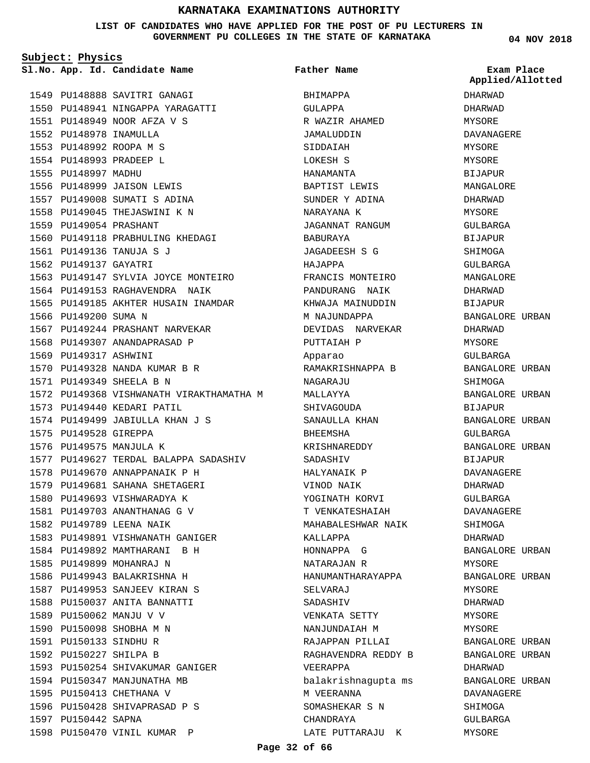### **LIST OF CANDIDATES WHO HAVE APPLIED FOR THE POST OF PU LECTURERS IN GOVERNMENT PU COLLEGES IN THE STATE OF KARNATAKA**

**Subject: Physics**

**App. Id. Candidate Name Sl.No. Exam Place**

**Father Name**

1549 PU148888 SAVITRI GANAGI 1550 PU148941 NINGAPPA YARAGATTI PU148949 NOOR AFZA V S 1551 1552 PU148978 INAMULLA PU148992 ROOPA M S 1553 1554 PU148993 PRADEEP L 1555 PU148997 MADHU 1556 PU148999 JAISON LEWIS 1557 PU149008 SUMATI S ADINA 1558 PU149045 THEJASWINI K N PU149054 PRASHANT 1559 1560 PU149118 PRABHULING KHEDAGI PU149136 TANUJA S J 1561 1562 PU149137 GAYATRI 1563 PU149147 SYLVIA JOYCE MONTEIRO 1564 PU149153 RAGHAVENDRA NAIK 1565 PU149185 AKHTER HUSAIN INAMDAR 1566 PU149200 SUMA N 1567 PU149244 PRASHANT NARVEKAR 1568 PU149307 ANANDAPRASAD P 1569 PU149317 ASHWINI PU149328 NANDA KUMAR B R 1570 PU149349 SHEELA B N 1571 1572 PU149368 VISHWANATH VIRAKTHAMATHA M 1573 PU149440 KEDARI PATIL 1574 PU149499 JABIULLA KHAN J S 1575 PU149528 GIREPPA 1576 PU149575 MANJULA K 1577 PU149627 TERDAL BALAPPA SADASHIV 1578 PU149670 ANNAPPANAIK P H 1579 PU149681 SAHANA SHETAGERI 1580 PU149693 VISHWARADYA K 1581 PU149703 ANANTHANAG G V 1582 PU149789 LEENA NAIK 1583 PU149891 VISHWANATH GANIGER 1584 PU149892 MAMTHARANI B H 1585 PU149899 MOHANRAJ N 1586 PU149943 BALAKRISHNA H 1587 PU149953 SANJEEV KIRAN S 1588 PU150037 ANITA BANNATTI 1589 PU150062 MANJU V V 1590 PU150098 SHOBHA M N PU150133 SINDHU R 1591 1592 PU150227 SHILPA B 1593 PU150254 SHIVAKUMAR GANIGER 1594 PU150347 MANJUNATHA MB 1595 PU150413 CHETHANA V 1596 PU150428 SHIVAPRASAD P S 1597 PU150442 SAPNA 1598 PU150470 VINIL KUMAR P

BHIMAPPA GULAPPA R WAZIR AHAMED JAMALUDDIN SIDDAIAH LOKESH S HANAMANTA BAPTIST LEWIS SUNDER Y ADINA NARAYANA K JAGANNAT RANGUM BABURAYA JAGADEESH S G HAJAPPA FRANCIS MONTEIRO PANDURANG NAIK KHWAJA MAINUDDIN M NAJUNDAPPA DEVIDAS NARVEKAR PUTTAIAH P Apparao RAMAKRISHNAPPA B NAGARAJU MALLAYYA SHIVAGOUDA SANAULLA KHAN **BHEEMSHA** KRISHNAREDDY SADASHIV HALYANAIK P VINOD NAIK YOGINATH KORVI T VENKATESHAIAH MAHABALESHWAR NAIK KALLAPPA HONNAPPA G NATARAJAN R HANUMANTHARAYAPPA SELVARAJ SADASHIV VENKATA SETTY NANJUNDAIAH M RAJAPPAN PILLAI RAGHAVENDRA REDDY B VEERAPPA balakrishnagupta ms M VEERANNA SOMASHEKAR S N CHANDRAYA LATE PUTTARAJU K **04 NOV 2018**

**Applied/Allotted**

DHARWAD DHARWAD MYSORE DAVANAGERE MYSORE MYSORE BIJAPUR MANGALORE DHARWAD MYSORE GULBARGA BIJAPUR SHIMOGA GULBARGA MANGALORE DHARWAD BIJAPUR BANGALORE URBAN DHARWAD MYSORE GULBARGA BANGALORE URBAN SHIMOGA BANGALORE URBAN BIJAPUR BANGALORE URBAN GULBARGA BANGALORE URBAN BIJAPUR DAVANAGERE DHARWAD GULBARGA DAVANAGERE SHIMOGA DHARWAD BANGALORE URBAN MYSORE BANGALORE URBAN MYSORE DHARWAD MYSORE MYSORE BANGALORE URBAN BANGALORE URBAN DHARWAD BANGALORE URBAN DAVANAGERE SHIMOGA GULBARGA MYSORE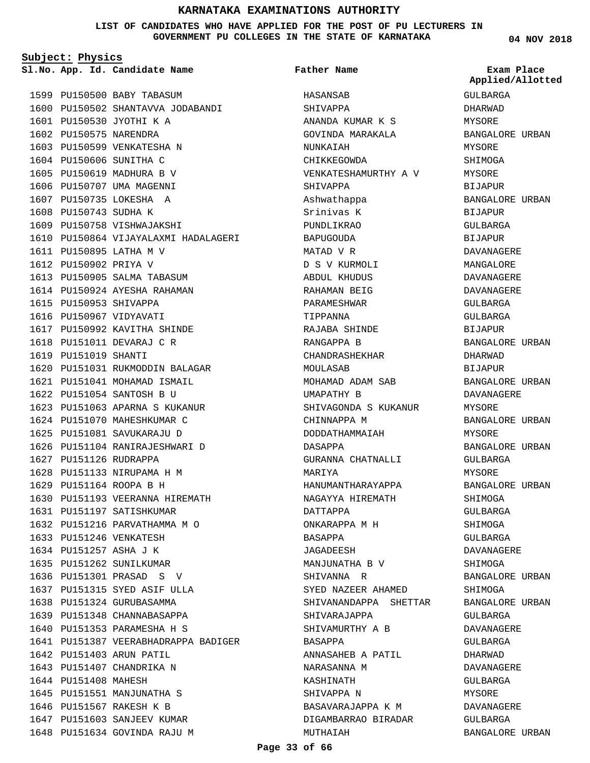### **LIST OF CANDIDATES WHO HAVE APPLIED FOR THE POST OF PU LECTURERS IN GOVERNMENT PU COLLEGES IN THE STATE OF KARNATAKA**

**Subject: Physics**

**App. Id. Candidate Name Sl.No. Exam Place**

1599 PU150500 BABY TABASUM

1609 PU150758 VISHWAJAKSHI

1613 PU150905 SALMA TABASUM 1614 PU150924 AYESHA RAHAMAN

1617 PU150992 KAVITHA SHINDE 1618 PU151011 DEVARAJ C R

1620 PU151031 RUKMODDIN BALAGAR 1621 PU151041 MOHAMAD ISMAIL 1622 PU151054 SANTOSH B U

1623 PU151063 APARNA S KUKANUR 1624 PU151070 MAHESHKUMAR C 1625 PU151081 SAVUKARAJU D 1626 PU151104 RANIRAJESHWARI D

1630 PU151193 VEERANNA HIREMATH

1641 PU151387 VEERABHADRAPPA BADIGER

PU150895 LATHA M V 1611 1612 PU150902 PRIYA V

1615 PU150953 SHIVAPPA 1616 PU150967 VIDYAVATI

1619 PU151019 SHANTI

1627 PU151126 RUDRAPPA 1628 PU151133 NIRUPAMA H M PU151164 ROOPA B H 1629

1631 PU151197 SATISHKUMAR 1632 PU151216 PARVATHAMMA M O

1633 PU151246 VENKATESH 1634 PU151257 ASHA J K 1635 PU151262 SUNILKUMAR PU151301 PRASAD S V 1636 1637 PU151315 SYED ASIF ULLA 1638 PU151324 GURUBASAMMA 1639 PU151348 CHANNABASAPPA 1640 PU151353 PARAMESHA H S

1642 PU151403 ARUN PATIL 1643 PU151407 CHANDRIKA N

1645 PU151551 MANJUNATHA S 1646 PU151567 RAKESH K B 1647 PU151603 SANJEEV KUMAR 1648 PU151634 GOVINDA RAJU M

1644 PU151408 MAHESH

1610 PU150864 VIJAYALAXMI HADALAGERI

1601 PU150530 JYOTHI K A 1602 PU150575 NARENDRA 1603 PU150599 VENKATESHA N 1604 PU150606 SUNITHA C 1605 PU150619 MADHURA B V 1606 PU150707 UMA MAGENNI 1607 PU150735 LOKESHA A 1608 PU150743 SUDHA K

1600 PU150502 SHANTAVVA JODABANDI

**Father Name**

ANANDA KUMAR K S GOVINDA MARAKALA

VENKATESHAMURTHY A V

HASANSAB SHIVAPPA

NUNKAIAH CHIKKEGOWDA

SHIVAPPA Ashwathappa Srinivas K PUNDLIKRAO BAPUGOUDA MATAD V R D S V KURMOLI ABDUL KHUDUS RAHAMAN BEIG PARAMESHWAR TIPPANNA

RAJABA SHINDE RANGAPPA B CHANDRASHEKHAR

MOHAMAD ADAM SAB UMAPATHY B

CHINNAPPA M DODDATHAMMAIAH

SHIVAGONDA S KUKANUR

GURANNA CHATNALLI

HANUMANTHARAYAPPA NAGAYYA HIREMATH

MANJUNATHA B V SHIVANNA R

SHIVARAJAPPA SHIVAMURTHY A B

NARASANNA M KASHINATH SHIVAPPA N

SYED NAZEER AHAMED

ANNASAHEB A PATIL

BASAVARAJAPPA K M DIGAMBARRAO BIRADAR

SHIVANANDAPPA SHETTAR

MOULASAB

DASAPPA

MARIYA

DATTAPPA ONKARAPPA M H

BASAPPA JAGADEESH

BASAPPA

MUTHAIAH

**04 NOV 2018** GULBARGA DHARWAD MYSORE BANGALORE URBAN MYSORE SHIMOGA MYSORE BIJAPUR BANGALORE URBAN BIJAPUR GULBARGA BIJAPUR DAVANAGERE MANGALORE DAVANAGERE DAVANAGERE GULBARGA GULBARGA **BIJAPUR** BANGALORE URBAN DHARWAD BIJAPUR BANGALORE URBAN DAVANAGERE MYSORE BANGALORE URBAN MYSORE BANGALORE URBAN GULBARGA MYSORE BANGALORE URBAN SHIMOGA GULBARGA SHIMOGA GULBARGA DAVANAGERE SHIMOGA BANGALORE URBAN SHIMOGA BANGALORE URBAN GULBARGA DAVANAGERE GULBARGA **Applied/Allotted**

DHARWAD DAVANAGERE GULBARGA MYSORE DAVANAGERE GULBARGA

BANGALORE URBAN

**Page 33 of 66**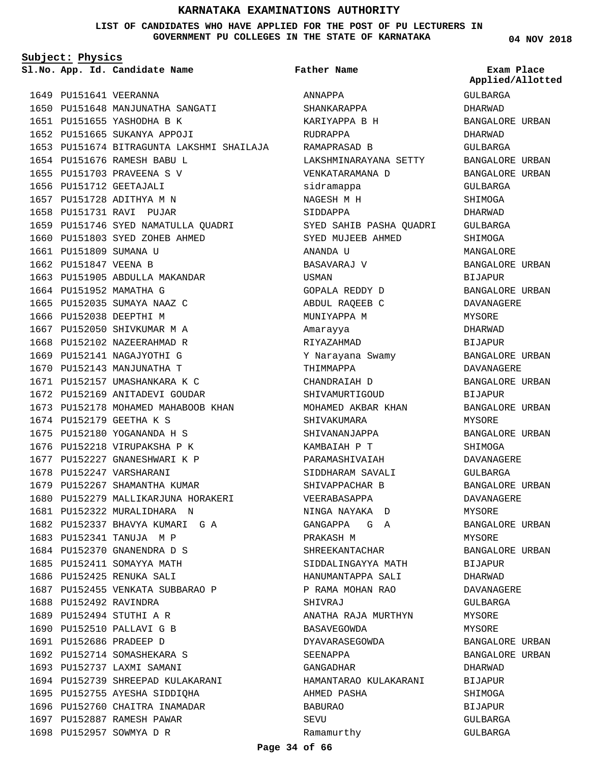### **LIST OF CANDIDATES WHO HAVE APPLIED FOR THE POST OF PU LECTURERS IN GOVERNMENT PU COLLEGES IN THE STATE OF KARNATAKA**

**Subject: Physics**

**App. Id. Candidate Name Sl.No. Exam Place**

1649 PU151641 VEERANNA 1650 PU151648 MANJUNATHA SANGATI 1651 PU151655 YASHODHA B K 1652 PU151665 SUKANYA APPOJI 1653 PU151674 BITRAGUNTA LAKSHMI SHAILAJA 1654 PU151676 RAMESH BABU L 1655 PU151703 PRAVEENA S V 1656 PU151712 GEETAJALI 1657 PU151728 ADITHYA M N 1658 PU151731 RAVI PUJAR 1659 PU151746 SYED NAMATULLA QUADRI 1660 PU151803 SYED ZOHEB AHMED 1661 PU151809 SUMANA U 1662 PU151847 VEENA B 1663 PU151905 ABDULLA MAKANDAR 1664 PU151952 MAMATHA G 1665 PU152035 SUMAYA NAAZ C 1666 PU152038 DEEPTHI M 1667 PU152050 SHIVKUMAR M A 1668 PU152102 NAZEERAHMAD R 1669 PU152141 NAGAJYOTHI G 1670 PU152143 MANJUNATHA T 1671 PU152157 UMASHANKARA K C 1672 PU152169 ANITADEVI GOUDAR 1673 PU152178 MOHAMED MAHABOOB KHAN 1674 PU152179 GEETHA K S PU152180 YOGANANDA H S 1675 1676 PU152218 VIRUPAKSHA P K 1677 PU152227 GNANESHWARI K P 1678 PU152247 VARSHARANI 1679 PU152267 SHAMANTHA KUMAR 1680 PU152279 MALLIKARJUNA HORAKERI 1681 PU152322 MURALIDHARA N 1682 PU152337 BHAVYA KUMARI G A 1683 PU152341 TANUJA M P 1684 PU152370 GNANENDRA D S 1685 PU152411 SOMAYYA MATH 1686 PU152425 RENUKA SALI 1687 PU152455 VENKATA SUBBARAO P 1688 PU152492 RAVINDRA PU152494 STUTHI A R 1689 1690 PU152510 PALLAVI G B PU152686 PRADEEP D 1691 1692 PU152714 SOMASHEKARA S 1693 PU152737 LAXMI SAMANI 1694 PU152739 SHREEPAD KULAKARANI 1695 PU152755 AYESHA SIDDIQHA 1696 PU152760 CHAITRA INAMADAR 1697 PU152887 RAMESH PAWAR 1698 PU152957 SOWMYA D R

ANNAPPA SHANKARAPPA KARIYAPPA B H RUDRAPPA RAMAPRASAD B LAKSHMINARAYANA SETTY VENKATARAMANA D sidramappa NAGESH M H SIDDAPPA SYED SAHIB PASHA QUADRI SYED MUJEEB AHMED ANANDA U BASAVARAJ V USMAN GOPALA REDDY D ABDUL RAQEEB C MUNIYAPPA M Amarayya RIYAZAHMAD Y Narayana Swamy THIMMAPPA CHANDRAIAH D SHIVAMURTIGOUD MOHAMED AKBAR KHAN SHIVAKUMARA SHIVANANJAPPA KAMBAIAH P T PARAMASHIVAIAH SIDDHARAM SAVALI SHIVAPPACHAR B VEERABASAPPA NINGA NAYAKA D GANGAPPA G A PRAKASH M SHREEKANTACHAR SIDDALINGAYYA MATH HANUMANTAPPA SALI P RAMA MOHAN RAO SHIVRAJ ANATHA RAJA MURTHYN BASAVEGOWDA DYAVARASEGOWDA SEENAPPA GANGADHAR HAMANTARAO KULAKARANI AHMED PASHA BABURAO **SEVU** Ramamurthy **Father Name**

**04 NOV 2018**

GULBARGA DHARWAD BANGALORE URBAN DHARWAD GULBARGA BANGALORE URBAN BANGALORE URBAN GULBARGA SHIMOGA DHARWAD GULBARGA SHIMOGA MANGALORE BANGALORE URBAN BIJAPUR BANGALORE URBAN DAVANAGERE **MYSORE** DHARWAD BIJAPUR BANGALORE URBAN DAVANAGERE BANGALORE URBAN BIJAPUR BANGALORE URBAN MYSORE BANGALORE URBAN SHIMOGA DAVANAGERE GULBARGA BANGALORE URBAN DAVANAGERE MYSORE BANGALORE URBAN MYSORE BANGALORE URBAN BIJAPUR DHARWAD DAVANAGERE GULBARGA MYSORE MYSORE BANGALORE URBAN BANGALORE URBAN DHARWAD BIJAPUR SHIMOGA BIJAPUR GULBARGA GULBARGA **Applied/Allotted**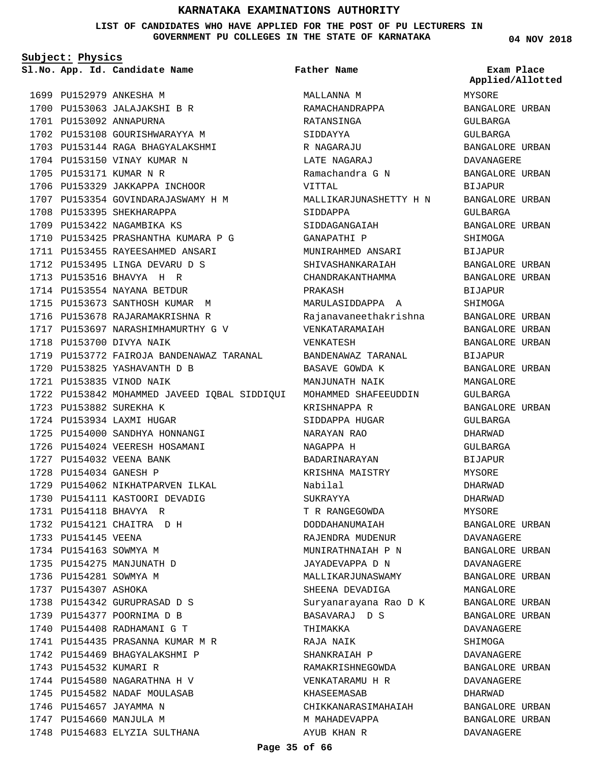**LIST OF CANDIDATES WHO HAVE APPLIED FOR THE POST OF PU LECTURERS IN GOVERNMENT PU COLLEGES IN THE STATE OF KARNATAKA**

**Subject: Physics**

1699 PU152979 ANKESHA M

**App. Id. Candidate Name Sl.No. Exam Place Father Name**

MALLANNA M RAMACHANDRAPPA RATANSINGA SIDDAYYA R NAGARAJU LATE NAGARAJ Ramachandra G N VITTAL MALLIKARJUNASHETTY H N SIDDAPPA SIDDAGANGAIAH GANAPATHI P MUNIRAHMED ANSARI SHIVASHANKARAIAH CHANDRAKANTHAMMA PRAKASH MARULASIDDAPPA A Rajanavaneethakrishna VENKATARAMAIAH VENKATESH BANDENAWAZ TARANAL BASAVE GOWDA K MANJUNATH NAIK KRISHNAPPA R SIDDAPPA HUGAR NARAYAN RAO NAGAPPA H BADARINARAYAN KRISHNA MAISTRY Nabilal SUKRAYYA T R RANGEGOWDA DODDAHANUMAIAH RAJENDRA MUDENUR MUNIRATHNAIAH P N JAYADEVAPPA D N MALLIKARJUNASWAMY SHEENA DEVADIGA Suryanarayana Rao D K BASAVARAJ D S THIMAKKA RAJA NAIK SHANKRAIAH P RAMAKRISHNEGOWDA VENKATARAMU H R KHASEEMASAB CHIKKANARASIMAHAIAH M MAHADEVAPPA AYUB KHAN R MYSORE **Applied/Allotted**

BANGALORE URBAN GULBARGA GULBARGA BANGALORE URBAN DAVANAGERE BANGALORE URBAN BIJAPUR BANGALORE URBAN GULBARGA BANGALORE URBAN SHIMOGA BIJAPUR BANGALORE URBAN BANGALORE URBAN BIJAPUR SHIMOGA BANGALORE URBAN BANGALORE URBAN BANGALORE URBAN BIJAPUR BANGALORE URBAN MANGALORE GULBARGA BANGALORE URBAN GULBARGA DHARWAD GULBARGA BIJAPUR MYSORE DHARWAD DHARWAD MYSORE BANGALORE URBAN DAVANAGERE BANGALORE URBAN DAVANAGERE BANGALORE URBAN MANGALORE BANGALORE URBAN BANGALORE URBAN DAVANAGERE SHIMOGA DAVANAGERE BANGALORE URBAN DAVANAGERE DHARWAD BANGALORE URBAN BANGALORE URBAN DAVANAGERE

1700 PU153063 JALAJAKSHI B R 1701 PU153092 ANNAPURNA 1702 PU153108 GOURISHWARAYYA M PU153144 RAGA BHAGYALAKSHMI 1703 1704 PU153150 VINAY KUMAR N 1705 PU153171 KUMAR N R 1706 PU153329 JAKKAPPA INCHOOR 1707 PU153354 GOVINDARAJASWAMY H M 1708 PU153395 SHEKHARAPPA 1709 PU153422 NAGAMBIKA KS 1710 PU153425 PRASHANTHA KUMARA P G PU153455 RAYEESAHMED ANSARI 1711 1712 PU153495 LINGA DEVARU D S PU153516 BHAVYA H R 1713 1714 PU153554 NAYANA BETDUR 1715 PU153673 SANTHOSH KUMAR M 1716 PU153678 RAJARAMAKRISHNA R 1717 PU153697 NARASHIMHAMURTHY G V 1718 PU153700 DIVYA NAIK 1719 PU153772 FAIROJA BANDENAWAZ TARANAL 1720 PU153825 YASHAVANTH D B PU153835 VINOD NAIK 1721 1722 PU153842 MOHAMMED JAVEED IQBAL SIDDIQUI MOHAMMED SHAFEEUDDIN 1723 PU153882 SUREKHA K 1724 PU153934 LAXMI HUGAR 1725 PU154000 SANDHYA HONNANGI 1726 PU154024 VEERESH HOSAMANI PU154032 VEENA BANK 1727 1728 PU154034 GANESH P 1729 PU154062 NIKHATPARVEN ILKAL 1730 PU154111 KASTOORI DEVADIG PU154118 BHAVYA R 1731 1732 PU154121 CHAITRA D H 1733 PU154145 VEENA 1734 PU154163 SOWMYA M 1735 PU154275 MANJUNATH D 1736 PU154281 SOWMYA M 1737 PU154307 ASHOKA 1738 PU154342 GURUPRASAD D S 1739 PU154377 POORNIMA D B 1740 PU154408 RADHAMANI G T 1741 PU154435 PRASANNA KUMAR M R 1742 PU154469 BHAGYALAKSHMI P 1743 PU154532 KUMARI R 1744 PU154580 NAGARATHNA H V 1745 PU154582 NADAF MOULASAB 1746 PU154657 JAYAMMA N 1747 PU154660 MANJULA M 1748 PU154683 ELYZIA SULTHANA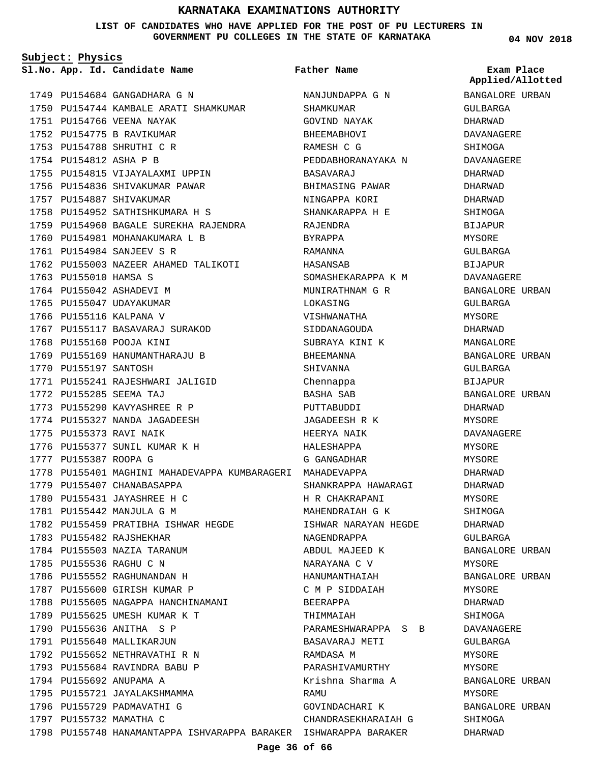**LIST OF CANDIDATES WHO HAVE APPLIED FOR THE POST OF PU LECTURERS IN GOVERNMENT PU COLLEGES IN THE STATE OF KARNATAKA**

**Father Name**

**Subject: Physics**

**App. Id. Candidate Name Sl.No. Exam Place**

1749 PU154684 GANGADHARA G N 1750 PU154744 KAMBALE ARATI SHAMKUMAR 1751 PU154766 VEENA NAYAK 1752 PU154775 B RAVIKUMAR 1753 PU154788 SHRUTHI C R 1754 PU154812 ASHA P B 1755 PU154815 VIJAYALAXMI UPPIN 1756 PU154836 SHIVAKUMAR PAWAR 1757 PU154887 SHIVAKUMAR 1758 PU154952 SATHISHKUMARA H S 1759 PU154960 BAGALE SUREKHA RAJENDRA 1760 PU154981 MOHANAKUMARA L B 1761 PU154984 SANJEEV S R 1762 PU155003 NAZEER AHAMED TALIKOTI 1763 PU155010 HAMSA S 1764 PU155042 ASHADEVI M 1765 PU155047 UDAYAKUMAR 1766 PU155116 KALPANA V 1767 PU155117 BASAVARAJ SURAKOD 1768 PU155160 POOJA KINI 1769 PU155169 HANUMANTHARAJU B 1770 PU155197 SANTOSH 1771 PU155241 RAJESHWARI JALIGID PU155285 SEEMA TAJ 1772 1773 PU155290 KAVYASHREE R P 1774 PU155327 NANDA JAGADEESH 1775 PU155373 RAVI NAIK 1776 PU155377 SUNIL KUMAR K H 1777 PU155387 ROOPA G 1778 PU155401 MAGHINI MAHADEVAPPA KUMBARAGERI MAHADEVAPPA 1779 PU155407 CHANABASAPPA 1780 PU155431 JAYASHREE H C 1781 PU155442 MANJULA G M 1782 PU155459 PRATIBHA ISHWAR HEGDE 1783 PU155482 RAJSHEKHAR 1784 PU155503 NAZIA TARANUM 1785 PU155536 RAGHU C N 1786 PU155552 RAGHUNANDAN H 1787 PU155600 GIRISH KUMAR P 1788 PU155605 NAGAPPA HANCHINAMANI 1789 PU155625 UMESH KUMAR K T 1790 PU155636 ANITHA S P 1791 PU155640 MALLIKARJUN 1792 PU155652 NETHRAVATHI R N 1793 PU155684 RAVINDRA BABU P 1794 PU155692 ANUPAMA A 1795 PU155721 JAYALAKSHMAMMA 1796 PU155729 PADMAVATHI G 1797 PU155732 MAMATHA C 1798 PU155748 HANAMANTAPPA ISHVARAPPA BARAKER ISHWARAPPA BARAKER

NANJUNDAPPA G N SHAMKUMAR GOVIND NAYAK BHEEMABHOVI RAMESH C G PEDDABHORANAYAKA N BASAVARAJ BHIMASING PAWAR NINGAPPA KORI SHANKARAPPA H E RAJENDRA BYRAPPA RAMANNA HASANSAB SOMASHEKARAPPA K M MUNIRATHNAM G R LOKASING VISHWANATHA SIDDANAGOUDA SUBRAYA KINI K BHEEMANNA SHIVANNA Chennappa BASHA SAB PUTTABUDDI JAGADEESH R K HEERYA NAIK HALESHAPPA G GANGADHAR SHANKRAPPA HAWARAGI H R CHAKRAPANI MAHENDRAIAH G K ISHWAR NARAYAN HEGDE NAGENDRAPPA ABDUL MAJEED K NARAYANA C V HANUMANTHAIAH C M P SIDDAIAH BEERAPPA THIMMAIAH PARAMESHWARAPPA S B BASAVARAJ METI RAMDASA M PARASHIVAMURTHY Krishna Sharma A RAMU GOVINDACHARI K CHANDRASEKHARAIAH G

**04 NOV 2018**

**Applied/Allotted**

BANGALORE URBAN GULBARGA DHARWAD DAVANAGERE SHIMOGA DAVANAGERE DHARWAD DHARWAD DHARWAD SHIMOGA **BIJAPUR** MYSORE GULBARGA BIJAPUR DAVANAGERE BANGALORE URBAN GULBARGA MYSORE DHARWAD MANGALORE BANGALORE URBAN GULBARGA BIJAPUR BANGALORE URBAN DHARWAD MYSORE DAVANAGERE MYSORE MYSORE DHARWAD DHARWAD MYSORE SHIMOGA DHARWAD GULBARGA BANGALORE URBAN MYSORE BANGALORE URBAN MYSORE DHARWAD SHIMOGA DAVANAGERE GULBARGA **MYSORE** MYSORE BANGALORE URBAN MYSORE BANGALORE URBAN SHIMOGA

DHARWAD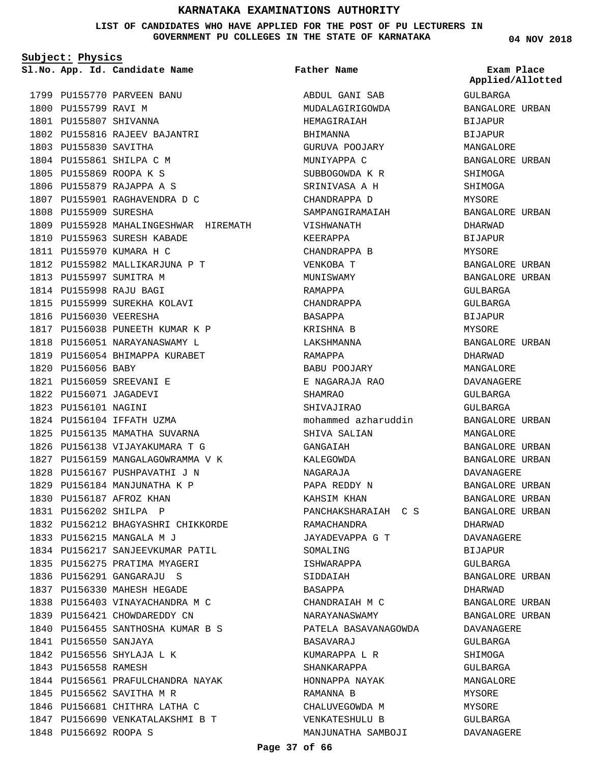**LIST OF CANDIDATES WHO HAVE APPLIED FOR THE POST OF PU LECTURERS IN GOVERNMENT PU COLLEGES IN THE STATE OF KARNATAKA**

**Subject: Physics**

1799 PU155770 PARVEEN BANU 1800 PU155799 RAVI M 1801 PU155807 SHIVANNA 1802 PU155816 RAJEEV BAJANTRI 1803 PU155830 SAVITHA 1804 PU155861 SHILPA C M 1805 PU155869 ROOPA K S 1806 PU155879 RAJAPPA A S 1807 PU155901 RAGHAVENDRA D C 1808 PU155909 SURESHA 1809 PU155928 MAHALINGESHWAR HIREMATH 1810 PU155963 SURESH KABADE 1811 PU155970 KUMARA H C 1812 PU155982 MALLIKARJUNA P T 1813 PU155997 SUMITRA M 1814 PU155998 RAJU BAGI 1815 PU155999 SUREKHA KOLAVI 1816 PU156030 VEERESHA 1817 PU156038 PUNEETH KUMAR K P 1818 PU156051 NARAYANASWAMY L 1819 PU156054 BHIMAPPA KURABET 1820 PU156056 BABY PU156059 SREEVANI E 1821 1822 PU156071 JAGADEVI 1823 PU156101 NAGINI 1824 PU156104 IFFATH UZMA 1825 PU156135 MAMATHA SUVARNA 1826 PU156138 VIJAYAKUMARA T G 1827 PU156159 MANGALAGOWRAMMA V K 1828 PU156167 PUSHPAVATHI J N 1829 PU156184 MANJUNATHA K P 1830 PU156187 AFROZ KHAN PU156202 SHILPA P 1831 1832 PU156212 BHAGYASHRI CHIKKORDE 1833 PU156215 MANGALA M J 1834 PU156217 SANJEEVKUMAR PATIL 1835 PU156275 PRATIMA MYAGERI 1836 PU156291 GANGARAJU S 1837 PU156330 MAHESH HEGADE 1838 PU156403 VINAYACHANDRA M C 1839 PU156421 CHOWDAREDDY CN 1840 PU156455 SANTHOSHA KUMAR B S 1841 PU156550 SANJAYA 1842 PU156556 SHYLAJA L K 1843 PU156558 RAMESH 1844 PU156561 PRAFULCHANDRA NAYAK 1845 PU156562 SAVITHA M R 1846 PU156681 CHITHRA LATHA C 1847 PU156690 VENKATALAKSHMI B T 1848 PU156692 ROOPA S

**App. Id. Candidate Name Sl.No. Exam Place** ABDUL GANI SAB MUDALAGIRIGOWDA HEMAGIRAIAH BHIMANNA GURUVA POOJARY MUNIYAPPA C SUBBOGOWDA K R SRINIVASA A H CHANDRAPPA D SAMPANGIRAMAIAH VISHWANATH KEERAPPA CHANDRAPPA B VENKOBA T MUNISWAMY RAMAPPA CHANDRAPPA BASAPPA KRISHNA B LAKSHMANNA RAMAPPA BABU POOJARY E NAGARAJA RAO SHAMRAO SHIVAJIRAO mohammed azharuddin SHIVA SALIAN GANGAIAH KALEGOWDA NAGARAJA PAPA REDDY N KAHSIM KHAN PANCHAKSHARAIAH C S RAMACHANDRA JAYADEVAPPA G T SOMALING ISHWARAPPA SIDDAIAH BASAPPA CHANDRAIAH M C NARAYANASWAMY PATELA BASAVANAGOWDA BASAVARAJ KUMARAPPA L R SHANKARAPPA HONNAPPA NAYAK RAMANNA B CHALUVEGOWDA M VENKATESHULU B MANJUNATHA SAMBOJI **Father Name**

**04 NOV 2018**

GULBARGA BANGALORE URBAN BIJAPUR BIJAPUR MANGALORE BANGALORE URBAN SHIMOGA SHIMOGA MYSORE BANGALORE URBAN DHARWAD BIJAPUR MYSORE BANGALORE URBAN BANGALORE URBAN GULBARGA GULBARGA **BIJAPUR** MYSORE BANGALORE URBAN DHARWAD MANGALORE DAVANAGERE GULBARGA GULBARGA BANGALORE URBAN MANGALORE BANGALORE URBAN BANGALORE URBAN DAVANAGERE BANGALORE URBAN BANGALORE URBAN BANGALORE URBAN DHARWAD DAVANAGERE BIJAPUR GULBARGA BANGALORE URBAN DHARWAD BANGALORE URBAN BANGALORE URBAN DAVANAGERE GULBARGA SHIMOGA GULBARGA MANGALORE MYSORE MYSORE GULBARGA DAVANAGERE **Applied/Allotted**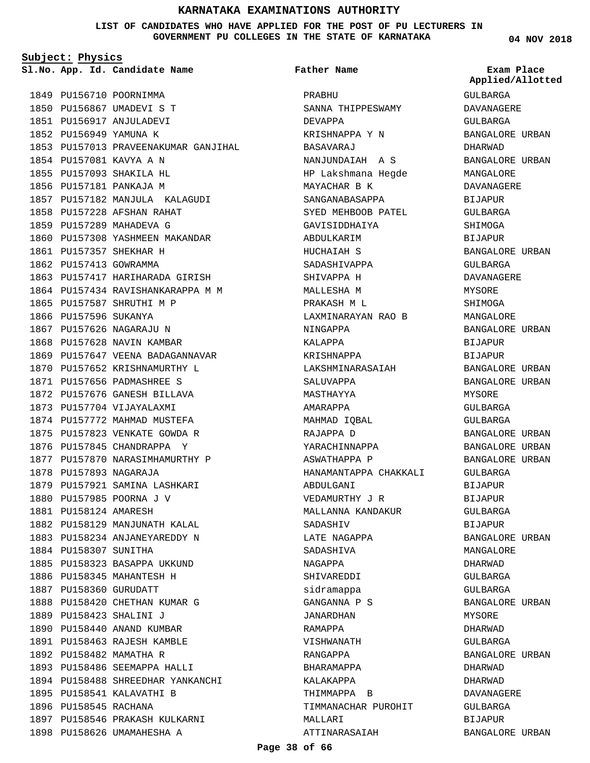**LIST OF CANDIDATES WHO HAVE APPLIED FOR THE POST OF PU LECTURERS IN GOVERNMENT PU COLLEGES IN THE STATE OF KARNATAKA**

**Subject: Physics**

**App. Id. Candidate Name Sl.No. Exam Place**

1849 PU156710 POORNIMMA 1850 PU156867 UMADEVI S T 1851 PU156917 ANJULADEVI 1852 PU156949 YAMUNA K 1853 PU157013 PRAVEENAKUMAR GANJIHAL 1854 PU157081 KAVYA A N 1855 PU157093 SHAKILA HL 1856 PU157181 PANKAJA M 1857 PU157182 MANJULA KALAGUDI 1858 PU157228 AFSHAN RAHAT 1859 PU157289 MAHADEVA G 1860 PU157308 YASHMEEN MAKANDAR 1861 PU157357 SHEKHAR H 1862 PU157413 GOWRAMMA 1863 PU157417 HARIHARADA GIRISH 1864 PU157434 RAVISHANKARAPPA M M 1865 PU157587 SHRUTHI M P 1866 PU157596 SUKANYA 1867 PU157626 NAGARAJU N 1868 PU157628 NAVIN KAMBAR 1869 PU157647 VEENA BADAGANNAVAR 1870 PU157652 KRISHNAMURTHY L 1871 PU157656 PADMASHREE S 1872 PU157676 GANESH BILLAVA 1873 PU157704 VIJAYALAXMI 1874 PU157772 MAHMAD MUSTEFA 1875 PU157823 VENKATE GOWDA R 1876 PU157845 CHANDRAPPA Y 1877 PU157870 NARASIMHAMURTHY P 1878 PU157893 NAGARAJA 1879 PU157921 SAMINA LASHKARI 1880 PU157985 POORNA J V 1881 PU158124 AMARESH 1882 PU158129 MANJUNATH KALAL 1883 PU158234 ANJANEYAREDDY N 1884 PU158307 SUNITHA 1885 PU158323 BASAPPA UKKUND 1886 PU158345 MAHANTESH H 1887 PU158360 GURUDATT 1888 PU158420 CHETHAN KUMAR G PU158423 SHALINI J 1889 1890 PU158440 ANAND KUMBAR 1891 PU158463 RAJESH KAMBLE 1892 PU158482 MAMATHA R 1893 PU158486 SEEMAPPA HALLI 1894 PU158488 SHREEDHAR YANKANCHI 1895 PU158541 KALAVATHI B 1896 PU158545 RACHANA 1897 PU158546 PRAKASH KULKARNI 1898 PU158626 UMAMAHESHA A

# PRABHU **Father Name**

SANNA THIPPESWAMY DEVAPPA KRISHNAPPA Y N BASAVARAJ NANJUNDAIAH A S HP Lakshmana Hegde MAYACHAR B K SANGANABASAPPA SYED MEHBOOB PATEL GAVISIDDHAIYA ABDULKARIM HUCHAIAH S SADASHIVAPPA SHIVAPPA H MALLESHA M PRAKASH M L LAXMINARAYAN RAO B NINGAPPA KALAPPA KRISHNAPPA LAKSHMINARASAIAH SALUVAPPA MASTHAYYA AMARAPPA MAHMAD IQBAL RAJAPPA D YARACHINNAPPA ASWATHAPPA P HANAMANTAPPA CHAKKALI ABDULGANI VEDAMURTHY J R MALLANNA KANDAKUR SADASHIV LATE NAGAPPA SADASHIVA NAGAPPA SHIVAREDDI sidramappa GANGANNA P S JANARDHAN RAMAPPA VISHWANATH RANGAPPA BHARAMAPPA KALAKAPPA THIMMAPPA B TIMMANACHAR PUROHIT MALLARI ATTINARASAIAH

**04 NOV 2018**

GULBARGA DAVANAGERE GULBARGA BANGALORE URBAN DHARWAD BANGALORE URBAN MANGALORE DAVANAGERE **BIJAPUR** GULBARGA SHIMOGA BIJAPUR BANGALORE URBAN GULBARGA DAVANAGERE MYSORE SHIMOGA MANGALORE BANGALORE URBAN BIJAPUR BIJAPUR BANGALORE URBAN BANGALORE URBAN MYSORE GULBARGA GULBARGA BANGALORE URBAN BANGALORE URBAN BANGALORE URBAN GULBARGA BIJAPUR BIJAPUR GULBARGA BIJAPUR BANGALORE URBAN MANGALORE DHARWAD GULBARGA GULBARGA BANGALORE URBAN MYSORE DHARWAD GULBARGA BANGALORE URBAN DHARWAD DHARWAD DAVANAGERE GULBARGA BIJAPUR BANGALORE URBAN **Applied/Allotted**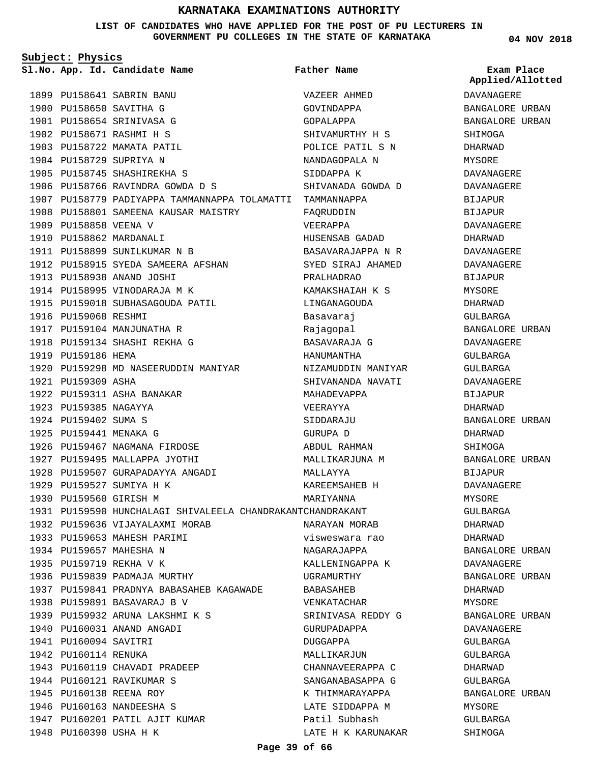**LIST OF CANDIDATES WHO HAVE APPLIED FOR THE POST OF PU LECTURERS IN GOVERNMENT PU COLLEGES IN THE STATE OF KARNATAKA**

**Subject: Physics** PU158641 SABRIN BANU 1899 1900 PU158650 SAVITHA G 1901 PU158654 SRINIVASA G 1902 PU158671 RASHMI H S 1903 PU158722 MAMATA PATIL 1904 PU158729 SUPRIYA N 1905 PU158745 SHASHIREKHA S 1906 PU158766 RAVINDRA GOWDA D S 1907 PU158779 PADIYAPPA TAMMANNAPPA TOLAMATTI TAMMANNAPPA 1908 PU158801 SAMEENA KAUSAR MAISTRY 1909 PU158858 VEENA V 1910 PU158862 MARDANALI 1911 PU158899 SUNILKUMAR N B 1912 PU158915 SYEDA SAMEERA AFSHAN 1913 PU158938 ANAND JOSHI 1914 PU158995 VINODARAJA M K 1915 PU159018 SUBHASAGOUDA PATIL 1916 PU159068 RESHMI 1917 PU159104 MANJUNATHA R 1918 PU159134 SHASHI REKHA G 1919 PU159186 HEMA 1920 PU159298 MD NASEERUDDIN MANIYAR 1921 PU159309 ASHA 1922 PU159311 ASHA BANAKAR 1923 PU159385 NAGAYYA 1924 PU159402 SUMA S 1925 PU159441 MENAKA G 1926 PU159467 NAGMANA FIRDOSE 1927 PU159495 MALLAPPA JYOTHI 1928 PU159507 GURAPADAYYA ANGADI 1929 PU159527 SUMIYA H K 1930 PU159560 GIRISH M PU159590 HUNCHALAGI SHIVALEELA CHANDRAKANT CHANDRAKANT 1931 1932 PU159636 VIJAYALAXMI MORAB 1933 PU159653 MAHESH PARIMI 1934 PU159657 MAHESHA N 1935 PU159719 REKHA V K 1936 PU159839 PADMAJA MURTHY PU159841 PRADNYA BABASAHEB KAGAWADE 1937 1938 PU159891 BASAVARAJ B V PU159932 ARUNA LAKSHMI K S 1939 1940 PU160031 ANAND ANGADI 1941 PU160094 SAVITRI 1942 PU160114 RENUKA 1943 PU160119 CHAVADI PRADEEP 1944 PU160121 RAVIKUMAR S 1945 PU160138 REENA ROY **App. Id. Candidate Name Sl.No. Exam Place Father Name**

1946 PU160163 NANDEESHA S

1948 PU160390 USHA H K

1947 PU160201 PATIL AJIT KUMAR

VAZEER AHMED GOVINDAPPA GOPALAPPA SHIVAMURTHY H S POLICE PATIL S N NANDAGOPALA N SIDDAPPA K SHIVANADA GOWDA D FAQRUDDIN VEERAPPA HUSENSAB GADAD BASAVARAJAPPA N R SYED SIRAJ AHAMED PRALHADRAO KAMAKSHAIAH K S LINGANAGOUDA Basavaraj Rajagopal BASAVARAJA G HANUMANTHA NIZAMUDDIN MANIYAR SHIVANANDA NAVATI MAHADEVAPPA VEERAYYA SIDDARAJU GURUPA D ABDUL RAHMAN MALLIKARJUNA M MALLAYYA KAREEMSAHEB H MARIYANNA NARAYAN MORAB visweswara rao NAGARAJAPPA KALLENINGAPPA K UGRAMURTHY BABASAHEB VENKATACHAR SRINIVASA REDDY G GURUPADAPPA DUGGAPPA MALLIKARJIIN CHANNAVEERAPPA C SANGANABASAPPA G K THIMMARAYAPPA LATE SIDDAPPA M Patil Subhash LATE H K KARUNAKAR **04 NOV 2018**

**Applied/Allotted**

DAVANAGERE BANGALORE URBAN BANGALORE URBAN SHIMOGA DHARWAD MYSORE DAVANAGERE DAVANAGERE **BIJAPUR** BIJAPUR DAVANAGERE DHARWAD DAVANAGERE DAVANAGERE BIJAPUR MYSORE DHARWAD GULBARGA BANGALORE URBAN DAVANAGERE GULBARGA GULBARGA DAVANAGERE BIJAPUR DHARWAD BANGALORE URBAN DHARWAD SHIMOGA BANGALORE URBAN BIJAPUR DAVANAGERE MYSORE GULBARGA DHARWAD DHARWAD BANGALORE URBAN DAVANAGERE BANGALORE URBAN DHARWAD MYSORE BANGALORE URBAN DAVANAGERE GULBARGA GULBARGA DHARWAD GULBARGA BANGALORE URBAN MYSORE GULBARGA SHIMOGA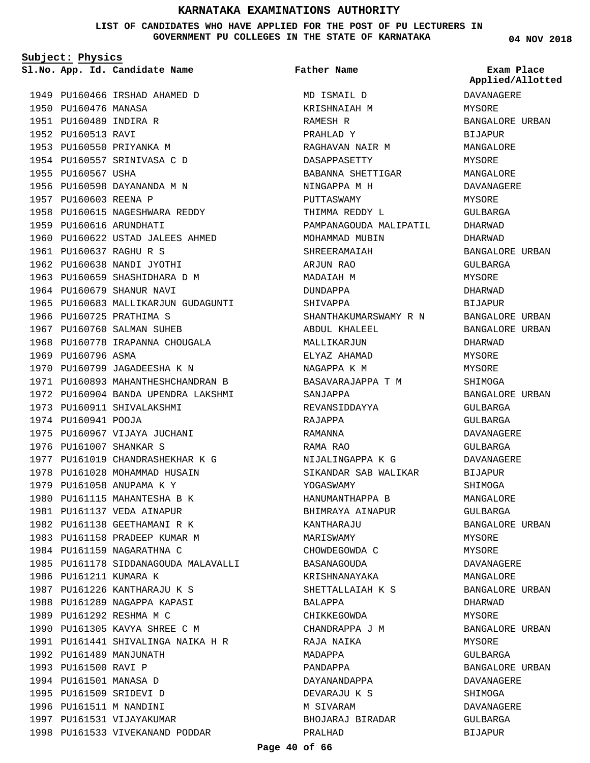**LIST OF CANDIDATES WHO HAVE APPLIED FOR THE POST OF PU LECTURERS IN GOVERNMENT PU COLLEGES IN THE STATE OF KARNATAKA**

**Subject: Physics**

1949 PU160466 IRSHAD AHAMED D 1950 PU160476 MANASA 1951 PU160489 INDIRA R 1952 PU160513 RAVI 1953 PU160550 PRIYANKA M 1954 PU160557 SRINIVASA C D 1955 PU160567 USHA 1956 PU160598 DAYANANDA M N 1957 PU160603 REENA P 1958 PU160615 NAGESHWARA REDDY 1959 PU160616 ARUNDHATI 1960 PU160622 USTAD JALEES AHMED PU160637 RAGHU R S 1961 1962 PU160638 NANDI JYOTHI 1963 PU160659 SHASHIDHARA D M 1964 PU160679 SHANUR NAVI 1965 PU160683 MALLIKARJUN GUDAGUNTI 1966 PU160725 PRATHIMA S 1967 PU160760 SALMAN SUHEB 1968 PU160778 IRAPANNA CHOUGALA 1969 PU160796 ASMA 1970 PU160799 JAGADEESHA K N 1971 PU160893 MAHANTHESHCHANDRAN B 1972 PU160904 BANDA UPENDRA LAKSHMI 1973 PU160911 SHIVALAKSHMI 1974 PU160941 POOJA 1975 PU160967 VIJAYA JUCHANI 1976 PU161007 SHANKAR S 1977 PU161019 CHANDRASHEKHAR K G 1978 PU161028 MOHAMMAD HUSAIN 1979 PU161058 ANUPAMA K Y 1980 PU161115 MAHANTESHA B K 1981 PU161137 VEDA AINAPUR 1982 PU161138 GEETHAMANI R K 1983 PU161158 PRADEEP KUMAR M 1984 PU161159 NAGARATHNA C 1985 PU161178 SIDDANAGOUDA MALAVALLI 1986 PU161211 KUMARA K 1987 PU161226 KANTHARAJU K S 1988 PU161289 NAGAPPA KAPASI 1989 PU161292 RESHMA M C 1990 PU161305 KAVYA SHREE C M 1991 PU161441 SHIVALINGA NAIKA H R 1992 PU161489 MANJUNATH 1993 PU161500 RAVI P 1994 PU161501 MANASA D 1995 PU161509 SRIDEVI D 1996 PU161511 M NANDINI 1997 PU161531 VIJAYAKUMAR 1998 PU161533 VIVEKANAND PODDAR

**App. Id. Candidate Name Sl.No. Exam Place** MD ISMAIL D KRISHNAIAH M RAMESH R PRAHLAD Y RAGHAVAN NAIR M DASAPPASETTY BABANNA SHETTIGAR NINGAPPA M H PUTTASWAMY THIMMA REDDY L PAMPANAGOUDA MALIPATIL MOHAMMAD MUBIN SHREERAMAIAH ARJUN RAO MADAIAH M DUNDAPPA SHIVAPPA SHANTHAKUMARSWAMY R N ABDUL KHALEEL MALLIKARJUN ELYAZ AHAMAD NAGAPPA K M BASAVARAJAPPA T M SANJAPPA REVANSIDDAYYA RAJAPPA RAMANNA RAMA RAO NIJALINGAPPA K G SIKANDAR SAB WALIKAR YOGASWAMY HANUMANTHAPPA B BHIMRAYA AINAPUR KANTHARAJU MARISWAMY CHOWDEGOWDA C BASANAGOUDA KRISHNANAYAKA SHETTALLAIAH K S BALAPPA CHIKKEGOWDA CHANDRAPPA J M RAJA NAIKA MADAPPA PANDAPPA DAYANANDAPPA DEVARAJU K S M SIVARAM BHOJARAJ BIRADAR PRALHAD **Father Name**

### **04 NOV 2018**

**Applied/Allotted**

# DAVANAGERE MYSORE BANGALORE URBAN BIJAPUR MANGALORE MYSORE MANGALORE DAVANAGERE MYSORE GULBARGA DHARWAD DHARWAD BANGALORE URBAN GULBARGA MYSORE DHARWAD BIJAPUR BANGALORE URBAN BANGALORE URBAN DHARWAD MYSORE MYSORE SHIMOGA BANGALORE URBAN GULBARGA GULBARGA DAVANAGERE GULBARGA DAVANAGERE BIJAPUR SHIMOGA MANGALORE GULBARGA BANGALORE URBAN MYSORE MYSORE DAVANAGERE MANGALORE BANGALORE URBAN DHARWAD MYSORE BANGALORE URBAN MYSORE GULBARGA BANGALORE URBAN DAVANAGERE SHIMOGA DAVANAGERE GULBARGA BIJAPUR

### **Page 40 of 66**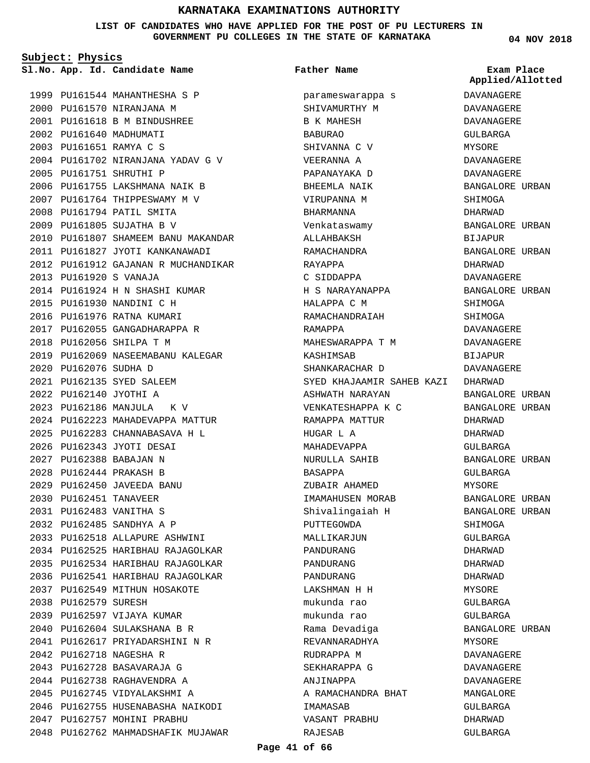**LIST OF CANDIDATES WHO HAVE APPLIED FOR THE POST OF PU LECTURERS IN GOVERNMENT PU COLLEGES IN THE STATE OF KARNATAKA**

**Subject: Physics**

**App. Id. Candidate Name Sl.No. Exam Place**

2002 PU161640 MADHUMATI PU161651 RAMYA C S 2003

PU161751 SHRUTHI P 2005

PU161920 S VANAJA 2013

2015 PU161930 NANDINI C H 2016 PU161976 RATNA KUMARI 2017 PU162055 GANGADHARAPPA R

PU162056 SHILPA T M 2018

PU162186 MANJULA K V 2023

PU162343 JYOTI DESAI 2026 PU162388 BABAJAN N 2027 PU162444 PRAKASH B 2028 PU162450 JAVEEDA BANU 2029 2030 PU162451 TANAVEER PU162483 VANITHA S 2031 PU162485 SANDHYA A P 2032

PU162076 SUDHA D 2020 PU162135 SYED SALEEM 2021 PU162140 JYOTHI A 2022

1999 PU161544 MAHANTHESHA S P 2000 PU161570 NIRANJANA M PU161618 B M BINDUSHREE 2001

PU161702 NIRANJANA YADAV G V 2004

2010 PU161807 SHAMEEM BANU MAKANDAR PU161827 JYOTI KANKANAWADI 2011 2012 PU161912 GAJANAN R MUCHANDIKAR

2006 PU161755 LAKSHMANA NAIK B 2007 PU161764 THIPPESWAMY M V 2008 PU161794 PATIL SMITA PU161805 SUJATHA B V 2009

PU161924 H N SHASHI KUMAR 2014

2019 PU162069 NASEEMABANU KALEGAR

2024 PU162223 MAHADEVAPPA MATTUR PU162283 CHANNABASAVA H L 2025

PU162518 ALLAPURE ASHWINI 2033 2034 PU162525 HARIBHAU RAJAGOLKAR 2035 PU162534 HARIBHAU RAJAGOLKAR 2036 PU162541 HARIBHAU RAJAGOLKAR 2037 PU162549 MITHUN HOSAKOTE

2038 PU162579 SURESH

2039 PU162597 VIJAYA KUMAR PU162604 SULAKSHANA B R 2040 PU162617 PRIYADARSHINI N R 2041

2046 PU162755 HUSENABASHA NAIKODI

2048 PU162762 MAHMADSHAFIK MUJAWAR

2047 PU162757 MOHINI PRABHU

2042 PU162718 NAGESHA R PU162728 BASAVARAJA G 2043 PU162738 RAGHAVENDRA A 2044 2045 PU162745 VIDYALAKSHMI A **Father Name**

parameswarappa s SHIVAMURTHY M B K MAHESH BABURAO SHIVANNA C V VEERANNA A PAPANAYAKA D BHEEMLA NAIK VIRUPANNA M BHARMANNA Venkataswamy ALLAHBAKSH RAMACHANDRA RAYAPPA C SIDDAPPA H S NARAYANAPPA HALAPPA C M RAMACHANDRAIAH RAMAPPA MAHESWARAPPA T M KASHIMSAB SHANKARACHAR D SYED KHAJAAMIR SAHEB KAZI DHARWAD ASHWATH NARAYAN VENKATESHAPPA K C RAMAPPA MATTUR HIIGAR I, A MAHADEVAPPA NURULLA SAHIB BASAPPA ZUBAIR AHAMED IMAMAHUSEN MORAB Shivalingaiah H PUTTEGOWDA MALLIKARJUN PANDURANG PANDURANG PANDURANG LAKSHMAN H H mukunda rao mukunda rao Rama Devadiga REVANNARADHYA RUDRAPPA M SEKHARAPPA G ANJINAPPA A RAMACHANDRA BHAT IMAMASAB VASANT PRABHU RAJESAB

**04 NOV 2018**

**Applied/Allotted**

# **DAVANAGERE** DAVANAGERE DAVANAGERE GULBARGA MYSORE DAVANAGERE DAVANAGERE BANGALORE URBAN **SHIMOGA** DHARWAD BANGALORE URBAN BIJAPUR BANGALORE URBAN DHARWAD DAVANAGERE BANGALORE URBAN SHIMOGA **SHIMOGA** DAVANAGERE DAVANAGERE BIJAPUR DAVANAGERE BANGALORE URBAN BANGALORE URBAN DHARWAD DHARWAD GULBARGA BANGALORE URBAN GULBARGA MYSORE BANGALORE URBAN BANGALORE URBAN SHIMOGA GULBARGA DHARWAD DHARWAD DHARWAD MYSORE GULBARGA GULBARGA BANGALORE URBAN MYSORE DAVANAGERE DAVANAGERE DAVANAGERE MANGALORE GULBARGA DHARWAD

GULBARGA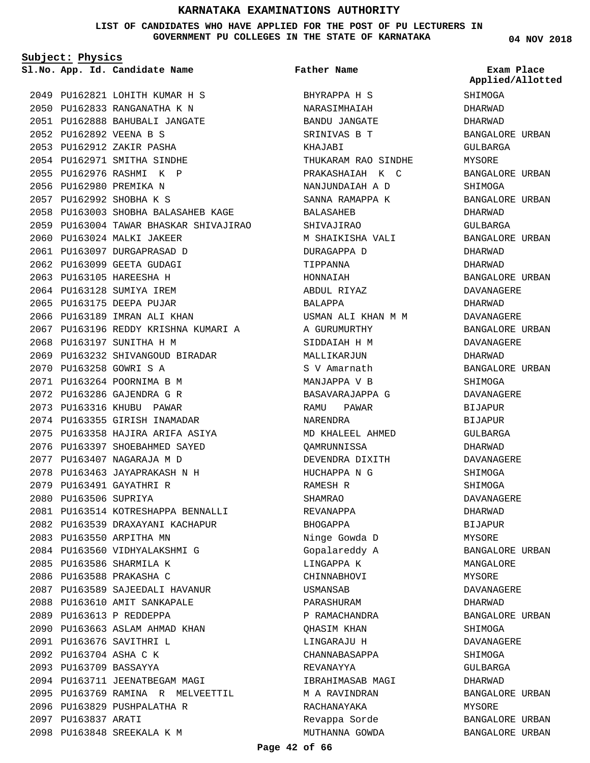**LIST OF CANDIDATES WHO HAVE APPLIED FOR THE POST OF PU LECTURERS IN GOVERNMENT PU COLLEGES IN THE STATE OF KARNATAKA**

**Subject: Physics**

**App. Id. Candidate Name Sl.No. Exam Place**

PU162821 LOHITH KUMAR H S 2049 PU162833 RANGANATHA K N 2050 PU162888 BAHUBALI JANGATE 2051 PU162892 VEENA B S 2052 PU162912 ZAKIR PASHA 2053 PU162971 SMITHA SINDHE 2054 PU162976 RASHMI K P 2055 2056 PU162980 PREMIKA N PU162992 SHOBHA K S 2057 2058 PU163003 SHOBHA BALASAHEB KAGE PU163004 TAWAR BHASKAR SHIVAJIRAO 2059 2060 PU163024 MALKI JAKEER PU163097 DURGAPRASAD D 2061 2062 PU163099 GEETA GUDAGI 2063 PU163105 HAREESHA H 2064 PU163128 SUMIYA IREM 2065 PU163175 DEEPA PUJAR 2066 PU163189 IMRAN ALI KHAN 2067 PU163196 REDDY KRISHNA KUMARI A 2068 PU163197 SUNITHA H M 2069 PU163232 SHIVANGOUD BIRADAR PU163258 GOWRI S A 2070 PU163264 POORNIMA B M 2071 PU163286 GAJENDRA G R 2072 2073 PU163316 KHUBU PAWAR 2074 PU163355 GIRISH INAMADAR PU163358 HAJIRA ARIFA ASIYA 2075 2076 PU163397 SHOEBAHMED SAYED PU163407 NAGARAJA M D 2077 PU163463 JAYAPRAKASH N H 2078 2079 PU163491 GAYATHRI R 2080 PU163506 SUPRIYA 2081 PU163514 KOTRESHAPPA BENNALLI 2082 PU163539 DRAXAYANI KACHAPUR 2083 PU163550 ARPITHA MN 2084 PU163560 VIDHYALAKSHMI G 2085 PU163586 SHARMILA K 2086 PU163588 PRAKASHA C PU163589 SAJEEDALI HAVANUR 2087 2088 PU163610 AMIT SANKAPALE 2089 PU163613 P REDDEPPA 2090 PU163663 ASLAM AHMAD KHAN PU163676 SAVITHRI L 2091 PU163704 ASHA C K 2092 PU163709 BASSAYYA 2093 2094 PU163711 JEENATBEGAM MAGI PU163769 RAMINA R MELVEETTIL 2095 2096 PU163829 PUSHPALATHA R 2097 PU163837 ARATI PU163848 SREEKALA K M 2098

BHYRAPPA H S NARASIMHAIAH BANDU JANGATE SRINIVAS B T KHAJABI THUKARAM RAO SINDHE PRAKASHAIAH K C NANJUNDAIAH A D SANNA RAMAPPA K BALASAHEB SHIVAJIRAO M SHAIKISHA VALI DURAGAPPA D TIPPANNA HONNAIAH ABDUL RIYAZ BALAPPA USMAN ALI KHAN M M A GURUMURTHY SIDDAIAH H M MALLIKARJUN S V Amarnath MANJAPPA V B BASAVARAJAPPA G RAMU PAWAR NARENDRA MD KHALEEL AHMED QAMRUNNISSA DEVENDRA DIXITH HUCHAPPA N G RAMESH R SHAMRAO REVANAPPA BHOGAPPA Ninge Gowda D Gopalareddy A LINGAPPA K CHINNABHOVI USMANSAB PARASHURAM P RAMACHANDRA QHASIM KHAN LINGARAJU H CHANNABASAPPA REVANAYYA IBRAHIMASAB MAGI M A RAVINDRAN RACHANAYAKA Revappa Sorde MUTHANNA GOWDA **Father Name**

**04 NOV 2018**

**SHIMOGA** DHARWAD DHARWAD BANGALORE URBAN GULBARGA MYSORE BANGALORE URBAN SHIMOGA BANGALORE URBAN DHARWAD GULBARGA BANGALORE URBAN DHARWAD DHARWAD BANGALORE URBAN DAVANAGERE DHARWAD DAVANAGERE BANGALORE URBAN DAVANAGERE DHARWAD BANGALORE URBAN SHIMOGA DAVANAGERE BIJAPUR BIJAPUR GULBARGA DHARWAD DAVANAGERE SHIMOGA SHIMOGA DAVANAGERE DHARWAD BIJAPUR MYSORE BANGALORE URBAN MANGALORE MYSORE DAVANAGERE DHARWAD BANGALORE URBAN SHIMOGA DAVANAGERE SHIMOGA GULBARGA DHARWAD BANGALORE URBAN MYSORE BANGALORE URBAN BANGALORE URBAN **Applied/Allotted**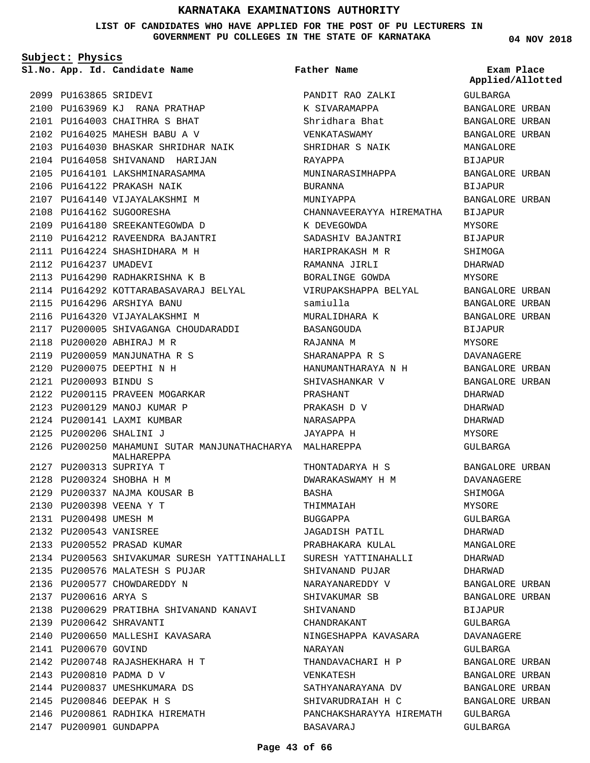**LIST OF CANDIDATES WHO HAVE APPLIED FOR THE POST OF PU LECTURERS IN GOVERNMENT PU COLLEGES IN THE STATE OF KARNATAKA**

**Subject: Physics**

**App. Id. Candidate Name Sl.No. Exam Place**

2100 PU163969 KJ RANA PRATHAP PU164003 CHAITHRA S BHAT 2101 PU164025 MAHESH BABU A V 2102

2103 PU164030 BHASKAR SHRIDHAR NAIK 2104 PU164058 SHIVANAND HARIJAN 2105 PU164101 LAKSHMINARASAMMA 2106 PU164122 PRAKASH NAIK 2107 PU164140 VIJAYALAKSHMI M

2099 PU163865 SRIDEVI

2108 PU164162 SUGOORESHA

2112 PU164237 UMADEVI

2109 PU164180 SREEKANTEGOWDA D PU164212 RAVEENDRA BAJANTRI 2110 PU164224 SHASHIDHARA M H 2111

PU164290 RADHAKRISHNA K B 2113

2122 PU200115 PRAVEEN MOGARKAR 2123 PU200129 MANOJ KUMAR P 2124 PU200141 LAXMI KUMBAR PU200206 SHALINI J 2125

PU164296 ARSHIYA BANU 2115 2116 PU164320 VIJAYALAKSHMI M

2118 PU200020 ABHIRAJ M R 2119 PU200059 MANJUNATHA R S PU200075 DEEPTHI N H 2120 PU200093 BINDU S 2121

PU200313 SUPRIYA T 2127 PU200324 SHOBHA H M 2128 2129 PU200337 NAJMA KOUSAR B

PU200398 VEENA Y T 2130 2131 PU200498 UMESH M PU200543 VANISREE 2132 2133 PU200552 PRASAD KUMAR

2137 PU200616 ARYA S

2141 PU200670 GOVIND

PU200642 SHRAVANTI 2139

2143 PU200810 PADMA D V

2147 PU200901 GUNDAPPA

2135 PU200576 MALATESH S PUJAR 2136 PU200577 CHOWDAREDDY N

2140 PU200650 MALLESHI KAVASARA

PU200748 RAJASHEKHARA H T 2142

2146 PU200861 RADHIKA HIREMATH

2144 PU200837 UMESHKUMARA DS PU200846 DEEPAK H S 2145

2114 PU164292 KOTTARABASAVARAJ BELYAL

2117 PU200005 SHIVAGANGA CHOUDARADDI

MALHAREPPA

PU200563 SHIVAKUMAR SURESH YATTINAHALLI 2134

2138 PU200629 PRATIBHA SHIVANAND KANAVI

**Father Name**

PANDIT RAO ZALKI

PU200250 MAHAMUNI SUTAR MANJUNATHACHARYA MALHAREPPA 2126 K SIVARAMAPPA Shridhara Bhat VENKATASWAMY SHRIDHAR S NAIK RAYAPPA MUNINARASIMHAPPA BURANNA **MINITYADDA** CHANNAVEERAYYA HIREMATHA K DEVEGOWDA SADASHIV BAJANTRI HARIPRAKASH M R RAMANNA JIRLI BORALINGE GOWDA VIRUPAKSHAPPA BELYAL samiulla MURALIDHARA K BASANGOUDA RAJANNA M SHARANAPPA R S HANUMANTHARAYA N H SHIVASHANKAR V PRASHANT PRAKASH D V NARASAPPA JAYAPPA H THONTADARYA H S DWARAKASWAMY H M BASHA THIMMAIAH BUGGAPPA JAGADISH PATIL PRABHAKARA KULAL SURESH YATTINAHALLI SHIVANAND PUJAR NARAYANAREDDY V SHIVAKUMAR SB SHIVANAND CHANDRAKANT NINGESHAPPA KAVASARA NARAYAN THANDAVACHARI H P VENKATESH SATHYANARAYANA DV SHIVARUDRAIAH H C PANCHAKSHARAYYA HIREMATH BASAVARAJ

**04 NOV 2018**

GULBARGA BANGALORE URBAN BANGALORE URBAN BANGALORE URBAN MANGALORE BIJAPUR BANGALORE URBAN BIJAPUR BANGALORE URBAN BIJAPUR MYSORE BIJAPUR SHIMOGA DHARWAD MYSORE BANGALORE URBAN BANGALORE URBAN BANGALORE URBAN BIJAPUR MYSORE DAVANAGERE BANGALORE URBAN BANGALORE URBAN DHARWAD DHARWAD DHARWAD **MYSORE** GULBARGA BANGALORE URBAN DAVANAGERE SHIMOGA MYSORE GULBARGA DHARWAD MANGALORE DHARWAD DHARWAD BANGALORE URBAN BANGALORE URBAN BIJAPUR GULBARGA DAVANAGERE GULBARGA BANGALORE URBAN BANGALORE URBAN BANGALORE URBAN BANGALORE URBAN GULBARGA GULBARGA **Applied/Allotted**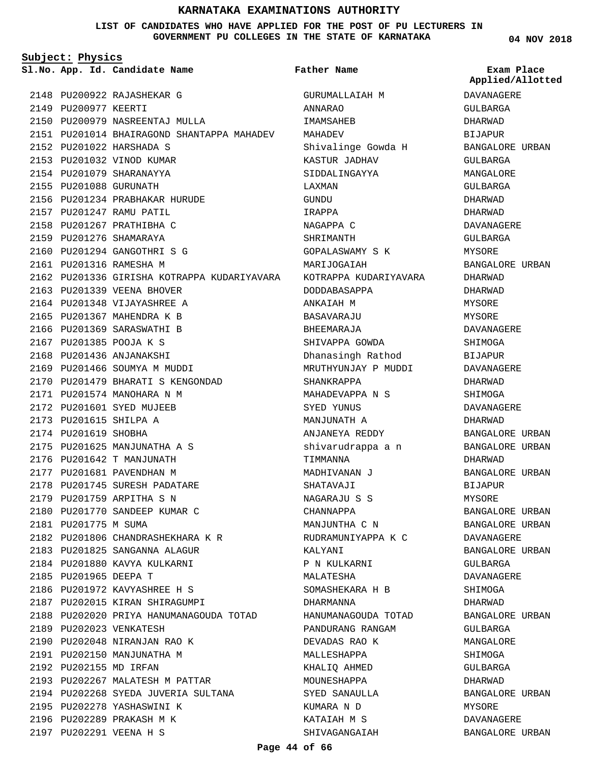### **LIST OF CANDIDATES WHO HAVE APPLIED FOR THE POST OF PU LECTURERS IN GOVERNMENT PU COLLEGES IN THE STATE OF KARNATAKA**

**Subject: Physics**

**App. Id. Candidate Name Sl.No. Exam Place**

2148 PU200922 RAJASHEKAR G 2149 PU200977 KEERTI 2150 PU200979 NASREENTAJ MULLA 2151 PU201014 BHAIRAGOND SHANTAPPA MAHADEV PU201022 HARSHADA S 2152 2153 PU201032 VINOD KUMAR 2154 PU201079 SHARANAYYA 2155 PU201088 GURUNATH 2156 PU201234 PRABHAKAR HURUDE PU201247 RAMU PATIL 2157 PU201267 PRATHIBHA C 2158 2159 PU201276 SHAMARAYA 2160 PU201294 GANGOTHRI S G 2161 PU201316 RAMESHA M 2162 PU201336 GIRISHA KOTRAPPA KUDARIYAVARA 2163 PU201339 VEENA BHOVER 2164 PU201348 VIJAYASHREE A 2165 PU201367 MAHENDRA K B 2166 PU201369 SARASWATHI B PU201385 POOJA K S 2167 2168 PU201436 ANJANAKSHI 2169 PU201466 SOUMYA M MUDDI PU201479 BHARATI S KENGONDAD 2170 2171 PU201574 MANOHARA N M 2172 PU201601 SYED MUJEEB PU201615 SHILPA A 2173 2174 PU201619 SHOBHA 2175 PU201625 MANJUNATHA A S 2176 PU201642 T MANJUNATH 2177 PU201681 PAVENDHAN M 2178 PU201745 SURESH PADATARE 2179 PU201759 ARPITHA S N 2180 PU201770 SANDEEP KUMAR C 2181 PU201775 M SUMA PU201806 CHANDRASHEKHARA K R 2182 2183 PU201825 SANGANNA ALAGUR 2184 PU201880 KAVYA KULKARNI 2185 PU201965 DEEPA T 2186 PU201972 KAVYASHREE H S 2187 PU202015 KIRAN SHIRAGUMPI 2188 PU202020 PRIYA HANUMANAGOUDA TOTAD 2189 PU202023 VENKATESH 2190 PU202048 NIRANJAN RAO K 2191 PU202150 MANJUNATHA M 2192 PU202155 MD IRFAN 2193 PU202267 MALATESH M PATTAR 2194 PU202268 SYEDA JUVERIA SULTANA 2195 PU202278 YASHASWINI K 2196 PU202289 PRAKASH M K PU202291 VEENA H S 2197

GURUMALLAIAH M ANNARAO IMAMSAHEB MAHADEV Shivalinge Gowda H KASTUR JADHAV SIDDALINGAYYA LAXMAN GUNDU IRAPPA NAGAPPA C SHRIMANTH GOPALASWAMY S K MARIJOGAIAH KOTRAPPA KUDARIYAVARA DODDABASAPPA ANKAIAH M RASAVARAJU BHEEMARAJA SHIVAPPA GOWDA Dhanasingh Rathod MRUTHYUNJAY P MUDDI SHANKRAPPA MAHADEVAPPA N S SYED YUNUS MANJUNATH A ANJANEYA REDDY shivarudrappa a n TIMMANNA MADHIVANAN J SHATAVAJI NAGARAJU S S CHANNAPPA MANJUNTHA C N RUDRAMUNIYAPPA K C KALYANI P N KULKARNI MALATESHA SOMASHEKARA H B DHARMANNA HANUMANAGOUDA TOTAD PANDURANG RANGAM DEVADAS RAO K MALLESHAPPA KHALIQ AHMED MOUNESHAPPA SYED SANAULLA KUMARA N D KATAIAH M S SHIVAGANGAIAH **Father Name**

**04 NOV 2018**

DAVANAGERE GULBARGA DHARWAD BIJAPUR BANGALORE URBAN GULBARGA MANGALORE GULBARGA DHARWAD DHARWAD DAVANAGERE GULBARGA MYSORE BANGALORE URBAN DHARWAD DHARWAD MYSORE **MYSORE** DAVANAGERE SHIMOGA BIJAPUR DAVANAGERE DHARWAD SHIMOGA DAVANAGERE DHARWAD BANGALORE URBAN BANGALORE URBAN DHARWAD BANGALORE URBAN BIJAPUR MYSORE BANGALORE URBAN BANGALORE URBAN DAVANAGERE BANGALORE URBAN GULBARGA DAVANAGERE SHIMOGA DHARWAD BANGALORE URBAN GULBARGA MANGALORE SHIMOGA GULBARGA DHARWAD BANGALORE URBAN MYSORE DAVANAGERE BANGALORE URBAN **Applied/Allotted**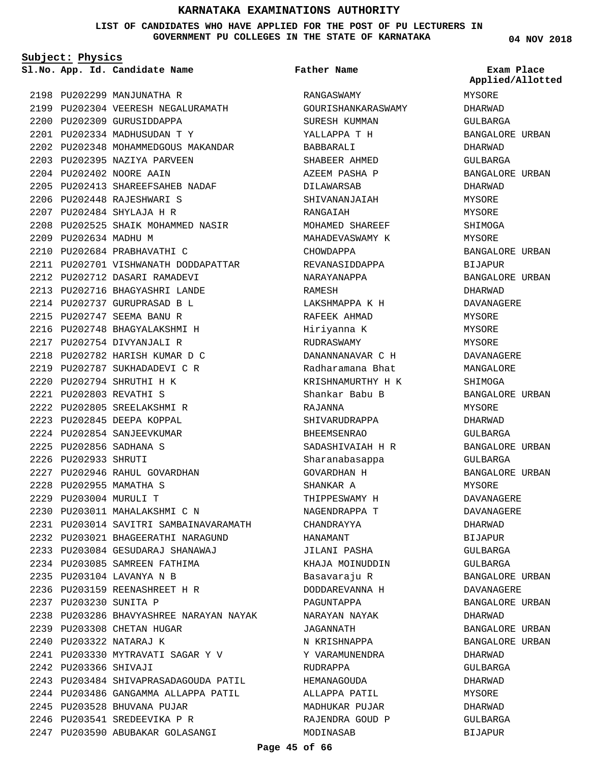### **LIST OF CANDIDATES WHO HAVE APPLIED FOR THE POST OF PU LECTURERS IN GOVERNMENT PU COLLEGES IN THE STATE OF KARNATAKA**

**Subject: Physics**

**App. Id. Candidate Name Sl.No. Exam Place**

2198 PU202299 MANJUNATHA R 2199 PU202304 VEERESH NEGALURAMATH 2200 PU202309 GURUSIDDAPPA PU202334 MADHUSUDAN T Y 2201 2202 PU202348 MOHAMMEDGOUS MAKANDAR 2203 PU202395 NAZIYA PARVEEN 2204 PU202402 NOORE AAIN PU202413 SHAREEFSAHEB NADAF 2205 2206 PU202448 RAJESHWARI S PU202484 SHYLAJA H R 2207 2208 PU202525 SHAIK MOHAMMED NASIR 2209 PU202634 MADHU M PU202684 PRABHAVATHI C 2210 2211 PU202701 VISHWANATH DODDAPATTAR 2212 PU202712 DASARI RAMADEVI PU202716 BHAGYASHRI LANDE 2213 PU202737 GURUPRASAD B L 2214 PU202747 SEEMA BANU R 2215 2216 PU202748 BHAGYALAKSHMI H PU202754 DIVYANJALI R 2217 PU202782 HARISH KUMAR D C 2218 2219 PU202787 SUKHADADEVI C R PU202794 SHRUTHI H K 2220 PU202803 REVATHI S 2221 PU202805 SREELAKSHMI R 2222 PU202845 DEEPA KOPPAL 2223 2224 PU202854 SANJEEVKUMAR PU202856 SADHANA S 2225 2226 PU202933 SHRUTI 2227 PU202946 RAHUL GOVARDHAN 2228 PU202955 MAMATHA S PU203004 MURULI T 2229 PU203011 MAHALAKSHMI C N 2230 PU203014 SAVITRI SAMBAINAVARAMATH 2231 PU203021 BHAGEERATHI NARAGUND 2232 PU203084 GESUDARAJ SHANAWAJ 2233 2234 PU203085 SAMREEN FATHIMA PU203104 LAVANYA N B 2235 PU203159 REENASHREET H R 2236 2237 PU203230 SUNITA P 2238 PU203286 BHAVYASHREE NARAYAN NAYAK 2239 PU203308 CHETAN HUGAR 2240 PU203322 NATARAJ K PU203330 MYTRAVATI SAGAR Y V 2241 2242 PU203366 SHIVAJI 2243 PU203484 SHIVAPRASADAGOUDA PATIL 2244 PU203486 GANGAMMA ALLAPPA PATIL 2245 PU203528 BHUVANA PUJAR PU203541 SREDEEVIKA P R 2246 2247 PU203590 ABUBAKAR GOLASANGI

RANGASWAMY GOURISHANKARASWAMY SURESH KUMMAN YALLAPPA T H BABBARALI SHABEER AHMED AZEEM PASHA P DILAWARSAB SHIVANANJAIAH RANGAIAH MOHAMED SHAREEF MAHADEVASWAMY K CHOWDAPPA REVANASIDDAPPA NARAYANAPPA RAMESH LAKSHMAPPA K H RAFEEK AHMAD Hiriyanna K RUDRASWAMY DANANNANAVAR C H Radharamana Bhat KRISHNAMURTHY H K Shankar Babu B RAJANNA SHIVARUDRAPPA BHEEMSENRAO SADASHIVAIAH H R Sharanabasappa GOVARDHAN H SHANKAR A THIPPESWAMY H NAGENDRAPPA T CHANDRAYYA HANAMANT JILANI PASHA KHAJA MOINUDDIN Basavaraju R DODDAREVANNA H PAGUNTAPPA NARAYAN NAYAK JAGANNATH N KRISHNAPPA Y VARAMUNENDRA RUDRAPPA HEMANAGOUDA ALLAPPA PATIL MADHUKAR PUJAR RAJENDRA GOUD P **Father Name**

**04 NOV 2018**

MYSORE DHARWAD GULBARGA BANGALORE URBAN DHARWAD GULBARGA BANGALORE URBAN DHARWAD MYSORE MYSORE SHIMOGA MYSORE BANGALORE URBAN BIJAPUR BANGALORE URBAN DHARWAD DAVANAGERE MYSORE MYSORE MYSORE DAVANAGERE MANGALORE SHIMOGA BANGALORE URBAN MYSORE DHARWAD GULBARGA BANGALORE URBAN GULBARGA BANGALORE URBAN MYSORE DAVANAGERE DAVANAGERE DHARWAD BIJAPUR GULBARGA GULBARGA BANGALORE URBAN DAVANAGERE BANGALORE URBAN DHARWAD BANGALORE URBAN BANGALORE URBAN DHARWAD GULBARGA DHARWAD MYSORE DHARWAD GULBARGA BIJAPUR **Applied/Allotted**

MODINASAB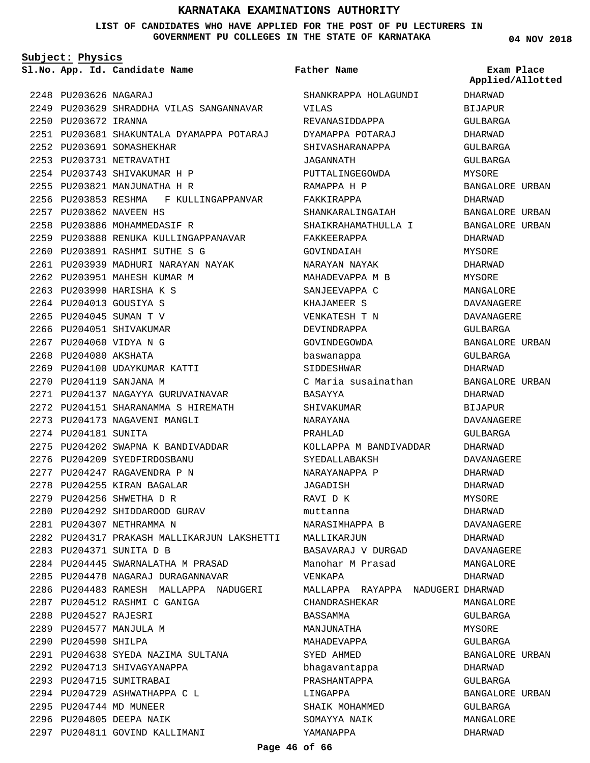### **LIST OF CANDIDATES WHO HAVE APPLIED FOR THE POST OF PU LECTURERS IN GOVERNMENT PU COLLEGES IN THE STATE OF KARNATAKA**

**Subject: Physics**

**App. Id. Candidate Name Sl.No. Exam Place**

2248 PU203626 NAGARAJ PU203629 SHRADDHA VILAS SANGANNAVAR 2249 2250 PU203672 IRANNA PU203681 SHAKUNTALA DYAMAPPA POTARAJ 2251 2252 PU203691 SOMASHEKHAR 2253 PU203731 NETRAVATHI 2254 PU203743 SHIVAKUMAR H P 2255 PU203821 MANJUNATHA H R 2256 PU203853 RESHMA F KULLINGAPPANVAR 2257 PU203862 NAVEEN HS 2258 PU203886 MOHAMMEDASIF R 2259 PU203888 RENUKA KULLINGAPPANAVAR PU203891 RASHMI SUTHE S G 2260 2261 PU203939 MADHURI NARAYAN NAYAK 2262 PU203951 MAHESH KUMAR M 2263 PU203990 HARISHA K S PU204013 GOUSIYA S 2264 2265 PU204045 SUMAN T V 2266 PU204051 SHIVAKUMAR PU204060 VIDYA N G 2267 2268 PU204080 AKSHATA 2269 PU204100 UDAYKUMAR KATTI 2270 PU204119 SANJANA M 2271 PU204137 NAGAYYA GURUVAINAVAR PU204151 SHARANAMMA S HIREMATH 2272 2273 PU204173 NAGAVENI MANGLI 2274 PU204181 SUNITA 2275 PU204202 SWAPNA K BANDIVADDAR 2276 PU204209 SYEDFIRDOSBANU PU204247 RAGAVENDRA P N 2277 2278 PU204255 KIRAN BAGALAR PU204256 SHWETHA D R 2279 2280 PU204292 SHIDDAROOD GURAV 2281 PU204307 NETHRAMMA N PU204317 PRAKASH MALLIKARJUN LAKSHETTI 2282 PU204371 SUNITA D B 2283 2284 PU204445 SWARNALATHA M PRASAD 2285 PU204478 NAGARAJ DURAGANNAVAR 2286 PU204483 RAMESH MALLAPPA NADUGERI 2287 PU204512 RASHMI C GANIGA 2288 PU204527 RAJESRI 2289 PU204577 MANJULA M 2290 PU204590 SHILPA PU204638 SYEDA NAZIMA SULTANA 2291 2292 PU204713 SHIVAGYANAPPA 2293 PU204715 SUMITRABAI 2294 PU204729 ASHWATHAPPA C L 2295 PU204744 MD MUNEER 2296 PU204805 DEEPA NAIK 2297 PU204811 GOVIND KALLIMANI

SHANKRAPPA HOLAGUNDI VILAS REVANASIDDAPPA DYAMAPPA POTARAJ SHIVASHARANAPPA JAGANNATH PUTTALINGEGOWDA RAMAPPA H P FAKKIRAPPA SHANKARALINGAIAH SHAIKRAHAMATHULLA I FAKKEERAPPA GOVINDAIAH NARAYAN NAYAK MAHADEVAPPA M B SANJEEVAPPA C KHAJAMEER S VENKATESH T N DEVINDRAPPA GOVINDEGOWDA baswanappa SIDDESHWAR C Maria susainathan BASAYYA SHIVAKUMAR NARAYANA PRAHLAD KOLLAPPA M BANDIVADDAR SYEDALLABAKSH NARAYANAPPA P JAGADISH RAVI D K muttanna NARASIMHAPPA B MALLIKARJUN BASAVARAJ V DURGAD Manohar M Prasad VENKAPA MALLAPPA RAYAPPA NADUGERI DHARWAD CHANDRASHEKAR BASSAMMA MANJUNATHA MAHADEVAPPA SYED AHMED bhagavantappa PRASHANTAPPA LINGAPPA SHAIK MOHAMMED SOMAYYA NAIK YAMANAPPA **Father Name** DHARWAD BIJAPUR GULBARGA DHARWAD

**04 NOV 2018**

**Applied/Allotted**

GULBARGA GULBARGA MYSORE BANGALORE URBAN DHARWAD BANGALORE URBAN BANGALORE URBAN DHARWAD MYSORE DHARWAD MYSORE MANGALORE DAVANAGERE DAVANAGERE GULBARGA BANGALORE URBAN GULBARGA DHARWAD BANGALORE URBAN DHARWAD BIJAPUR DAVANAGERE  $CITIRARCA$ DHARWAD DAVANAGERE DHARWAD DHARWAD MYSORE DHARWAD DAVANAGERE DHARWAD DAVANAGERE MANGALORE DHARWAD MANGALORE GULBARGA MYSORE GULBARGA BANGALORE URBAN DHARWAD GULBARGA BANGALORE URBAN GULBARGA MANGALORE DHARWAD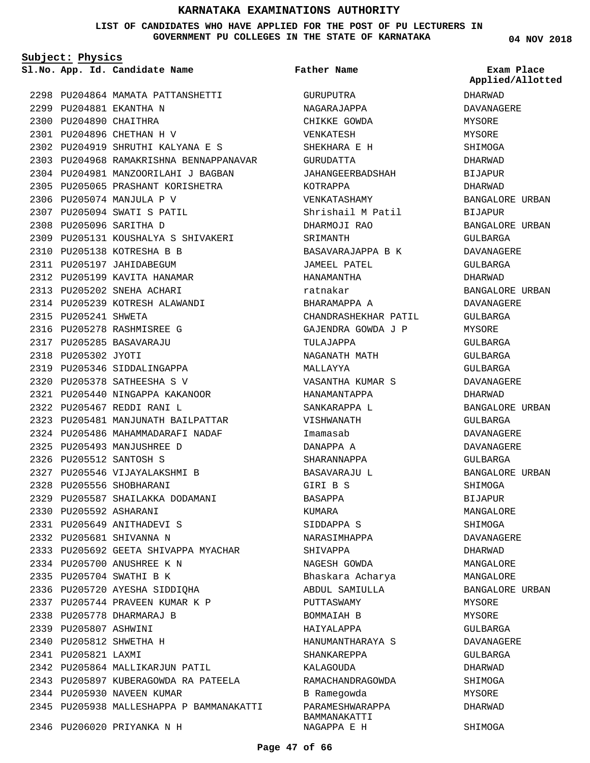### **LIST OF CANDIDATES WHO HAVE APPLIED FOR THE POST OF PU LECTURERS IN GOVERNMENT PU COLLEGES IN THE STATE OF KARNATAKA**

**Subject: Physics**

**App. Id. Candidate Name Sl.No. Exam Place**

2298 PU204864 MAMATA PATTANSHETTI 2299 PU204881 EKANTHA N 2300 PU204890 CHAITHRA PU204896 CHETHAN H V 2301 PU204919 SHRUTHI KALYANA E S 2302 2303 PU204968 RAMAKRISHNA BENNAPPANAVAR 2304 PU204981 MANZOORILAHI J BAGBAN 2305 PU205065 PRASHANT KORISHETRA 2306 PU205074 MANJULA P V PU205094 SWATI S PATIL 2307 2308 PU205096 SARITHA D PU205131 KOUSHALYA S SHIVAKERI 2309 2310 PU205138 KOTRESHA B B 2311 PU205197 JAHIDABEGUM 2312 PU205199 KAVITA HANAMAR 2313 PU205202 SNEHA ACHARI 2314 PU205239 KOTRESH ALAWANDI 2315 PU205241 SHWETA 2316 PU205278 RASHMISREE G PU205285 BASAVARAJU 2317 2318 PU205302 JYOTI 2319 PU205346 SIDDALINGAPPA PU205378 SATHEESHA S V 2320 PU205440 NINGAPPA KAKANOOR 2321 PU205467 REDDI RANI L 2322 2323 PU205481 MANJUNATH BAILPATTAR 2324 PU205486 MAHAMMADARAFI NADAF PU205493 MANJUSHREE D 2325 2326 PU205512 SANTOSH S 2327 PU205546 VIJAYALAKSHMI B 2328 PU205556 SHOBHARANI 2329 PU205587 SHAILAKKA DODAMANI 2330 PU205592 ASHARANI PU205649 ANITHADEVI S 2331 2332 PU205681 SHIVANNA N 2333 PU205692 GEETA SHIVAPPA MYACHAR 2334 PU205700 ANUSHREE K N 2335 PU205704 SWATHI B K 2336 PU205720 AYESHA SIDDIQHA PU205744 PRAVEEN KUMAR K P 2337 2338 PU205778 DHARMARAJ B 2339 PU205807 ASHWINI 2340 PU205812 SHWETHA H 2341 PU205821 LAXMI 2342 PU205864 MALLIKARJUN PATIL 2343 PU205897 KUBERAGOWDA RA PATEELA 2344 PU205930 NAVEEN KUMAR 2345 PU205938 MALLESHAPPA P BAMMANAKATTI 2346 PU206020 PRIYANKA N H

GURUPUTRA NAGARAJAPPA CHIKKE GOWDA VENKATESH SHEKHARA E H GURUDATTA JAHANGEERBADSHAH KOTRAPPA VENKATASHAMY Shrishail M Patil DHARMOJI RAO SRIMANTH BASAVARAJAPPA B K JAMEEL PATEL HANAMANTHA ratnakar BHARAMAPPA A CHANDRASHEKHAR PATIL GAJENDRA GOWDA J P TULAJAPPA NAGANATH MATH MALLAYYA VASANTHA KUMAR S HANAMANTAPPA SANKARAPPA L VISHWANATH Imamasab DANAPPA A SHARANNAPPA BASAVARAJU L GIRI B S BASAPPA KUMARA SIDDAPPA S NARASIMHAPPA SHIVAPPA NAGESH GOWDA Bhaskara Acharya ABDUL SAMIULLA PUTTASWAMY BOMMAIAH B HAIYALAPPA HANUMANTHARAYA S SHANKAREPPA KALAGOUDA RAMACHANDRAGOWDA B Ramegowda PARAMESHWARAPPA BAMMANAKATTI NAGAPPA E H **Father Name**

**04 NOV 2018**

**Applied/Allotted**

DHARWAD DAVANAGERE MYSORE MYSORE SHIMOGA DHARWAD BIJAPUR DHARWAD BANGALORE URBAN BIJAPUR BANGALORE URBAN GULBARGA DAVANAGERE GULBARGA DHARWAD BANGALORE URBAN DAVANAGERE GULBARGA MYSORE GULBARGA GULBARGA GULBARGA DAVANAGERE DHARWAD BANGALORE URBAN GULBARGA DAVANAGERE DAVANAGERE GULBARGA BANGALORE URBAN SHIMOGA BIJAPUR MANGALORE SHIMOGA DAVANAGERE DHARWAD MANGALORE MANGALORE BANGALORE URBAN MYSORE MYSORE GULBARGA DAVANAGERE GULBARGA DHARWAD SHIMOGA MYSORE DHARWAD

SHIMOGA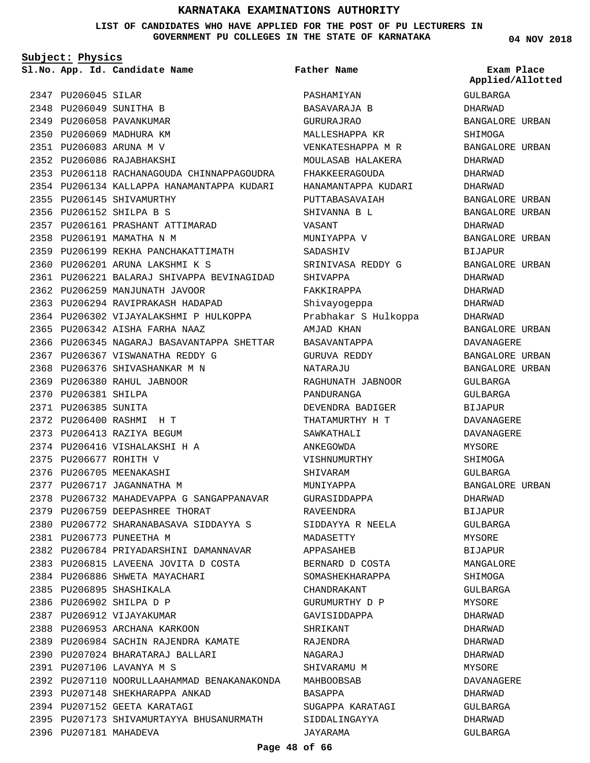**LIST OF CANDIDATES WHO HAVE APPLIED FOR THE POST OF PU LECTURERS IN GOVERNMENT PU COLLEGES IN THE STATE OF KARNATAKA**

**Subject: Physics**

2347 PU206045 SILAR 2348 PU206049 SUNITHA B 2349 PU206058 PAVANKUMAR 2350 PU206069 MADHURA KM PU206083 ARUNA M V 2351 PU206086 RAJABHAKSHI 2352 2353 PU206118 RACHANAGOUDA CHINNAPPAGOUDRA 2354 PU206134 KALLAPPA HANAMANTAPPA KUDARI 2355 PU206145 SHIVAMURTHY 2356 PU206152 SHILPA B S 2357 PU206161 PRASHANT ATTIMARAD 2358 PU206191 MAMATHA N M 2359 PU206199 REKHA PANCHAKATTIMATH PU206201 ARUNA LAKSHMI K S 2360 PU206221 BALARAJ SHIVAPPA BEVINAGIDAD 2361 2362 PU206259 MANJUNATH JAVOOR 2363 PU206294 RAVIPRAKASH HADAPAD 2364 PU206302 VIJAYALAKSHMI P HULKOPPA PU206342 AISHA FARHA NAAZ 2365 2366 PU206345 NAGARAJ BASAVANTAPPA SHETTAR 2367 PU206367 VISWANATHA REDDY G 2368 PU206376 SHIVASHANKAR M N PU206380 RAHUL JABNOOR 2369 2370 PU206381 SHILPA 2371 PU206385 SUNITA PU206400 RASHMI H T 2372 2373 PU206413 RAZIYA BEGUM PU206416 VISHALAKSHI H A 2374 2375 PU206677 ROHITH V 2376 PU206705 MEENAKASHI 2377 PU206717 JAGANNATHA M 2378 PU206732 MAHADEVAPPA G SANGAPPANAVAR 2379 PU206759 DEEPASHREE THORAT PU206772 SHARANABASAVA SIDDAYYA S 2380 2381 PU206773 PUNEETHA M 2382 PU206784 PRIYADARSHINI DAMANNAVAR 2383 PU206815 LAVEENA JOVITA D COSTA 2384 PU206886 SHWETA MAYACHARI 2385 PU206895 SHASHIKALA 2386 PU206902 SHILPA D P 2387 PU206912 VIJAYAKUMAR 2388 PU206953 ARCHANA KARKOON 2389 PU206984 SACHIN RAJENDRA KAMATE PU207024 BHARATARAJ BALLARI 2390 PU207106 LAVANYA M S 2391 2392 PU207110 NOORULLAAHAMMAD BENAKANAKONDA 2393 PU207148 SHEKHARAPPA ANKAD 2394 PU207152 GEETA KARATAGI 2395 PU207173 SHIVAMURTAYYA BHUSANURMATH 2396 PU207181 MAHADEVA

**App. Id. Candidate Name Sl.No. Exam Place** PASHAMIYAN BASAVARAJA B GURURAJRAO MALLESHAPPA KR VENKATESHAPPA M R MOULASAB HALAKERA FHAKKEERAGOUDA HANAMANTAPPA KUDARI PUTTABASAVAIAH SHIVANNA B L VASANT MUNIYAPPA V SADASHIV SRINIVASA REDDY G SHIVAPPA FAKKIRAPPA Shivayogeppa Prabhakar S Hulkoppa AMJAD KHAN BASAVANTAPPA GURUVA REDDY NATARAJU RAGHUNATH JABNOOR PANDURANGA DEVENDRA BADIGER THATAMURTHY H T SAWKATHALI ANKEGOWDA VISHNUMURTHY SHIVARAM MUNIYAPPA GURASIDDAPPA RAVEENDRA SIDDAYYA R NEELA MADASETTY APPASAHEB BERNARD D COSTA SOMASHEKHARAPPA CHANDRAKANT GURUMURTHY D P GAVISIDDAPPA SHRIKANT RAJENDRA NAGARAJ SHIVARAMU M MAHBOOBSAB BASAPPA SUGAPPA KARATAGI SIDDALINGAYYA JAYARAMA **Father Name**

**04 NOV 2018**

GULBARGA DHARWAD BANGALORE URBAN SHIMOGA BANGALORE URBAN DHARWAD DHARWAD DHARWAD BANGALORE URBAN BANGALORE URBAN DHARWAD BANGALORE URBAN BIJAPUR BANGALORE URBAN DHARWAD DHARWAD DHARWAD DHARWAD BANGALORE URBAN DAVANAGERE BANGALORE URBAN BANGALORE URBAN GULBARGA GULBARGA BIJAPUR DAVANAGERE DAVANAGERE MYSORE SHIMOGA GULBARGA BANGALORE URBAN DHARWAD BIJAPUR GULBARGA MYSORE BIJAPUR MANGALORE SHIMOGA GULBARGA MYSORE DHARWAD DHARWAD DHARWAD DHARWAD MYSORE DAVANAGERE DHARWAD GULBARGA DHARWAD GULBARGA **Applied/Allotted**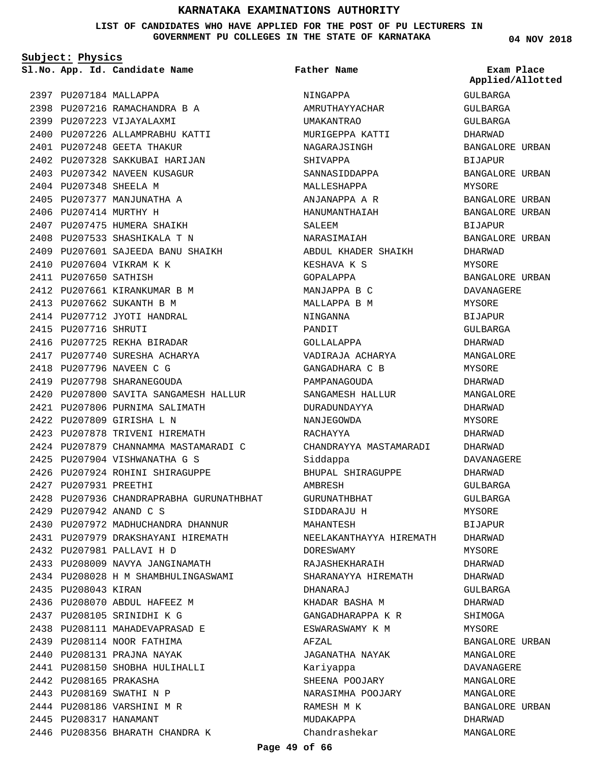**LIST OF CANDIDATES WHO HAVE APPLIED FOR THE POST OF PU LECTURERS IN GOVERNMENT PU COLLEGES IN THE STATE OF KARNATAKA**

**Subject: Physics**

2397 PU207184 MALLAPPA 2398 PU207216 RAMACHANDRA B A 2399 PU207223 VIJAYALAXMI 2400 PU207226 ALLAMPRABHU KATTI 2401 PU207248 GEETA THAKUR 2402 PU207328 SAKKUBAI HARIJAN 2403 PU207342 NAVEEN KUSAGUR 2404 PU207348 SHEELA M 2405 PU207377 MANJUNATHA A 2406 PU207414 MURTHY H 2407 PU207475 HUMERA SHAIKH 2408 PU207533 SHASHIKALA T N 2409 PU207601 SAJEEDA BANU SHAIKH 2410 PU207604 VIKRAM K K 2411 PU207650 SATHISH 2412 PU207661 KIRANKUMAR B M 2413 PU207662 SUKANTH B M 2414 PU207712 JYOTI HANDRAL 2415 PU207716 SHRUTI 2416 PU207725 REKHA BIRADAR 2417 PU207740 SURESHA ACHARYA 2418 PU207796 NAVEEN C G 2419 PU207798 SHARANEGOUDA 2420 PU207800 SAVITA SANGAMESH HALLUR 2421 PU207806 PURNIMA SALIMATH PU207809 GIRISHA L N 2422 2423 PU207878 TRIVENI HIREMATH 2424 PU207879 CHANNAMMA MASTAMARADI C PU207904 VISHWANATHA G S 2425 2426 PU207924 ROHINI SHIRAGUPPE 2427 PU207931 PREETHI 2428 PU207936 CHANDRAPRABHA GURUNATHBHAT PU207942 ANAND C S 2429 2430 PU207972 MADHUCHANDRA DHANNUR PU207979 DRAKSHAYANI HIREMATH 2431 PU207981 PALLAVI H D 2432 2433 PU208009 NAVYA JANGINAMATH 2434 PU208028 H M SHAMBHULINGASWAMI 2435 PU208043 KIRAN 2436 PU208070 ABDUL HAFEEZ M PU208105 SRINIDHI K G 2437 PU208111 MAHADEVAPRASAD E 2438 2439 PU208114 NOOR FATHIMA 2440 PU208131 PRAJNA NAYAK 2441 PU208150 SHOBHA HULIHALLI 2442 PU208165 PRAKASHA 2443 PU208169 SWATHI N P 2444 PU208186 VARSHINI M R 2445 PU208317 HANAMANT 2446 PU208356 BHARATH CHANDRA K

**App. Id. Candidate Name Sl.No. Exam Place** NINGAPPA AMRUTHAYYACHAR UMAKANTRAO MURIGEPPA KATTI NAGARAJSINGH SHIVAPPA SANNASIDDAPPA MALLESHAPPA ANJANAPPA A R HANUMANTHAIAH SALEEM NARASIMAIAH ABDUL KHADER SHAIKH KESHAVA K S GOPALAPPA MANJAPPA B C MALLAPPA B M NINGANNA PANDIT GOLLALAPPA VADIRAJA ACHARYA GANGADHARA C B PAMPANAGOUDA SANGAMESH HALLUR DURADUNDAYYA NANJEGOWDA RACHAYYA CHANDRAYYA MASTAMARADI Siddappa BHUPAL SHIRAGUPPE AMBRESH GURUNATHBHAT SIDDARAJU H MAHANTESH NEELAKANTHAYYA HIREMATH DORESWAMY RAJASHEKHARAIH SHARANAYYA HIREMATH DHANARAJ KHADAR BASHA M GANGADHARAPPA K R ESWARASWAMY K M AFZAL JAGANATHA NAYAK Kariyappa SHEENA POOJARY NARASIMHA POOJARY RAMESH M K MUDAKAPPA Chandrashekar **Father Name**

### **04 NOV 2018**

GULBARGA GULBARGA GULBARGA DHARWAD BANGALORE URBAN BIJAPUR BANGALORE URBAN MYSORE BANGALORE URBAN BANGALORE URBAN BIJAPUR BANGALORE URBAN DHARWAD MYSORE BANGALORE URBAN DAVANAGERE MYSORE BIJAPUR GULBARGA DHARWAD MANGALORE MYSORE DHARWAD MANGALORE DHARWAD MYSORE DHARWAD DHARWAD DAVANAGERE DHARWAD GULBARGA GULBARGA MYSORE BIJAPUR DHARWAD MYSORE DHARWAD DHARWAD GULBARGA DHARWAD SHIMOGA MYSORE BANGALORE URBAN MANGALORE DAVANAGERE MANGALORE MANGALORE BANGALORE URBAN DHARWAD MANGALORE **Applied/Allotted**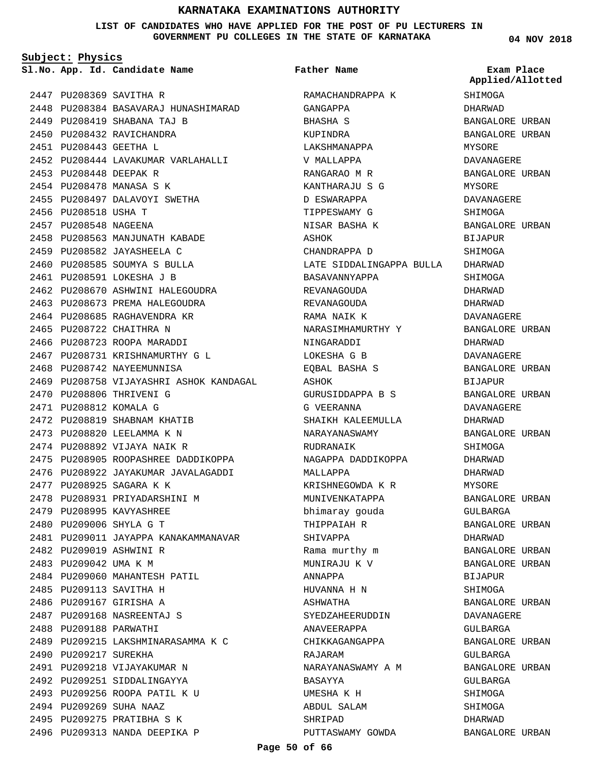### **LIST OF CANDIDATES WHO HAVE APPLIED FOR THE POST OF PU LECTURERS IN GOVERNMENT PU COLLEGES IN THE STATE OF KARNATAKA**

**Subject: Physics**

**App. Id. Candidate Name Sl.No. Exam Place**

2447 PU208369 SAVITHA R

2448 PU208384 BASAVARAJ HUNASHIMARAD 2449 PU208419 SHABANA TAJ B 2450 PU208432 RAVICHANDRA PU208443 GEETHA L 2451 2452 PU208444 LAVAKUMAR VARLAHALLI PU208448 DEEPAK R 2453 2454 PU208478 MANASA S K 2455 PU208497 DALAVOYI SWETHA 2456 PU208518 USHA T 2457 PU208548 NAGEENA 2458 PU208563 MANJUNATH KABADE 2459 PU208582 JAYASHEELA C 2460 PU208585 SOUMYA S BULLA 2461 PU208591 LOKESHA J B 2462 PU208670 ASHWINI HALEGOUDRA 2463 PU208673 PREMA HALEGOUDRA 2464 PU208685 RAGHAVENDRA KR 2465 PU208722 CHAITHRA N 2466 PU208723 ROOPA MARADDI 2467 PU208731 KRISHNAMURTHY G L 2468 PU208742 NAYEEMUNNISA 2469 PU208758 VIJAYASHRI ASHOK KANDAGAL 2470 PU208806 THRIVENI G 2471 PU208812 KOMALA G 2472 PU208819 SHABNAM KHATIB 2473 PU208820 LEELAMMA K N 2474 PU208892 VIJAYA NAIK R 2475 PU208905 ROOPASHREE DADDIKOPPA 2476 PU208922 JAYAKUMAR JAVALAGADDI 2477 PU208925 SAGARA K K 2478 PU208931 PRIYADARSHINI M 2479 PU208995 KAVYASHREE PU209006 SHYLA G T 2480 2481 PU209011 JAYAPPA KANAKAMMANAVAR 2482 PU209019 ASHWINI R 2483 PU209042 UMA K M 2484 PU209060 MAHANTESH PATIL 2485 PU209113 SAVITHA H 2486 PU209167 GIRISHA A PU209168 NASREENTAJ S 2487 2488 PU209188 PARWATHI 2489 PU209215 LAKSHMINARASAMMA K C 2490 PU209217 SUREKHA 2491 PU209218 VIJAYAKUMAR N 2492 PU209251 SIDDALINGAYYA 2493 PU209256 ROOPA PATIL K U 2494 PU209269 SUHA NAAZ 2495 PU209275 PRATIBHA S K 2496 PU209313 NANDA DEEPIKA P

RAMACHANDRAPPA K GANGAPPA BHASHA S KUPINDRA LAKSHMANAPPA V MALLAPPA RANGARAO M R KANTHARAJU S G D ESWARAPPA TIPPESWAMY G NISAR BASHA K ASHOK CHANDRAPPA D LATE SIDDALINGAPPA BULLA BASAVANNYAPPA REVANAGOUDA REVANAGOUDA RAMA NAIK K NARASIMHAMURTHY Y NINGARADDI LOKESHA G B EQBAL BASHA S ASHOK GURUSIDDAPPA B S G VEERANNA SHAIKH KALEEMULLA NARAYANASWAMY RUDRANAIK NAGAPPA DADDIKOPPA MALLAPPA KRISHNEGOWDA K R MUNIVENKATAPPA bhimaray gouda THIPPAIAH R SHIVAPPA Rama murthy m MUNIRAJU K V ANNAPPA HUVANNA H N ASHWATHA SYEDZAHEERUDDIN ANAVEERAPPA CHIKKAGANGAPPA RAJARAM NARAYANASWAMY A M BASAYYA UMESHA K H ABDUL SALAM SHRIPAD PUTTASWAMY GOWDA **Father Name**

**04 NOV 2018**

SHIMOGA DHARWAD BANGALORE URBAN BANGALORE URBAN MYSORE DAVANAGERE BANGALORE URBAN MYSORE DAVANAGERE **SHIMOGA** BANGALORE URBAN BIJAPUR SHIMOGA DHARWAD SHIMOGA DHARWAD DHARWAD DAVANAGERE BANGALORE URBAN DHARWAD DAVANAGERE BANGALORE URBAN BIJAPUR BANGALORE URBAN DAVANAGERE DHARWAD BANGALORE URBAN SHIMOGA DHARWAD DHARWAD MYSORE BANGALORE URBAN GULBARGA BANGALORE URBAN DHARWAD BANGALORE URBAN BANGALORE URBAN BIJAPUR SHIMOGA BANGALORE URBAN DAVANAGERE GULBARGA BANGALORE URBAN GULBARGA BANGALORE URBAN GULBARGA SHIMOGA SHIMOGA DHARWAD BANGALORE URBAN **Applied/Allotted**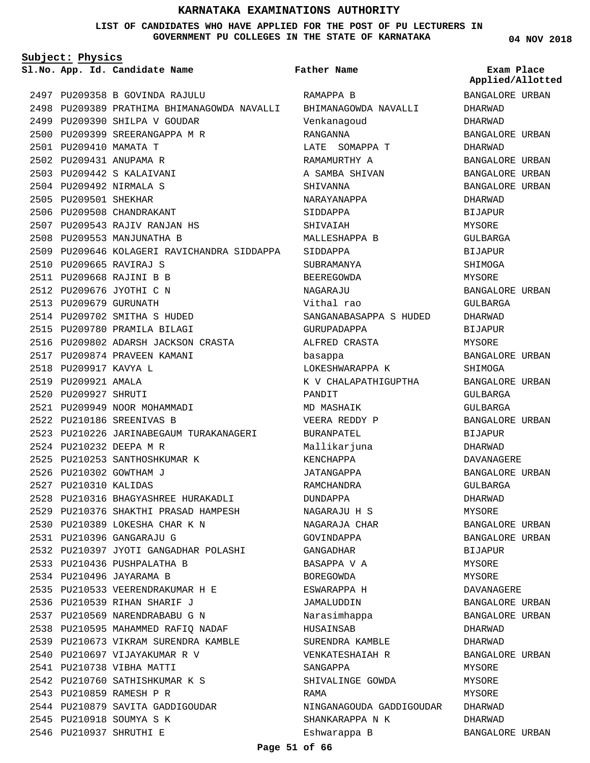### **LIST OF CANDIDATES WHO HAVE APPLIED FOR THE POST OF PU LECTURERS IN GOVERNMENT PU COLLEGES IN THE STATE OF KARNATAKA**

**Subject: Physics**

**App. Id. Candidate Name Sl.No. Exam Place**

PU209358 B GOVINDA RAJULU 2497 2498 PU209389 PRATHIMA BHIMANAGOWDA NAVALLI 2499 PU209390 SHILPA V GOUDAR 2500 PU209399 SREERANGAPPA M R 2501 PU209410 MAMATA T 2502 PU209431 ANUPAMA R PU209442 S KALAIVANI 2503 PU209492 NIRMALA S 2504 2505 PU209501 SHEKHAR 2506 PU209508 CHANDRAKANT PU209543 RAJIV RANJAN HS 2507 2508 PU209553 MANJUNATHA B 2509 PU209646 KOLAGERI RAVICHANDRA SIDDAPPA PU209665 RAVIRAJ S 2510 PU209668 RAJINI B B 2511 2512 PU209676 JYOTHI C N 2513 PU209679 GURUNATH 2514 PU209702 SMITHA S HUDED 2515 PU209780 PRAMILA BILAGI 2516 PU209802 ADARSH JACKSON CRASTA 2517 PU209874 PRAVEEN KAMANI 2518 PU209917 KAVYA L 2519 PU209921 AMALA 2520 PU209927 SHRUTI 2521 PU209949 NOOR MOHAMMADI PU210186 SREENIVAS B 2522 2523 PU210226 JARINABEGAUM TURAKANAGERI PU210232 DEEPA M R 2524 2525 PU210253 SANTHOSHKUMAR K 2526 PU210302 GOWTHAM J 2527 PU210310 KALIDAS 2528 PU210316 BHAGYASHREE HURAKADLI 2529 PU210376 SHAKTHI PRASAD HAMPESH PU210389 LOKESHA CHAR K N 2530 PU210396 GANGARAJU G 2531 2532 PU210397 JYOTI GANGADHAR POLASHI 2533 PU210436 PUSHPALATHA B 2534 PU210496 JAYARAMA B PU210533 VEERENDRAKUMAR H E 2535 2536 PU210539 RIHAN SHARIF J 2537 PU210569 NARENDRABABU G N 2538 PU210595 MAHAMMED RAFIQ NADAF 2539 PU210673 VIKRAM SURENDRA KAMBLE 2540 PU210697 VIJAYAKUMAR R V 2541 PU210738 VIBHA MATTI 2542 PU210760 SATHISHKUMAR K S 2543 PU210859 RAMESH P R 2544 PU210879 SAVITA GADDIGOUDAR 2545 PU210918 SOUMYA S K 2546 PU210937 SHRUTHI E

RAMAPPA B BHIMANAGOWDA NAVALLI Venkanagoud RANGANNA LATE SOMAPPA T RAMAMURTHY A A SAMBA SHIVAN SHIVANNA NARAYANAPPA SIDDAPPA SHIVAIAH MALLESHAPPA B SIDDAPPA SUBRAMANYA BEEREGOWDA **NAGARAJU** Vithal rao SANGANABASAPPA S HUDED GURUPADAPPA ALFRED CRASTA basappa LOKESHWARAPPA K K V CHALAPATHIGUPTHA PANDIT MD MASHAIK VEERA REDDY P BURANPATEL Mallikarjuna KENCHAPPA JATANGAPPA RAMCHANDRA DUNDAPPA NAGARAJU H S NAGARAJA CHAR GOVINDAPPA GANGADHAR BASAPPA V A BOREGOWDA ESWARAPPA H JAMALUDDIN Narasimhappa HUSAINSAB SURENDRA KAMBLE VENKATESHAIAH R SANGAPPA SHIVALINGE GOWDA RAMA NINGANAGOUDA GADDIGOUDAR DHARWAD SHANKARAPPA N K **Father Name**

**04 NOV 2018**

BANGALORE URBAN DHARWAD DHARWAD BANGALORE URBAN DHARWAD BANGALORE URBAN BANGALORE URBAN BANGALORE URBAN DHARWAD BIJAPUR MYSORE GULBARGA BIJAPUR SHIMOGA MYSORE BANGALORE URBAN GULBARGA DHARWAD BIJAPUR MYSORE BANGALORE URBAN SHIMOGA BANGALORE URBAN GULBARGA GULBARGA BANGALORE URBAN **BIJAPUR** DHARWAD DAVANAGERE BANGALORE URBAN GULBARGA DHARWAD MYSORE BANGALORE URBAN BANGALORE URBAN BIJAPUR MYSORE MYSORE DAVANAGERE BANGALORE URBAN BANGALORE URBAN DHARWAD DHARWAD BANGALORE URBAN MYSORE MYSORE MYSORE DHARWAD BANGALORE URBAN **Applied/Allotted**

Eshwarappa B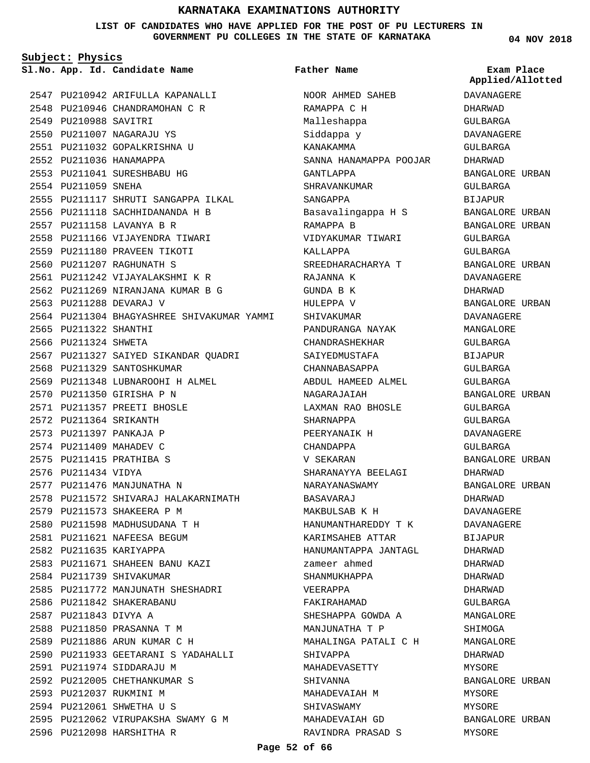**LIST OF CANDIDATES WHO HAVE APPLIED FOR THE POST OF PU LECTURERS IN GOVERNMENT PU COLLEGES IN THE STATE OF KARNATAKA**

**Subject: Physics**

**App. Id. Candidate Name Sl.No. Exam Place**

2547 PU210942 ARIFULLA KAPANALLI 2548 PU210946 CHANDRAMOHAN C R 2549 PU210988 SAVITRI 2550 PU211007 NAGARAJU YS 2551 PU211032 GOPALKRISHNA U 2552 PU211036 HANAMAPPA 2553 PU211041 SURESHBABU HG 2554 PU211059 SNEHA 2555 PU211117 SHRUTI SANGAPPA ILKAL 2556 PU211118 SACHHIDANANDA H B PU211158 LAVANYA B R 2557 2558 PU211166 VIJAYENDRA TIWARI 2559 PU211180 PRAVEEN TIKOTI 2560 PU211207 RAGHUNATH S PU211242 VIJAYALAKSHMI K R 2561 2562 PU211269 NIRANJANA KUMAR B G 2563 PU211288 DEVARAJ V 2564 PU211304 BHAGYASHREE SHIVAKUMAR YAMMI 2565 PU211322 SHANTHI 2566 PU211324 SHWETA 2567 PU211327 SAIYED SIKANDAR QUADRI 2568 PU211329 SANTOSHKUMAR 2569 PU211348 LUBNAROOHI H ALMEL 2570 PU211350 GIRISHA P N PU211357 PREETI BHOSLE 2571 2572 PU211364 SRIKANTH 2573 PU211397 PANKAJA P 2574 PU211409 MAHADEV C PU211415 PRATHIBA S 2575 2576 PU211434 VIDYA 2577 PU211476 MANJUNATHA N 2578 PU211572 SHIVARAJ HALAKARNIMATH 2579 PU211573 SHAKEERA P M PU211598 MADHUSUDANA T H 2580 PU211621 NAFEESA BEGUM 2581 2582 PU211635 KARIYAPPA 2583 PU211671 SHAHEEN BANU KAZI 2584 PU211739 SHIVAKUMAR 2585 PU211772 MANJUNATH SHESHADRI 2586 PU211842 SHAKERABANU 2587 PU211843 DIVYA A 2588 PU211850 PRASANNA T M 2589 PU211886 ARUN KUMAR C H 2590 PU211933 GEETARANI S YADAHALLI 2591 PU211974 SIDDARAJU M 2592 PU212005 CHETHANKUMAR S 2593 PU212037 RUKMINI M 2594 PU212061 SHWETHA U S 2595 PU212062 VIRUPAKSHA SWAMY G M 2596 PU212098 HARSHITHA R

**Father Name**

NOOR AHMED SAHEB RAMAPPA C H Malleshappa Siddappa y KANAKAMMA SANNA HANAMAPPA POOJAR GANTLAPPA SHRAVANKUMAR SANGAPPA Basavalingappa H S RAMAPPA B VIDYAKUMAR TIWARI KALLAPPA SREEDHARACHARYA T RAJANNA K GUNDA B K HULEPPA V SHIVAKUMAR PANDURANGA NAYAK CHANDRASHEKHAR SAIYEDMUSTAFA CHANNABASAPPA ABDUL HAMEED ALMEL NAGARAJAIAH LAXMAN RAO BHOSLE SHARNAPPA PEERYANAIK H CHANDAPPA V SEKARAN SHARANAYYA BEELAGI NARAYANASWAMY BASAVARAJ MAKBULSAB K H HANUMANTHAREDDY T K KARIMSAHEB ATTAR HANUMANTAPPA JANTAGL zameer ahmed SHANMUKHAPPA VEERAPPA FAKIRAHAMAD SHESHAPPA GOWDA A MANJUNATHA T P MAHALINGA PATALI C H SHIVAPPA MAHADEVASETTY SHIVANNA MAHADEVAIAH M SHIVASWAMY MAHADEVAIAH GD RAVINDRA PRASAD S

**04 NOV 2018**

**Applied/Allotted**

DAVANAGERE DHARWAD GULBARGA DAVANAGERE GULBARGA DHARWAD BANGALORE URBAN GULBARGA BIJAPUR BANGALORE URBAN BANGALORE URBAN GULBARGA GULBARGA BANGALORE URBAN DAVANAGERE DHARWAD BANGALORE URBAN DAVANAGERE MANGALORE GULBARGA BIJAPUR GULBARGA GULBARGA BANGALORE URBAN GULBARGA GULBARGA DAVANAGERE GULBARGA BANGALORE URBAN DHARWAD BANGALORE URBAN DHARWAD DAVANAGERE DAVANAGERE BIJAPUR DHARWAD DHARWAD DHARWAD DHARWAD GULBARGA MANGALORE SHIMOGA MANGALORE DHARWAD MYSORE BANGALORE URBAN MYSORE MYSORE BANGALORE URBAN MYSORE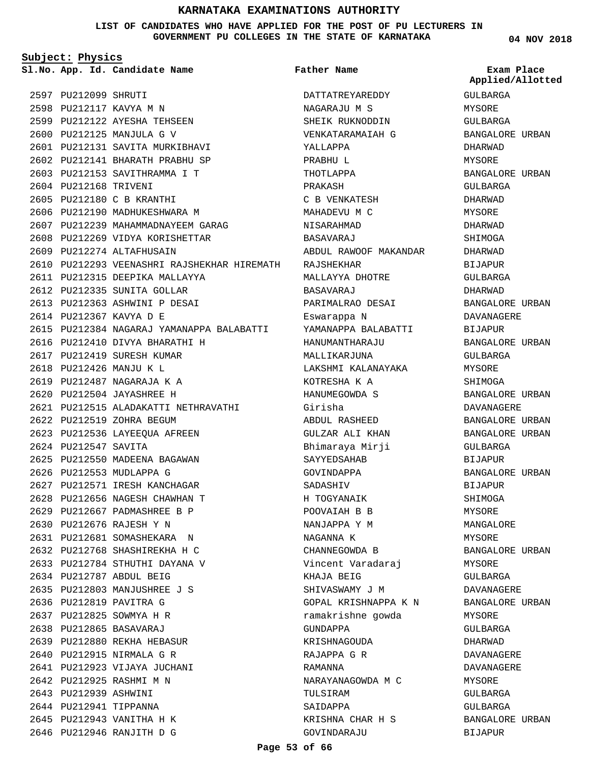**LIST OF CANDIDATES WHO HAVE APPLIED FOR THE POST OF PU LECTURERS IN GOVERNMENT PU COLLEGES IN THE STATE OF KARNATAKA**

**Subject: Physics**

**App. Id. Candidate Name Sl.No. Exam Place**

2599 PU212122 AYESHA TEHSEEN 2600 PU212125 MANJULA G V

PU212131 SAVITA MURKIBHAVI 2601 2602 PU212141 BHARATH PRABHU SP PU212153 SAVITHRAMMA I T 2603

2607 PU212239 MAHAMMADNAYEEM GARAG 2608 PU212269 VIDYA KORISHETTAR

2610 PU212293 VEENASHRI RAJSHEKHAR HIREMATH

2615 PU212384 NAGARAJ YAMANAPPA BALABATTI

PU212515 ALADAKATTI NETHRAVATHI 2621

2597 PU212099 SHRUTI 2598 PU212117 KAVYA M N

2604 PU212168 TRIVENI 2605 PU212180 C B KRANTHI 2606 PU212190 MADHUKESHWARA M

2609 PU212274 ALTAFHUSAIN

PU212367 KAVYA D E 2614

2622 PU212519 ZOHRA BEGUM 2623 PU212536 LAYEEQUA AFREEN

2626 PU212553 MUDLAPPA G

PU212787 ABDUL BEIG 2634 2635 PU212803 MANJUSHREE J S

2636 PU212819 PAVITRA G PU212825 SOWMYA H R 2637 PU212865 BASAVARAJ 2638 PU212880 REKHA HEBASUR 2639 2640 PU212915 NIRMALA G R 2641 PU212923 VIJAYA JUCHANI 2642 PU212925 RASHMI M N 2643 PU212939 ASHWINI 2644 PU212941 TIPPANNA 2645 PU212943 VANITHA H K PU212946 RANJITH D G 2646

2625 PU212550 MADEENA BAGAWAN

2627 PU212571 IRESH KANCHAGAR 2628 PU212656 NAGESH CHAWHAN T 2629 PU212667 PADMASHREE B P PU212676 RAJESH Y N 2630 2631 PU212681 SOMASHEKARA N PU212768 SHASHIREKHA H C 2632 2633 PU212784 STHUTHI DAYANA V

2624 PU212547 SAVITA

2611 PU212315 DEEPIKA MALLAYYA 2612 PU212335 SUNITA GOLLAR 2613 PU212363 ASHWINI P DESAI

2616 PU212410 DIVYA BHARATHI H 2617 PU212419 SURESH KUMAR PU212426 MANJU K L 2618 PU212487 NAGARAJA K A 2619 PU212504 JAYASHREE H 2620

**Father Name**

DATTATREYAREDDY NAGARAJU M S SHEIK RUKNODDIN VENKATARAMAIAH G YALLAPPA PRABHU L THOTLAPPA PRAKASH C B VENKATESH MAHADEVU M C NISARAHMAD BASAVARAJ ABDUL RAWOOF MAKANDAR RAJSHEKHAR MALLAYYA DHOTRE BASAVARAJ PARIMALRAO DESAI Eswarappa N YAMANAPPA BALABATTI HANUMANTHARAJU MALLIKARJUNA LAKSHMI KALANAYAKA KOTRESHA K A HANUMEGOWDA S Girisha ABDUL RASHEED GULZAR ALI KHAN Bhimaraya Mirji SAYYEDSAHAB GOVINDAPPA SADASHIV H TOGYANAIK POOVAIAH B B NANJAPPA Y M NAGANNA K CHANNEGOWDA B Vincent Varadaraj KHAJA BEIG SHIVASWAMY J M GOPAL KRISHNAPPA K N ramakrishne gowda GUNDAPPA KRISHNAGOUDA RAJAPPA G R RAMANNA NARAYANAGOWDA M C TULSIRAM SAIDAPPA KRISHNA CHAR H S GOVINDARAJU

**04 NOV 2018**

GULBARGA MYSORE GULBARGA BANGALORE URBAN DHARWAD MYSORE BANGALORE URBAN GULBARGA DHARWAD MYSORE DHARWAD SHIMOGA DHARWAD BIJAPUR GULBARGA DHARWAD BANGALORE URBAN DAVANAGERE BIJAPUR BANGALORE URBAN GULBARGA MYSORE SHIMOGA BANGALORE URBAN DAVANAGERE BANGALORE URBAN BANGALORE URBAN GULBARGA BIJAPUR BANGALORE URBAN BIJAPUR SHIMOGA MYSORE MANGALORE MYSORE BANGALORE URBAN MYSORE GULBARGA DAVANAGERE BANGALORE URBAN MYSORE GULBARGA DHARWAD DAVANAGERE DAVANAGERE MYSORE GULBARGA GULBARGA BANGALORE URBAN BIJAPUR **Applied/Allotted**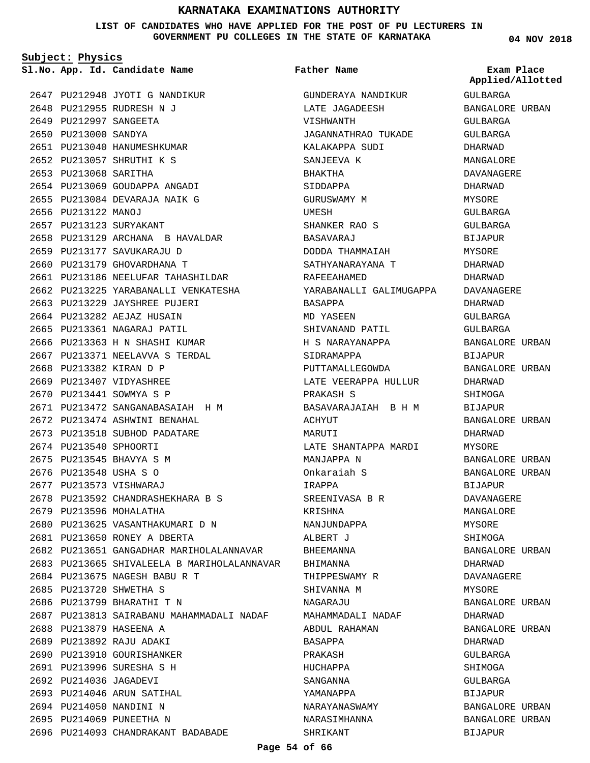**LIST OF CANDIDATES WHO HAVE APPLIED FOR THE POST OF PU LECTURERS IN GOVERNMENT PU COLLEGES IN THE STATE OF KARNATAKA**

**Subject: Physics**

**App. Id. Candidate Name Sl.No. Exam Place**

**Father Name**

2647 PU212948 JYOTI G NANDIKUR 2648 PU212955 RUDRESH N J 2649 PU212997 SANGEETA 2650 PU213000 SANDYA 2651 PU213040 HANUMESHKUMAR PU213057 SHRUTHI K S 2652 2653 PU213068 SARITHA 2654 PU213069 GOUDAPPA ANGADI 2655 PU213084 DEVARAJA NAIK G 2656 PU213122 MANOJ 2657 PU213123 SURYAKANT 2658 PU213129 ARCHANA B HAVALDAR PU213177 SAVUKARAJU D 2659 2660 PU213179 GHOVARDHANA T 2661 PU213186 NEELUFAR TAHASHILDAR 2662 PU213225 YARABANALLI VENKATESHA 2663 PU213229 JAYSHREE PUJERI 2664 PU213282 AEJAZ HUSAIN 2665 PU213361 NAGARAJ PATIL 2666 PU213363 H N SHASHI KUMAR 2667 PU213371 NEELAVVA S TERDAL 2668 PU213382 KIRAN D P 2669 PU213407 VIDYASHREE 2670 PU213441 SOWMYA S P PU213472 SANGANABASAIAH H M 2671 2672 PU213474 ASHWINI BENAHAL 2673 PU213518 SUBHOD PADATARE 2674 PU213540 SPHOORTI 2675 PU213545 BHAVYA S M 2676 PU213548 USHA S O 2677 PU213573 VISHWARAJ PU213592 CHANDRASHEKHARA B S 2678 2679 PU213596 MOHALATHA 2680 PU213625 VASANTHAKUMARI D N 2681 PU213650 RONEY A DBERTA 2682 PU213651 GANGADHAR MARIHOLALANNAVAR 2683 PU213665 SHIVALEELA B MARIHOLALANNAVAR PU213675 NAGESH BABU R T 2684 2685 PU213720 SHWETHA S 2686 PU213799 BHARATHI T N 2687 PU213813 SAIRABANU MAHAMMADALI NADAF 2688 PU213879 HASEENA A 2689 PU213892 RAJU ADAKI 2690 PU213910 GOURISHANKER PU213996 SURESHA S H 2691 2692 PU214036 JAGADEVI 2693 PU214046 ARUN SATIHAL 2694 PU214050 NANDINI N 2695 PU214069 PUNEETHA N 2696 PU214093 CHANDRAKANT BADABADE

GUNDERAYA NANDIKUR LATE JAGADEESH VISHWANTH JAGANNATHRAO TUKADE KALAKAPPA SUDI SANJEEVA K BHAKTHA SIDDAPPA GURUSWAMY M UMESH SHANKER RAO S BASAVARAJ DODDA THAMMAIAH SATHYANARAYANA T RAFEEAHAMED YARABANALLI GALIMUGAPPA BASAPPA MD YASEEN SHIVANAND PATIL H S NARAYANAPPA SIDRAMAPPA PUTTAMALLEGOWDA LATE VEERAPPA HULLUR PRAKASH S BASAVARAJAIAH B H M ACHYUT MARITTT LATE SHANTAPPA MARDI MANJAPPA N Onkaraiah S IRAPPA SREENIVASA B R KRISHNA NANJUNDAPPA ALBERT J **BHEEMANNA** BHIMANNA THIPPESWAMY R SHIVANNA M NAGARAJU MAHAMMADALI NADAF ABDUL RAHAMAN BASAPPA PRAKASH HUCHAPPA SANGANNA YAMANAPPA NARAYANASWAMY NARASIMHANNA SHRIKANT

**04 NOV 2018**

GULBARGA BANGALORE URBAN GULBARGA GULBARGA DHARWAD MANGALORE DAVANAGERE DHARWAD MYSORE GULBARGA GULBARGA BIJAPUR MYSORE DHARWAD DHARWAD DAVANAGERE DHARWAD GULBARGA GULBARGA BANGALORE URBAN BIJAPUR BANGALORE URBAN DHARWAD SHIMOGA BIJAPUR BANGALORE URBAN DHARWAD MYSORE BANGALORE URBAN BANGALORE URBAN BIJAPUR DAVANAGERE MANGALORE MYSORE SHIMOGA BANGALORE URBAN DHARWAD DAVANAGERE MYSORE BANGALORE URBAN DHARWAD BANGALORE URBAN DHARWAD GULBARGA **SHIMOGA** GULBARGA BIJAPUR BANGALORE URBAN BANGALORE URBAN BIJAPUR **Applied/Allotted**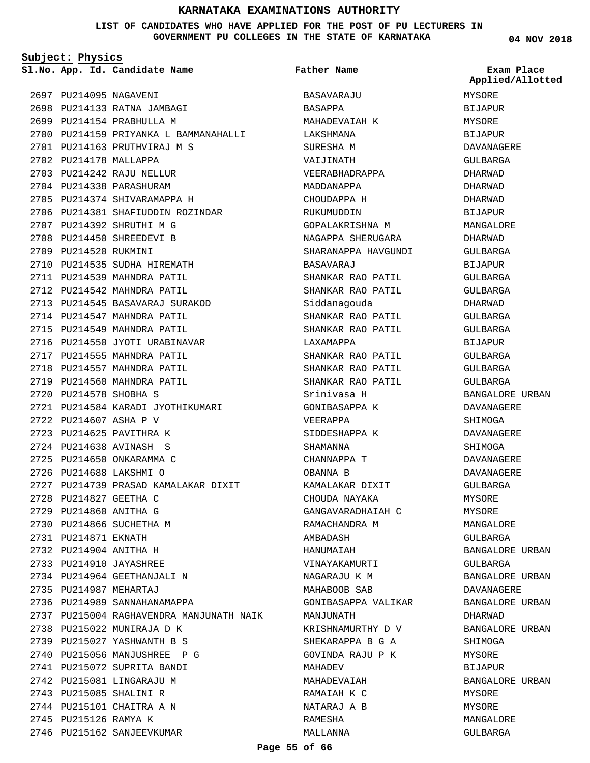### **LIST OF CANDIDATES WHO HAVE APPLIED FOR THE POST OF PU LECTURERS IN GOVERNMENT PU COLLEGES IN THE STATE OF KARNATAKA**

**Subject: Physics**

**App. Id. Candidate Name Sl.No. Exam Place**

2698 PU214133 RATNA JAMBAGI 2699 PU214154 PRABHULLA M

2701 PU214163 PRUTHVIRAJ M S

2700 PU214159 PRIYANKA L BAMMANAHALLI

2706 PU214381 SHAFIUDDIN ROZINDAR

2697 PU214095 NAGAVENI

2702 PU214178 MALLAPPA 2703 PU214242 RAJU NELLUR 2704 PU214338 PARASHURAM 2705 PU214374 SHIVARAMAPPA H

2707 PU214392 SHRUTHI M G 2708 PU214450 SHREEDEVI B 2709 PU214520 RUKMINI

2720 PU214578 SHOBHA S

2722 PU214607 ASHA P V 2723 PU214625 PAVITHRA K PU214638 AVINASH S 2724 2725 PU214650 ONKARAMMA C PU214688 LAKSHMI O 2726

2728 PU214827 GEETHA C 2729 PU214860 ANITHA G 2730 PU214866 SUCHETHA M 2731 PU214871 EKNATH 2732 PU214904 ANITHA H 2733 PU214910 JAYASHREE 2734 PU214964 GEETHANJALI N

2735 PU214987 MEHARTAJ

2736 PU214989 SANNAHANAMAPPA

2738 PU215022 MUNIRAJA D K PU215027 YASHWANTH B S 2739 2740 PU215056 MANJUSHREE P G 2741 PU215072 SUPRITA BANDI 2742 PU215081 LINGARAJU M 2743 PU215085 SHALINI R 2744 PU215101 CHAITRA A N 2745 PU215126 RAMYA K

2746 PU215162 SANJEEVKUMAR

2737 PU215004 RAGHAVENDRA MANJUNATH NAIK

2721 PU214584 KARADI JYOTHIKUMARI

PU214739 PRASAD KAMALAKAR DIXIT 2727

2710 PU214535 SUDHA HIREMATH 2711 PU214539 MAHNDRA PATIL 2712 PU214542 MAHNDRA PATIL 2713 PU214545 BASAVARAJ SURAKOD 2714 PU214547 MAHNDRA PATIL 2715 PU214549 MAHNDRA PATIL 2716 PU214550 JYOTI URABINAVAR 2717 PU214555 MAHNDRA PATIL 2718 PU214557 MAHNDRA PATIL 2719 PU214560 MAHNDRA PATIL

**Father Name**

BASAVARAJU BASAPPA

MAHADEVAIAH K LAKSHMANA SURESHA M VAIJINATH

VEERABHADRAPPA MADDANAPPA CHOUDAPPA H RUKUMUDDIN

GOPALAKRISHNA M NAGAPPA SHERUGARA SHARANAPPA HAVGUNDI

SHANKAR RAO PATIL SHANKAR RAO PATIL

SHANKAR RAO PATIL SHANKAR RAO PATIL

SHANKAR RAO PATIL SHANKAR RAO PATIL SHANKAR RAO PATIL Srinivasa H GONIBASAPPA K

BASAVARAJ

Siddanagouda

LAXAMAPPA

VEERAPPA SIDDESHAPPA K SHAMANNA CHANNAPPA T OBANNA B

AMBADASH HANUMAIAH

MANJUNATH

MAHADEV

MAHADEVAIAH RAMAIAH K C NATARAJ A B RAMESHA MALLANNA

KAMALAKAR DIXIT CHOUDA NAYAKA GANGAVARADHAIAH C RAMACHANDRA M

VINAYAKAMURTI NAGARAJU K M MAHABOOB SAB

GONIBASAPPA VALIKAR

KRISHNAMURTHY D V SHEKARAPPA B G A GOVINDA RAJU P K

MYSORE BIJAPUR DAVANAGERE GULBARGA DHARWAD DHARWAD DHARWAD BIJAPUR **MANGALORE** DHARWAD GULBARGA BIJAPUR GULBARGA GULBARGA DHARWAD GULBARGA GULBARGA BIJAPUR GULBARGA GULBARGA GULBARGA BANGALORE URBAN DAVANAGERE SHIMOGA DAVANAGERE SHIMOGA DAVANAGERE DAVANAGERE GULBARGA MYSORE MYSORE MANGALORE GULBARGA BANGALORE URBAN GULBARGA BANGALORE URBAN DAVANAGERE BANGALORE URBAN DHARWAD BANGALORE URBAN SHIMOGA **MYSORE** BIJAPUR BANGALORE URBAN MYSORE MYSORE MANGALORE GULBARGA

**Applied/Allotted**

MYSORE BIJAPUR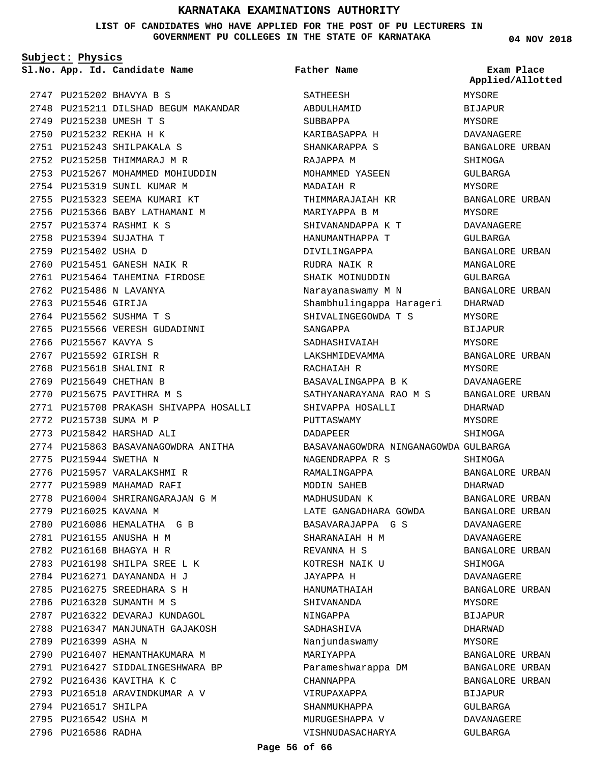### **LIST OF CANDIDATES WHO HAVE APPLIED FOR THE POST OF PU LECTURERS IN GOVERNMENT PU COLLEGES IN THE STATE OF KARNATAKA**

**Subject: Physics**

PU215202 BHAVYA B S 2747 2748 PU215211 DILSHAD BEGUM MAKANDAR 2749 PU215230 UMESH T S 2750 PU215232 REKHA H K PU215243 SHILPAKALA S 2751 2752 PU215258 THIMMARAJ M R 2753 PU215267 MOHAMMED MOHIUDDIN 2754 PU215319 SUNIL KUMAR M 2755 PU215323 SEEMA KUMARI KT 2756 PU215366 BABY LATHAMANI M PU215374 RASHMI K S 2757 2758 PU215394 SUJATHA T 2759 PU215402 USHA D 2760 PU215451 GANESH NAIK R 2761 PU215464 TAHEMINA FIRDOSE 2762 PU215486 N LAVANYA 2763 PU215546 GIRIJA 2764 PU215562 SUSHMA T S 2765 PU215566 VERESH GUDADINNI 2766 PU215567 KAVYA S 2767 PU215592 GIRISH R 2768 PU215618 SHALINI R 2769 PU215649 CHETHAN B 2770 PU215675 PAVITHRA M S 2771 PU215708 PRAKASH SHIVAPPA HOSALLI 2772 PU215730 SUMA M P 2773 PU215842 HARSHAD ALI 2774 PU215863 BASAVANAGOWDRA ANITHA 2775 PU215944 SWETHA N 2776 PU215957 VARALAKSHMI R 2777 PU215989 MAHAMAD RAFI 2778 PU216004 SHRIRANGARAJAN G M 2779 PU216025 KAVANA M 2780 PU216086 HEMALATHA G B PU216155 ANUSHA H M 2781 2782 PU216168 BHAGYA H R 2783 PU216198 SHILPA SREE L K PU216271 DAYANANDA H J 2784 PU216275 SREEDHARA S H 2785 2786 PU216320 SUMANTH M S 2787 PU216322 DEVARAJ KUNDAGOL 2788 PU216347 MANJUNATH GAJAKOSH 2789 PU216399 ASHA N 2790 PU216407 HEMANTHAKUMARA M 2791 PU216427 SIDDALINGESHWARA BP 2792 PU216436 KAVITHA K C 2793 PU216510 ARAVINDKUMAR A V 2794 PU216517 SHILPA 2795 PU216542 USHA M 2796 PU216586 RADHA

**App. Id. Candidate Name Sl.No. Exam Place** SATHEESH ABDULHAMID SUBBAPPA KARIBASAPPA H SHANKARAPPA S RAJAPPA M MOHAMMED YASEEN MADAIAH R THIMMARAJAIAH KR MARIYAPPA B M SHIVANANDAPPA K T HANUMANTHAPPA T DIVILINGAPPA RUDRA NAIK R SHAIK MOINUDDIN Narayanaswamy M N Shambhulingappa Harageri SHIVALINGEGOWDA T S SANGAPPA SADHASHIVAIAH LAKSHMIDEVAMMA RACHAIAH R BASAVALINGAPPA B K SATHYANARAYANA RAO M S SHIVAPPA HOSALLI PUTTASWAMY DADAPEER BASAVANAGOWDRA NINGANAGOWDA GULBARGA NAGENDRAPPA R S RAMALINGAPPA MODIN SAHEB MADHUSUDAN K LATE GANGADHARA GOWDA BASAVARAJAPPA G S SHARANAIAH H M REVANNA H S KOTRESH NAIK U JAYAPPA H HANUMATHAIAH SHIVANANDA NINGAPPA SADHASHIVA Nanjundaswamy MARIYAPPA Parameshwarappa DM CHANNAPPA VIRUPAXAPPA SHANMUKHAPPA MURUGESHAPPA V VISHNUDASACHARYA **Father Name** MYSORE BIJAPUR MYSORE DAVANAGERE BANGALORE URBAN SHIMOGA GULBARGA MYSORE BANGALORE URBAN MYSORE DAVANAGERE GULBARGA BANGALORE URBAN MANGALORE GULBARGA BANGALORE URBAN DHARWAD MYSORE BIJAPUR MYSORE BANGALORE URBAN MYSORE DAVANAGERE BANGALORE URBAN DHARWAD MYSORE **SHIMOGA** SHIMOGA BANGALORE URBAN DHARWAD BANGALORE URBAN BANGALORE URBAN DAVANAGERE DAVANAGERE BANGALORE URBAN SHIMOGA DAVANAGERE BANGALORE URBAN MYSORE BIJAPUR DHARWAD MYSORE BANGALORE URBAN BANGALORE URBAN BANGALORE URBAN BIJAPUR GULBARGA DAVANAGERE GULBARGA **Applied/Allotted**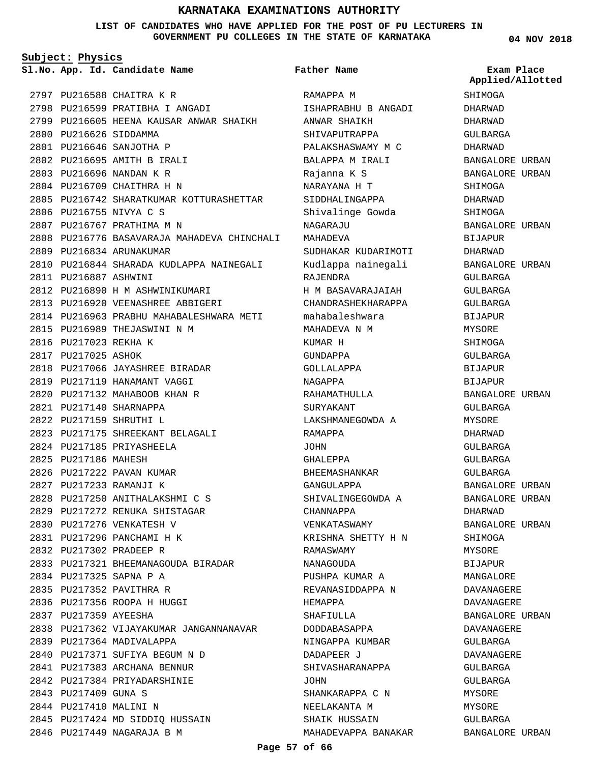### **LIST OF CANDIDATES WHO HAVE APPLIED FOR THE POST OF PU LECTURERS IN GOVERNMENT PU COLLEGES IN THE STATE OF KARNATAKA**

**Subject: Physics**

**App. Id. Candidate Name Sl.No. Exam Place**

|      |                        | 2797 PU216588 CHAITRA K R                   |
|------|------------------------|---------------------------------------------|
|      |                        | 2798 PU216599 PRATIBHA I ANGADI             |
|      |                        | 2799 PU216605 HEENA KAUSAR ANWAR SHAIKH     |
|      | 2800 PU216626 SIDDAMMA |                                             |
|      |                        | 2801 PU216646 SANJOTHA P                    |
|      |                        | 2802 PU216695 AMITH B IRALI                 |
|      |                        | 2803 PU216696 NANDAN K R                    |
|      |                        | 2804 PU216709 CHAITHRA H N                  |
|      |                        | 2805 PU216742 SHARATKUMAR KOTTURASHETTAR    |
|      |                        | 2806 PU216755 NIVYA C S                     |
|      |                        | 2807 PU216767 PRATHIMA M N                  |
|      |                        | 2808 PU216776 BASAVARAJA MAHADEVA CHINCHALI |
|      |                        | 2809 PU216834 ARUNAKUMAR                    |
|      |                        | 2810 PU216844 SHARADA KUDLAPPA NAINEGALI    |
|      | 2811 PU216887 ASHWINI  |                                             |
|      |                        | 2812 PU216890 H M ASHWINIKUMARI             |
|      |                        | 2813 PU216920 VEENASHREE ABBIGERI           |
|      |                        | 2814 PU216963 PRABHU MAHABALESHWARA METI    |
|      |                        | 2815 PU216989 THEJASWINI N M                |
|      | 2816 PU217023 REKHA K  |                                             |
|      | 2817 PU217025 ASHOK    |                                             |
|      |                        | 2818 PU217066 JAYASHREE BIRADAR             |
|      |                        | 2819 PU217119 HANAMANT VAGGI                |
|      |                        | 2820 PU217132 MAHABOOB KHAN R               |
|      |                        | 2821 PU217140 SHARNAPPA                     |
|      |                        | 2822 PU217159 SHRUTHI L                     |
|      |                        | 2823 PU217175 SHREEKANT BELAGALI            |
|      |                        | 2824 PU217185 PRIYASHEELA                   |
|      | 2825 PU217186 MAHESH   |                                             |
|      |                        | 2826 PU217222 PAVAN KUMAR                   |
|      |                        | 2827 PU217233 RAMANJI K                     |
|      |                        | 2828 PU217250 ANITHALAKSHMI C S             |
|      |                        | 2829 PU217272 RENUKA SHISTAGAR              |
| 2830 |                        | PU217276 VENKATESH V                        |
|      |                        | 2831 PU217296 PANCHAMI H K                  |
|      |                        | 2832 PU217302 PRADEEP R                     |
|      |                        | 2833 PU217321 BHEEMANAGOUDA BIRADAR         |
|      |                        | 2834 PU217325 SAPNA P A                     |
|      |                        | 2835 PU217352 PAVITHRA R                    |
|      |                        | 2836 PU217356 ROOPA H HUGGI                 |
|      | 2837 PU217359 AYEESHA  |                                             |
|      |                        | 2838 PU217362 VIJAYAKUMAR JANGANNANAVAR     |
|      |                        | 2839 PU217364 MADIVALAPPA                   |
|      |                        | 2840 PU217371 SUFIYA BEGUM N D              |
|      |                        | 2841 PU217383 ARCHANA BENNUR                |
|      |                        | 2842 PU217384 PRIYADARSHINIE                |
|      | 2843 PU217409 GUNA S   |                                             |
|      | 2844 PU217410 MALINI N |                                             |
|      |                        | 2845 PU217424 MD SIDDIQ HUSSAIN             |
|      |                        | 2846 PU217449 NAGARAJA B M                  |
|      |                        |                                             |

RAMAPPA M ISHAPRABHU B ANGADI ANWAR SHAIKH SHIVAPUTRAPPA PALAKSHASWAMY M C BALAPPA M IRALI Rajanna K S NARAYANA H T SIDDHALINGAPPA Shivalinge Gowda NAGARAJU MAHADEVA SUDHAKAR KUDARIMOTI Kudlappa nainegali RAJENDRA H M BASAVARAJAIAH CHANDRASHEKHARAPPA mahabaleshwara MAHADEVA N M KUMAR H GUNDAPPA GOLLALAPPA NAGAPPA RAHAMATHULLA SURYAKANT LAKSHMANEGOWDA A RAMAPPA JOHN GHALEPPA BHEEMASHANKAR GANGULAPPA SHIVALINGEGOWDA A CHANNAPPA VENKATASWAMY KRISHNA SHETTY H N RAMASWAMY NANAGOUDA PUSHPA KUMAR A REVANASIDDAPPA N HEMAPPA SHAFIULLA DODDABASAPPA NINGAPPA KUMBAR DADAPEER J SHIVASHARANAPPA JOHN SHANKARAPPA C N NEELAKANTA M SHAIK HUSSAIN MAHADEVAPPA BANAKAR **Father Name**

**04 NOV 2018**

SHIMOGA DHARWAD DHARWAD GULBARGA DHARWAD BANGALORE URBAN BANGALORE URBAN SHIMOGA DHARWAD SHIMOGA BANGALORE URBAN BIJAPUR DHARWAD BANGALORE URBAN GULBARGA GULBARGA GULBARGA BIJAPUR MYSORE SHIMOGA GULBARGA BIJAPUR BIJAPUR BANGALORE URBAN GULBARGA MYSORE DHARWAD GULBARGA GULBARGA GULBARGA BANGALORE URBAN BANGALORE URBAN DHARWAD BANGALORE URBAN SHIMOGA MYSORE BIJAPUR MANGALORE DAVANAGERE DAVANAGERE BANGALORE URBAN DAVANAGERE GULBARGA DAVANAGERE GULBARGA GULBARGA MYSORE MYSORE GULBARGA BANGALORE URBAN **Applied/Allotted**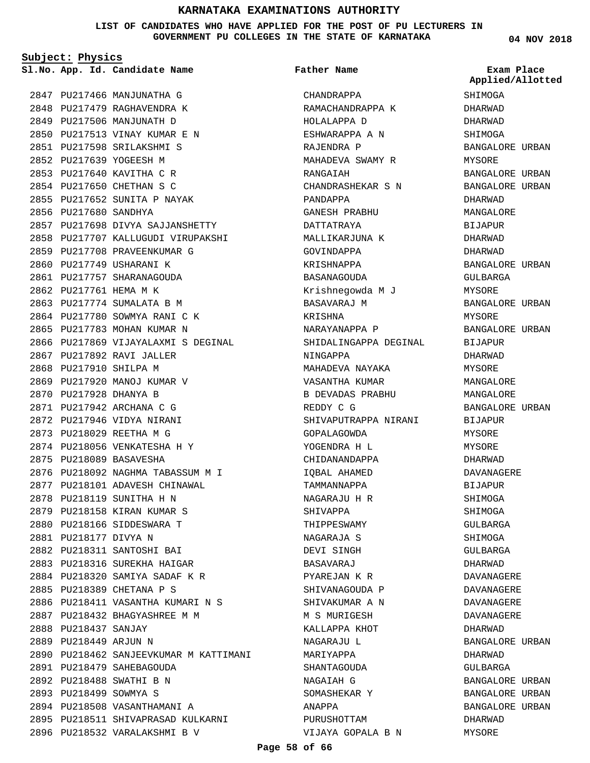**LIST OF CANDIDATES WHO HAVE APPLIED FOR THE POST OF PU LECTURERS IN GOVERNMENT PU COLLEGES IN THE STATE OF KARNATAKA**

**Subject: Physics**

**App. Id. Candidate Name Sl.No. Exam Place**

2847 PU217466 MANJUNATHA G 2848 PU217479 RAGHAVENDRA K 2849 PU217506 MANJUNATH D 2850 PU217513 VINAY KUMAR E N PU217598 SRILAKSHMI S 2851 2852 PU217639 YOGEESH M 2853 PU217640 KAVITHA C R 2854 PU217650 CHETHAN S C 2855 PU217652 SUNITA P NAYAK 2856 PU217680 SANDHYA 2857 PU217698 DIVYA SAJJANSHETTY 2858 PU217707 KALLUGUDI VIRUPAKSHI 2859 PU217708 PRAVEENKUMAR G 2860 PU217749 USHARANI K 2861 PU217757 SHARANAGOUDA 2862 PU217761 HEMA M K 2863 PU217774 SUMALATA B M 2864 PU217780 SOWMYA RANI C K 2865 PU217783 MOHAN KUMAR N 2866 PU217869 VIJAYALAXMI S DEGINAL 2867 PU217892 RAVI JALLER 2868 PU217910 SHILPA M 2869 PU217920 MANOJ KUMAR V 2870 PU217928 DHANYA B PU217942 ARCHANA C G 2871 2872 PU217946 VIDYA NIRANI 2873 PU218029 REETHA M G 2874 PU218056 VENKATESHA H Y 2875 PU218089 BASAVESHA 2876 PU218092 NAGHMA TABASSUM M I 2877 PU218101 ADAVESH CHINAWAL 2878 PU218119 SUNITHA H N 2879 PU218158 KIRAN KUMAR S 2880 PU218166 SIDDESWARA T PU218177 DIVYA N 2881 PU218311 SANTOSHI BAI 2882 2883 PU218316 SUREKHA HAIGAR PU218320 SAMIYA SADAF K R 2884 2885 PU218389 CHETANA P S 2886 PU218411 VASANTHA KUMARI N S PU218432 BHAGYASHREE M M 2887 2888 PU218437 SANJAY 2889 PU218449 ARJUN N 2890 PU218462 SANJEEVKUMAR M KATTIMANI 2891 PU218479 SAHEBAGOUDA PU218488 SWATHI B N 2892 2893 PU218499 SOWMYA S 2894 PU218508 VASANTHAMANI A 2895 PU218511 SHIVAPRASAD KULKARNI 2896 PU218532 VARALAKSHMI B V

CHANDRAPPA RAMACHANDRAPPA K HOLALAPPA D ESHWARAPPA A N RAJENDRA P MAHADEVA SWAMY R RANGAIAH CHANDRASHEKAR S N PANDAPPA GANESH PRABHU DATTATRAYA MALLIKARJUNA K GOVINDAPPA KRISHNAPPA BASANAGOUDA Krishnegowda M J BASAVARAJ M KRISHNA NARAYANAPPA P SHIDALINGAPPA DEGINAL NINGAPPA MAHADEVA NAYAKA VASANTHA KUMAR B DEVADAS PRABHU REDDY C G SHIVAPUTRAPPA NIRANI GOPALAGOWDA YOGENDRA H L CHIDANANDAPPA IQBAL AHAMED TAMMANNAPPA NAGARAJU H R SHIVAPPA THIPPESWAMY NAGARAJA S DEVI SINGH BASAVARAJ PYAREJAN K R SHIVANAGOUDA P SHIVAKUMAR A N M S MURIGESH KALLAPPA KHOT NAGARAJU L MARIYAPPA SHANTAGOUDA NAGAIAH G SOMASHEKAR Y ANAPPA PURUSHOTTAM VIJAYA GOPALA B N **Father Name**

**04 NOV 2018**

**SHIMOGA** DHARWAD DHARWAD SHIMOGA BANGALORE URBAN MYSORE BANGALORE URBAN BANGALORE URBAN DHARWAD MANGALORE BIJAPUR DHARWAD DHARWAD BANGALORE URBAN GULBARGA MYSORE BANGALORE URBAN MYSORE BANGALORE URBAN BIJAPUR DHARWAD MYSORE MANGALORE MANGALORE BANGALORE URBAN BIJAPUR MYSORE MYSORE DHARWAD DAVANAGERE BIJAPUR SHIMOGA SHIMOGA GULBARGA SHIMOGA GULBARGA DHARWAD DAVANAGERE DAVANAGERE DAVANAGERE DAVANAGERE DHARWAD BANGALORE URBAN DHARWAD GULBARGA BANGALORE URBAN BANGALORE URBAN BANGALORE URBAN DHARWAD MYSORE **Applied/Allotted**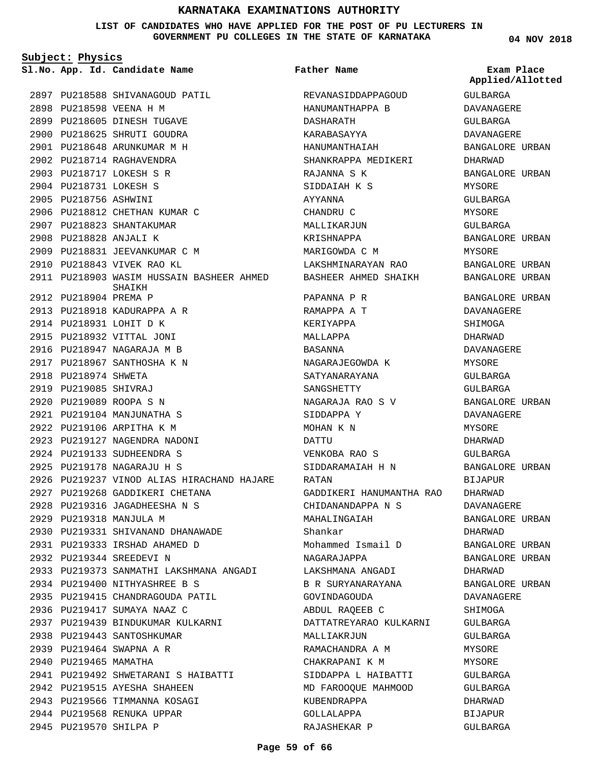**LIST OF CANDIDATES WHO HAVE APPLIED FOR THE POST OF PU LECTURERS IN GOVERNMENT PU COLLEGES IN THE STATE OF KARNATAKA**

**Subject: Physics**

**App. Id. Candidate Name Sl.No. Exam Place**

2897 PU218588 SHIVANAGOUD PATIL 2898 PU218598 VEENA H M 2899 PU218605 DINESH TUGAVE 2900 PU218625 SHRUTI GOUDRA PU218648 ARUNKUMAR M H 2901 2902 PU218714 RAGHAVENDRA PU218717 LOKESH S R 2903 2904 PU218731 LOKESH S 2905 PU218756 ASHWINI 2906 PU218812 CHETHAN KUMAR C 2907 PU218823 SHANTAKUMAR 2908 PU218828 ANJALI K 2909 PU218831 JEEVANKUMAR C M 2910 PU218843 VIVEK RAO KL 2911 PU218903 WASIM HUSSAIN BASHEER AHMED 2912 PU218904 PREMA P 2913 PU218918 KADURAPPA A R 2914 PU218931 LOHIT D K 2915 PU218932 VITTAL JONI 2916 PU218947 NAGARAJA M B 2917 PU218967 SANTHOSHA K N 2918 PU218974 SHWETA 2919 PU219085 SHIVRAJ 2920 PU219089 ROOPA S N PU219104 MANJUNATHA S 2921 2922 PU219106 ARPITHA K M 2923 PU219127 NAGENDRA NADONI 2924 PU219133 SUDHEENDRA S PU219178 NAGARAJU H S 2925 2926 PU219237 VINOD ALIAS HIRACHAND HAJARE 2927 PU219268 GADDIKERI CHETANA PU219316 JAGADHEESHA N S 2928 2929 PU219318 MANJULA M 2930 PU219331 SHIVANAND DHANAWADE PU219333 IRSHAD AHAMED D 2931 2932 PU219344 SREEDEVI N 2933 PU219373 SANMATHI LAKSHMANA ANGADI PU219400 NITHYASHREE B S 2934 2935 PU219415 CHANDRAGOUDA PATIL 2936 PU219417 SUMAYA NAAZ C 2937 PU219439 BINDUKUMAR KULKARNI 2938 PU219443 SANTOSHKUMAR 2939 PU219464 SWAPNA A R 2940 PU219465 MAMATHA PU219492 SHWETARANI S HAIBATTI 2941 2942 PU219515 AYESHA SHAHEEN 2943 PU219566 TIMMANNA KOSAGI 2944 PU219568 RENUKA UPPAR 2945 PU219570 SHILPA P SHAIKH

**Father Name**

REVANASIDDAPPAGOUD HANUMANTHAPPA B DASHARATH KARABASAYYA HANUMANTHAIAH SHANKRAPPA MEDIKERI RAJANNA S K SIDDAIAH K S AYYANNA CHANDRU C MALLIKARJUN KRISHNAPPA MARIGOWDA C M LAKSHMINARAYAN RAO BASHEER AHMED SHAIKH PAPANNA P R RAMAPPA A T KERIYAPPA MALLAPPA BASANNA NAGARAJEGOWDA K SATYANARAYANA SANGSHETTY NAGARAJA RAO S V SIDDAPPA Y MOHAN K N DATTU VENKOBA RAO S SIDDARAMAIAH H N RATAN GADDIKERI HANUMANTHA RAO CHIDANANDAPPA N S MAHALINGAIAH Shankar Mohammed Ismail D NAGARAJAPPA LAKSHMANA ANGADI B R SURYANARAYANA GOVINDAGOUDA ABDUL RAQEEB C DATTATREYARAO KULKARNI MALLIAKRJUN RAMACHANDRA A M CHAKRAPANI K M SIDDAPPA L HAIBATTI MD FAROOQUE MAHMOOD KUBENDRAPPA GOLLALAPPA RAJASHEKAR P

**04 NOV 2018**

GULBARGA DAVANAGERE GULBARGA DAVANAGERE BANGALORE URBAN DHARWAD BANGALORE URBAN MYSORE GULBARGA MYSORE GULBARGA BANGALORE URBAN MYSORE BANGALORE URBAN BANGALORE URBAN BANGALORE URBAN DAVANAGERE SHIMOGA DHARWAD DAVANAGERE MYSORE GULBARGA GULBARGA BANGALORE URBAN DAVANAGERE MYSORE DHARWAD GULBARGA BANGALORE URBAN BIJAPUR DHARWAD DAVANAGERE BANGALORE URBAN DHARWAD BANGALORE URBAN BANGALORE URBAN DHARWAD BANGALORE URBAN DAVANAGERE SHIMOGA GULBARGA GULBARGA MYSORE MYSORE GULBARGA GULBARGA DHARWAD BIJAPUR **Applied/Allotted**

GULBARGA

### **Page 59 of 66**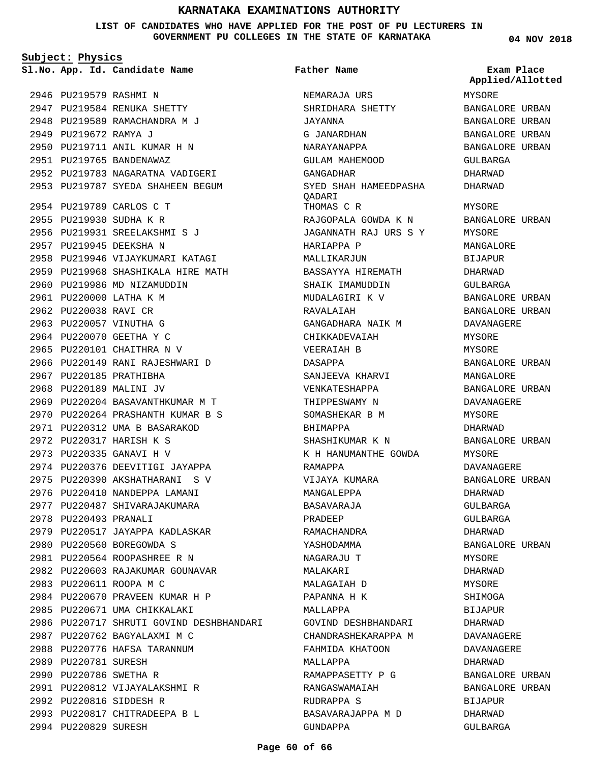**LIST OF CANDIDATES WHO HAVE APPLIED FOR THE POST OF PU LECTURERS IN GOVERNMENT PU COLLEGES IN THE STATE OF KARNATAKA**

NEMARAJA URS

**Father Name**

**Subject: Physics**

**App. Id. Candidate Name Sl.No. Exam Place**

2946 PU219579 RASHMI N 2947 PU219584 RENUKA SHETTY 2948 PU219589 RAMACHANDRA M J 2949 PU219672 RAMYA J 2950 PU219711 ANIL KUMAR H N 2951 PU219765 BANDENAWAZ 2952 PU219783 NAGARATNA VADIGERI 2953 PU219787 SYEDA SHAHEEN BEGUM 2954 PU219789 CARLOS C T 2955 PU219930 SUDHA K R PU219931 SREELAKSHMI S J 2956 2957 PU219945 DEEKSHA N 2958 PU219946 VIJAYKUMARI KATAGI 2959 PU219968 SHASHIKALA HIRE MATH 2960 PU219986 MD NIZAMUDDIN 2961 PU220000 LATHA K M 2962 PU220038 RAVI CR 2963 PU220057 VINUTHA G 2964 PU220070 GEETHA Y C 2965 PU220101 CHAITHRA N V 2966 PU220149 RANI RAJESHWARI D 2967 PU220185 PRATHIBHA 2968 PU220189 MALINI JV 2969 PU220204 BASAVANTHKUMAR M T PU220264 PRASHANTH KUMAR B S 2970 PU220312 UMA B BASARAKOD 2971 PU220317 HARISH K S 2972 2973 PU220335 GANAVI H V 2974 PU220376 DEEVITIGI JAYAPPA PU220390 AKSHATHARANI S V 2975 2976 PU220410 NANDEPPA LAMANI 2977 PU220487 SHIVARAJAKUMARA 2978 PU220493 PRANALI 2979 PU220517 JAYAPPA KADLASKAR 2980 PU220560 BOREGOWDA S PU220564 ROOPASHREE R N 2981 2982 PU220603 RAJAKUMAR GOUNAVAR 2983 PU220611 ROOPA M C 2984 PU220670 PRAVEEN KUMAR H P 2985 PU220671 UMA CHIKKALAKI 2986 PU220717 SHRUTI GOVIND DESHBHANDARI 2987 PU220762 BAGYALAXMI M C 2988 PU220776 HAFSA TARANNUM 2989 PU220781 SURESH 2990 PU220786 SWETHA R 2991 PU220812 VIJAYALAKSHMI R 2992 PU220816 SIDDESH R PU220817 CHITRADEEPA B L 2993 2994 PU220829 SURESH

SHRIDHARA SHETTY JAYANNA G JANARDHAN NARAYANAPPA GULAM MAHEMOOD GANGADHAR SYED SHAH HAMEEDPASHA QADARI THOMAS C R RAJGOPALA GOWDA K N JAGANNATH RAJ URS S Y HARIAPPA P MALLIKARJUN BASSAYYA HIREMATH SHAIK IMAMUDDIN MUDALAGIRI K V RAVALAIAH GANGADHARA NAIK M CHIKKADEVAIAH VEERAIAH B DASAPPA SANJEEVA KHARVI VENKATESHAPPA THIPPESWAMY N SOMASHEKAR B M BHIMAPPA SHASHIKUMAR K N K H HANUMANTHE GOWDA RAMAPPA VIJAYA KUMARA MANGALEPPA BASAVARAJA PRADEEP RAMACHANDRA YASHODAMMA NAGARAJU T MALAKARI MALAGAIAH D PAPANNA H K MALLAPPA GOVIND DESHBHANDARI CHANDRASHEKARAPPA M FAHMIDA KHATOON MALLAPPA RAMAPPASETTY P G RANGASWAMAIAH RUDRAPPA S BASAVARAJAPPA M D GUNDAPPA

**04 NOV 2018**

**Applied/Allotted**

MYSORE BANGALORE URBAN BANGALORE URBAN BANGALORE URBAN BANGALORE URBAN GULBARGA DHARWAD DHARWAD MYSORE BANGALORE URBAN MYSORE MANGALORE BIJAPUR DHARWAD GULBARGA BANGALORE URBAN BANGALORE URBAN DAVANAGERE MYSORE MYSORE BANGALORE URBAN MANGALORE BANGALORE URBAN DAVANAGERE MYSORE DHARWAD BANGALORE URBAN MYSORE DAVANAGERE BANGALORE URBAN DHARWAD GULBARGA GULBARGA DHARWAD BANGALORE URBAN MYSORE DHARWAD MYSORE SHIMOGA BIJAPUR DHARWAD DAVANAGERE DAVANAGERE DHARWAD BANGALORE URBAN BANGALORE URBAN BIJAPUR DHARWAD GULBARGA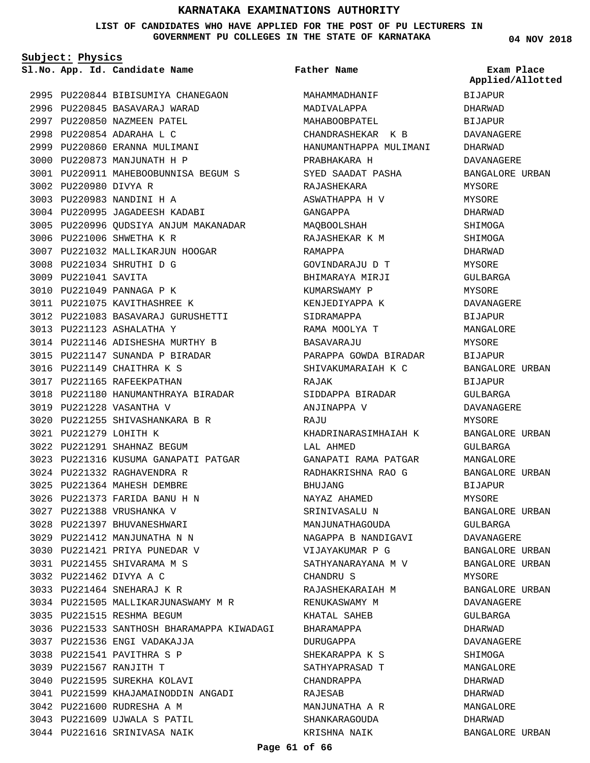### **LIST OF CANDIDATES WHO HAVE APPLIED FOR THE POST OF PU LECTURERS IN GOVERNMENT PU COLLEGES IN THE STATE OF KARNATAKA**

**Subject: Physics**

**App. Id. Candidate Name Sl.No. Exam Place**

2995 PU220844 BIBISUMIYA CHANEGAON 2996 PU220845 BASAVARAJ WARAD 2997 PU220850 NAZMEEN PATEL 2998 PU220854 ADARAHA L C 2999 PU220860 ERANNA MULIMANI 3000 PU220873 MANJUNATH H P PU220911 MAHEBOOBUNNISA BEGUM S 3001 3002 PU220980 DIVYA R 3003 PU220983 NANDINI H A 3004 PU220995 JAGADEESH KADABI 3005 PU220996 QUDSIYA ANJUM MAKANADAR 3006 PU221006 SHWETHA K R 3007 PU221032 MALLIKARJUN HOOGAR PU221034 SHRUTHI D G 3008 3009 PU221041 SAVITA 3010 PU221049 PANNAGA P K 3011 PU221075 KAVITHASHREE K PU221083 BASAVARAJ GURUSHETTI 3012 PU221123 ASHALATHA Y 3013 PU221146 ADISHESHA MURTHY B 3014 PU221147 SUNANDA P BIRADAR 3015 3016 PU221149 CHAITHRA K S 3017 PU221165 RAFEEKPATHAN 3018 PU221180 HANUMANTHRAYA BIRADAR 3019 PU221228 VASANTHA V PU221255 SHIVASHANKARA B R 3020 PU221279 LOHITH K 3021 PU221291 SHAHNAZ BEGUM 3022 3023 PU221316 KUSUMA GANAPATI PATGAR PU221332 RAGHAVENDRA R 3024 PU221364 MAHESH DEMBRE 3025 PU221373 FARIDA BANU H N 3026 PU221388 VRUSHANKA V 3027 3028 PU221397 BHUVANESHWARI 3029 PU221412 MANJUNATHA N N 3030 PU221421 PRIYA PUNEDAR V PU221455 SHIVARAMA M S 3031 PU221462 DIVYA A C 3032 PU221464 SNEHARAJ K R 3033 3034 PU221505 MALLIKARJUNASWAMY M R 3035 PU221515 RESHMA BEGUM 3036 PU221533 SANTHOSH BHARAMAPPA KIWADAGI 3037 PU221536 ENGI VADAKAJJA PU221541 PAVITHRA S P 3038 PU221567 RANJITH T 3039 3040 PU221595 SUREKHA KOLAVI 3041 PU221599 KHAJAMAINODDIN ANGADI 3042 PU221600 RUDRESHA A M 3043 PU221609 UJWALA S PATIL 3044 PU221616 SRINIVASA NAIK

MAHAMMADHANIF MADIVALAPPA MAHABOOBPATEL CHANDRASHEKAR K B HANUMANTHAPPA MULIMANI PRABHAKARA H SYED SAADAT PASHA RAJASHEKARA ASWATHAPPA H V GANGAPPA MAQBOOLSHAH RAJASHEKAR K M RAMAPPA GOVINDARAJU D T BHIMARAYA MIRJI KUMARSWAMY P KENJEDIYAPPA K SIDRAMAPPA RAMA MOOLYA T BASAVARAJU PARAPPA GOWDA BIRADAR SHIVAKUMARAIAH K C RAJAK SIDDAPPA BIRADAR ANJINAPPA V RAJU KHADRINARASIMHAIAH K LAL AHMED GANAPATI RAMA PATGAR RADHAKRISHNA RAO G BHUJANG NAYAZ AHAMED SRINIVASALU N MANJUNATHAGOUDA NAGAPPA B NANDIGAVI VIJAYAKUMAR P G SATHYANARAYANA M V CHANDRU S RAJASHEKARAIAH M RENUKASWAMY M KHATAL SAHEB BHARAMAPPA DURUGAPPA SHEKARAPPA K S SATHYAPRASAD T CHANDRAPPA RAJESAB MANJUNATHA A R SHANKARAGOUDA KRISHNA NAIK **Father Name**

**04 NOV 2018**

BIJAPUR DHARWAD BIJAPUR DAVANAGERE DHARWAD DAVANAGERE BANGALORE URBAN MYSORE MYSORE DHARWAD SHIMOGA SHIMOGA DHARWAD MYSORE GULBARGA MYSORE DAVANAGERE BIJAPUR MANGALORE MYSORE BIJAPUR BANGALORE URBAN BIJAPUR GULBARGA DAVANAGERE MYSORE BANGALORE URBAN GULBARGA MANGALORE BANGALORE URBAN BIJAPUR MYSORE BANGALORE URBAN GULBARGA DAVANAGERE BANGALORE URBAN BANGALORE URBAN MYSORE BANGALORE URBAN DAVANAGERE GULBARGA DHARWAD DAVANAGERE SHIMOGA MANGALORE DHARWAD DHARWAD MANGALORE DHARWAD **Applied/Allotted**

BANGALORE URBAN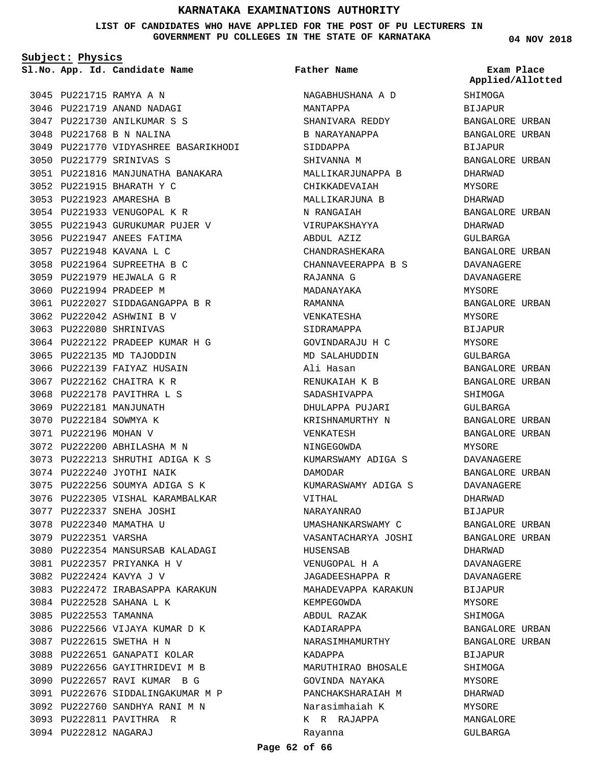**LIST OF CANDIDATES WHO HAVE APPLIED FOR THE POST OF PU LECTURERS IN GOVERNMENT PU COLLEGES IN THE STATE OF KARNATAKA**

**Subject: Physics**

**App. Id. Candidate Name Sl.No. Exam Place**

PU221715 RAMYA A N 3045

3046 PU221719 ANAND NADAGI PU221730 ANILKUMAR S S 3047 3048 PU221768 B N NALINA 3049 PU221770 VIDYASHREE BASARIKHODI 3050 PU221779 SRINIVAS S PU221816 MANJUNATHA BANAKARA 3051 PU221915 BHARATH Y C 3052 3053 PU221923 AMARESHA B 3054 PU221933 VENUGOPAL K R PU221943 GURUKUMAR PUJER V 3055 3056 PU221947 ANEES FATIMA 3057 PU221948 KAVANA L C PU221964 SUPREETHA B C 3058 3059 PU221979 HEJWALA G R 3060 PU221994 PRADEEP M PU222027 SIDDAGANGAPPA B R 3061 3062 PU222042 ASHWINI B V 3063 PU222080 SHRINIVAS 3064 PU222122 PRADEEP KUMAR H G 3065 PU222135 MD TAJODDIN 3066 PU222139 FAIYAZ HUSAIN 3067 PU222162 CHAITRA K R 3068 PU222178 PAVITHRA L S 3069 PU222181 MANJUNATH 3070 PU222184 SOWMYA K 3071 PU222196 MOHAN V PU222200 ABHILASHA M N 3072 PU222213 SHRUTHI ADIGA K S 3073 3074 PU222240 JYOTHI NAIK 3075 PU222256 SOUMYA ADIGA S K 3076 PU222305 VISHAL KARAMBALKAR 3077 PU222337 SNEHA JOSHI 3078 PU222340 MAMATHA U 3079 PU222351 VARSHA 3080 PU222354 MANSURSAB KALADAGI PU222357 PRIYANKA H V 3081 PU222424 KAVYA J V 3082 3083 PU222472 IRABASAPPA KARAKUN 3084 PU222528 SAHANA L K 3085 PU222553 TAMANNA 3086 PU222566 VIJAYA KUMAR D K PU222615 SWETHA H N 3087 3088 PU222651 GANAPATI KOLAR 3089 PU222656 GAYITHRIDEVI M B 3090 PU222657 RAVI KUMAR B G PU222676 SIDDALINGAKUMAR M P 3091 PU222760 SANDHYA RANI M N 3092 3093 PU222811 PAVITHRA R 3094 PU222812 NAGARAJ

NAGABHUSHANA A D MANTAPPA SHANIVARA REDDY B NARAYANAPPA SIDDAPPA SHIVANNA M MALLIKARJUNAPPA B CHIKKADEVAIAH MALLIKARJUNA B N RANGAIAH VIRUPAKSHAYYA ABDUL AZIZ CHANDRASHEKARA CHANNAVEERAPPA B S RAJANNA G MADANAYAKA RAMANNA VENKATESHA SIDRAMAPPA GOVINDARAJU H C MD SALAHUDDIN Ali Hasan RENUKAIAH K B SADASHIVAPPA DHULAPPA PUJARI KRISHNAMURTHY N VENKATESH NINGEGOWDA KUMARSWAMY ADIGA S DAMODAR KUMARASWAMY ADIGA S VITHAL NARAYANRAO UMASHANKARSWAMY C VASANTACHARYA JOSHI HUSENSAB VENUGOPAL H A JAGADEESHAPPA R MAHADEVAPPA KARAKUN KEMPEGOWDA ABDUL RAZAK KADIARAPPA NARASIMHAMURTHY KADAPPA MARUTHIRAO BHOSALE GOVINDA NAYAKA PANCHAKSHARAIAH M Narasimhaiah K K R RAJAPPA Rayanna **Father Name**

**04 NOV 2018**

SHIMOGA BIJAPUR BANGALORE URBAN BANGALORE URBAN BIJAPUR BANGALORE URBAN DHARWAD MYSORE DHARWAD BANGALORE URBAN DHARWAD GULBARGA BANGALORE URBAN DAVANAGERE DAVANAGERE MYSORE BANGALORE URBAN MYSORE BIJAPUR MYSORE GULBARGA BANGALORE URBAN BANGALORE URBAN SHIMOGA GULBARGA BANGALORE URBAN BANGALORE URBAN MYSORE DAVANAGERE BANGALORE URBAN DAVANAGERE DHARWAD BIJAPUR BANGALORE URBAN BANGALORE URBAN DHARWAD DAVANAGERE DAVANAGERE BIJAPUR MYSORE SHIMOGA BANGALORE URBAN BANGALORE URBAN **BIJAPUR SHIMOGA** MYSORE DHARWAD MYSORE MANGALORE GULBARGA **Applied/Allotted**

### **Page 62 of 66**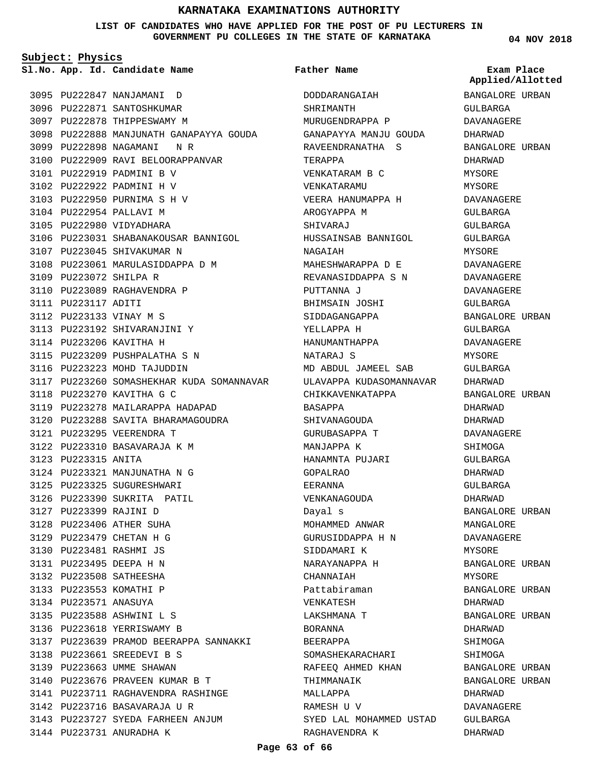**LIST OF CANDIDATES WHO HAVE APPLIED FOR THE POST OF PU LECTURERS IN GOVERNMENT PU COLLEGES IN THE STATE OF KARNATAKA**

**Subject: Physics**

**App. Id. Candidate Name Sl.No. Exam Place**

3095 PU222847 NANJAMANI D 3096 PU222871 SANTOSHKUMAR 3097 PU222878 THIPPESWAMY M 3098 PU222888 MANJUNATH GANAPAYYA GOUDA 3099 PU222898 NAGAMANI N R 3100 PU222909 RAVI BELOORAPPANVAR 3101 PU222919 PADMINI B V 3102 PU222922 PADMINI H V PU222950 PURNIMA S H V 3103 3104 PU222954 PALLAVI M 3105 PU222980 VIDYADHARA 3106 PU223031 SHABANAKOUSAR BANNIGOL 3107 PU223045 SHIVAKUMAR N 3108 PU223061 MARULASIDDAPPA D M 3109 PU223072 SHILPA R 3110 PU223089 RAGHAVENDRA P 3111 PU223117 ADITI 3112 PU223133 VINAY M S 3113 PU223192 SHIVARANJINI Y 3114 PU223206 KAVITHA H 3115 PU223209 PUSHPALATHA S N 3116 PU223223 MOHD TAJUDDIN 3117 PU223260 SOMASHEKHAR KUDA SOMANNAVAR 3118 PU223270 KAVITHA G C 3119 PU223278 MAILARAPPA HADAPAD PU223288 SAVITA BHARAMAGOUDRA 3120 PU223295 VEERENDRA T 3121 3122 PU223310 BASAVARAJA K M 3123 PU223315 ANITA 3124 PU223321 MANJUNATHA N G 3125 PU223325 SUGURESHWARI 3126 PU223390 SUKRITA PATIL PU223399 RAJINI D 3127 PU223406 ATHER SUHA 3128 PU223479 CHETAN H G 3129 PU223481 RASHMI JS 3130 PU223495 DEEPA H N 3131 PU223508 SATHEESHA 3132 3133 PU223553 KOMATHI P 3134 PU223571 ANASUYA PU223588 ASHWINI L S 3135 3136 PU223618 YERRISWAMY B 3137 PU223639 PRAMOD BEERAPPA SANNAKKI PU223661 SREEDEVI B S 3138 3139 PU223663 UMME SHAWAN PU223676 PRAVEEN KUMAR B T 3140 PU223711 RAGHAVENDRA RASHINGE 3141 3142 PU223716 BASAVARAJA U R 3143 PU223727 SYEDA FARHEEN ANJUM 3144 PU223731 ANURADHA K

### **Father Name**

DODDARANGAIAH SHRIMANTH MURUGENDRAPPA P GANAPAYYA MANJU GOUDA RAVEENDRANATHA S TERAPPA VENKATARAM B C VENKATARAMU VEERA HANUMAPPA H AROGYAPPA M SHIVARAJ HUSSAINSAB BANNIGOL NAGAIAH MAHESHWARAPPA D E REVANASIDDAPPA S N PUTTANNA J BHIMSAIN JOSHI SIDDAGANGAPPA YELLAPPA H HANUMANTHAPPA NATARAJ S MD ABDUL JAMEEL SAB ULAVAPPA KUDASOMANNAVAR CHIKKAVENKATAPPA BASAPPA SHIVANAGOUDA GURUBASAPPA T MANJAPPA K HANAMNTA PUJARI GOPALRAO EERANNA VENKANAGOUDA Dayal s MOHAMMED ANWAR GURUSIDDAPPA H N SIDDAMARI K NARAYANAPPA H CHANNAIAH Pattabiraman VENKATESH LAKSHMANA T BORANNA BEERAPPA SOMASHEKARACHARI RAFEEQ AHMED KHAN THIMMANAIK MALLAPPA RAMESH U V SYED LAL MOHAMMED USTAD RAGHAVENDRA K

**04 NOV 2018**

**Applied/Allotted**

BANGALORE URBAN GULBARGA DAVANAGERE DHARWAD BANGALORE URBAN DHARWAD MYSORE MYSORE DAVANAGERE GULBARGA GULBARGA GULBARGA MYSORE DAVANAGERE DAVANAGERE DAVANAGERE GULBARGA BANGALORE URBAN GULBARGA DAVANAGERE **MYSORE** GULBARGA DHARWAD BANGALORE URBAN DHARWAD DHARWAD DAVANAGERE SHIMOGA GULBARGA DHARWAD GULBARGA DHARWAD BANGALORE URBAN MANGALORE DAVANAGERE MYSORE BANGALORE URBAN MYSORE BANGALORE URBAN DHARWAD BANGALORE URBAN DHARWAD SHIMOGA SHIMOGA BANGALORE URBAN BANGALORE URBAN DHARWAD DAVANAGERE GULBARGA DHARWAD

**Page 63 of 66**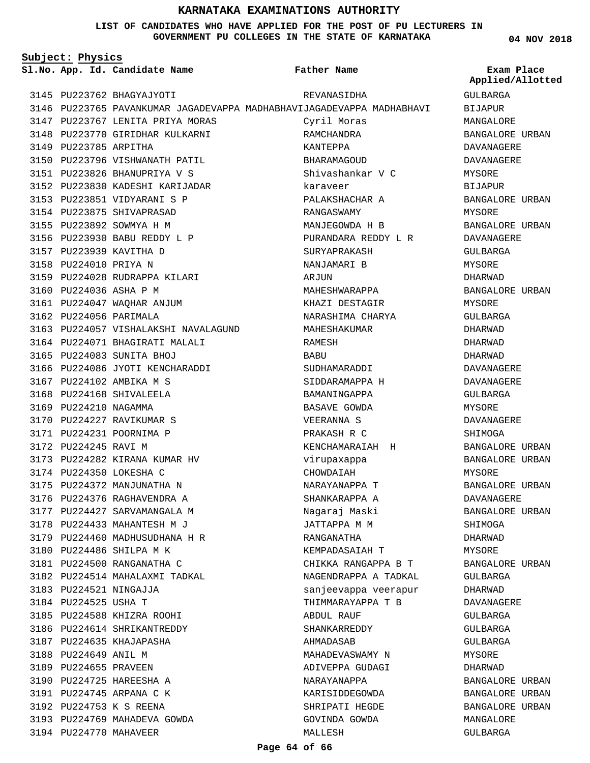**LIST OF CANDIDATES WHO HAVE APPLIED FOR THE POST OF PU LECTURERS IN GOVERNMENT PU COLLEGES IN THE STATE OF KARNATAKA**

**Subject: Physics**

**04 NOV 2018**

|                       | Sl.No. App. Id. Candidate Name                                        | Father Name                    | Exam Place<br>Applied/Allotted |
|-----------------------|-----------------------------------------------------------------------|--------------------------------|--------------------------------|
|                       | 3145 PU223762 BHAGYAJYOTI                                             | REVANASIDHA                    | GULBARGA                       |
|                       | 3146 PU223765 PAVANKUMAR JAGADEVAPPA MADHABHAVIJAGADEVAPPA MADHABHAVI |                                | BIJAPUR                        |
|                       | 3147 PU223767 LENITA PRIYA MORAS                                      | Cyril Moras                    | MANGALORE                      |
|                       | 3148 PU223770 GIRIDHAR KULKARNI                                       | RAMCHANDRA                     | BANGALORE URBAN                |
| 3149 PU223785 ARPITHA |                                                                       | KANTEPPA                       | DAVANAGERE                     |
|                       | 3150 PU223796 VISHWANATH PATIL                                        | BHARAMAGOUD                    | <b>DAVANAGERE</b>              |
|                       | 3151 PU223826 BHANUPRIYA V S                                          | Shivashankar V C               | MYSORE                         |
|                       | 3152 PU223830 KADESHI KARIJADAR                                       | karaveer                       | <b>BIJAPUR</b>                 |
|                       | 3153 PU223851 VIDYARANI S P                                           | PALAKSHACHAR A                 | BANGALORE URBAN                |
|                       | 3154 PU223875 SHIVAPRASAD                                             | RANGASWAMY                     | MYSORE                         |
|                       | 3155 PU223892 SOWMYA H M                                              | MANJEGOWDA H B                 | BANGALORE URBAN                |
|                       | 3156 PU223930 BABU REDDY L P                                          | PURANDARA REDDY L R            | DAVANAGERE                     |
|                       | 3157 PU223939 KAVITHA D                                               | SURYAPRAKASH                   | GULBARGA                       |
| 3158 PU224010 PRIYA N |                                                                       | NANJAMARI B                    | MYSORE                         |
|                       | 3159 PU224028 RUDRAPPA KILARI                                         | ARJUN                          | DHARWAD                        |
|                       | 3160 PU224036 ASHA P M                                                | MAHESHWARAPPA                  | BANGALORE URBAN                |
|                       | 3161 PU224047 WAQHAR ANJUM                                            | KHAZI DESTAGIR                 | MYSORE                         |
|                       | 3162 PU224056 PARIMALA                                                | NARASHIMA CHARYA               | GULBARGA                       |
|                       | 3163 PU224057 VISHALAKSHI NAVALAGUND                                  | MAHESHAKUMAR                   | DHARWAD                        |
|                       | 3164 PU224071 BHAGIRATI MALALI                                        | RAMESH                         | DHARWAD                        |
|                       | 3165 PU224083 SUNITA BHOJ                                             | BABU                           | DHARWAD                        |
|                       | 3166 PU224086 JYOTI KENCHARADDI                                       | SUDHAMARADDI                   | DAVANAGERE                     |
|                       | 3167 PU224102 AMBIKA M S                                              |                                |                                |
|                       | 3168 PU224168 SHIVALEELA                                              | SIDDARAMAPPA H<br>BAMANINGAPPA | DAVANAGERE                     |
| 3169 PU224210 NAGAMMA |                                                                       | BASAVE GOWDA                   | GULBARGA                       |
|                       | 3170 PU224227 RAVIKUMAR S                                             |                                | MYSORE                         |
|                       |                                                                       | VEERANNA S                     | DAVANAGERE                     |
|                       | 3171 PU224231 POORNIMA P                                              | PRAKASH R C                    | SHIMOGA                        |
| 3172 PU224245 RAVI M  | 3173 PU224282 KIRANA KUMAR HV                                         | KENCHAMARAIAH H                | BANGALORE URBAN                |
|                       | 3174 PU224350 LOKESHA C                                               | virupaxappa                    | BANGALORE URBAN                |
|                       |                                                                       | CHOWDAIAH                      | MYSORE                         |
|                       | 3175 PU224372 MANJUNATHA N<br>3176 PU224376 RAGHAVENDRA A             | NARAYANAPPA T                  | BANGALORE URBAN                |
|                       |                                                                       | SHANKARAPPA A                  | DAVANAGERE                     |
|                       | 3177 PU224427 SARVAMANGALA M<br>3178 PU224433 MAHANTESH M J           | Naqaraj Maski                  | BANGALORE URBAN                |
|                       |                                                                       | ЈАТТАРРА М М                   | SHIMOGA                        |
|                       | 3179 PU224460 MADHUSUDHANA H R                                        | RANGANATHA                     | DHARWAD                        |
|                       | 3180 PU224486 SHILPA M K                                              | KEMPADASAIAH T                 | MYSORE                         |
|                       | 3181 PU224500 RANGANATHA C                                            | CHIKKA RANGAPPA B T            | BANGALORE URBAN                |
|                       | 3182 PU224514 MAHALAXMI TADKAL                                        | NAGENDRAPPA A TADKAL           | GULBARGA                       |
|                       | 3183 PU224521 NINGAJJA                                                | sanjeevappa veerapur           | DHARWAD                        |
| 3184 PU224525 USHA T  |                                                                       | THIMMARAYAPPA T B              | DAVANAGERE                     |
|                       | 3185 PU224588 KHIZRA ROOHI                                            | ABDUL RAUF                     | GULBARGA                       |
|                       | 3186 PU224614 SHRIKANTREDDY                                           | SHANKARREDDY                   | GULBARGA                       |
|                       | 3187 PU224635 KHAJAPASHA                                              | AHMADASAB                      | GULBARGA                       |
| 3188 PU224649 ANIL M  |                                                                       | MAHADEVASWAMY N                | MYSORE                         |
| 3189 PU224655 PRAVEEN |                                                                       | ADIVEPPA GUDAGI                | DHARWAD                        |
|                       | 3190 PU224725 HAREESHA A                                              | NARAYANAPPA                    | BANGALORE URBAN                |
|                       | 3191 PU224745 ARPANA C K                                              | KARISIDDEGOWDA                 | BANGALORE URBAN                |
|                       | 3192 PU224753 K S REENA<br>3193 PU224769 MAHADEVA GOWDA               | SHRIPATI HEGDE                 | BANGALORE URBAN                |
|                       |                                                                       | GOVINDA GOWDA                  | MANGALORE                      |
|                       | 3194 PU224770 MAHAVEER                                                | MALLESH                        | GULBARGA                       |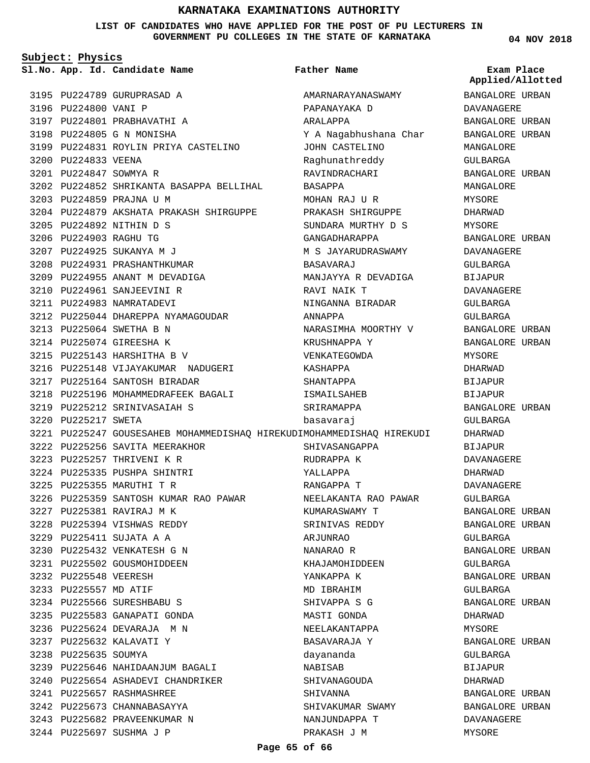**LIST OF CANDIDATES WHO HAVE APPLIED FOR THE POST OF PU LECTURERS IN GOVERNMENT PU COLLEGES IN THE STATE OF KARNATAKA**

**Subject: Physics**

**App. Id. Candidate Name Sl.No. Exam Place**

3195 PU224789 GURUPRASAD A

3197 PU224801 PRABHAVATHI A 3198 PU224805 G N MONISHA

3199 PU224831 ROYLIN PRIYA CASTELINO

PU224852 SHRIKANTA BASAPPA BELLIHAL 3202

3204 PU224879 AKSHATA PRAKASH SHIRGUPPE

3212 PU225044 DHAREPPA NYAMAGOUDAR

3216 PU225148 VIJAYAKUMAR NADUGERI

3218 PU225196 MOHAMMEDRAFEEK BAGALI

3226 PU225359 SANTOSH KUMAR RAO PAWAR

3217 PU225164 SANTOSH BIRADAR

3219 PU225212 SRINIVASAIAH S

3222 PU225256 SAVITA MEERAKHOR 3223 PU225257 THRIVENI K R 3224 PU225335 PUSHPA SHINTRI PU225355 MARUTHI T R 3225

PU225381 RAVIRAJ M K 3227 PU225394 VISHWAS REDDY 3228 PU225411 SUJATA A A 3229 PU225432 VENKATESH G N 3230 3231 PU225502 GOUSMOHIDDEEN

3232 PU225548 VEERESH 3233 PU225557 MD ATIF

3234 PU225566 SURESHBABU S 3235 PU225583 GANAPATI GONDA 3236 PU225624 DEVARAJA M N PU225632 KALAVATI Y 3237 3238 PU225635 SOUMYA

PU225657 RASHMASHREE 3241 PU225673 CHANNABASAYYA 3242 3243 PU225682 PRAVEENKUMAR N 3244 PU225697 SUSHMA J P

3239 PU225646 NAHIDAANJUM BAGALI 3240 PU225654 ASHADEVI CHANDRIKER

3220 PU225217 SWETA

3196 PU224800 VANI P

3200 PU224833 VEENA PU224847 SOWMYA R 3201

3203 PU224859 PRAJNA U M

PU224892 NITHIN D S 3205 3206 PU224903 RAGHU TG 3207 PU224925 SUKANYA M J 3208 PU224931 PRASHANTHKUMAR 3209 PU224955 ANANT M DEVADIGA 3210 PU224961 SANJEEVINI R 3211 PU224983 NAMRATADEVI

PU225064 SWETHA B N 3213 3214 PU225074 GIREESHA K PU225143 HARSHITHA B V 3215 **Father Name**

3221 PU225247 GOUSESAHEB MOHAMMEDISHAQ HIREKUDIMOHAMMEDISHAQ HIREKUDI AMARNARAYANASWAMY PAPANAYAKA D ARALAPPA Y A Nagabhushana Char JOHN CASTELINO Raghunathreddy RAVINDRACHARI BASAPPA MOHAN RAJ UR PRAKASH SHIRGUPPE SUNDARA MURTHY D S GANGADHARAPPA M S JAYARUDRASWAMY BASAVARAJ MANJAYYA R DEVADIGA RAVI NAIK T NINGANNA BIRADAR ANNAPPA NARASIMHA MOORTHY V KRUSHNAPPA Y VENKATEGOWDA KASHAPPA SHANTAPPA ISMAILSAHEB SRIRAMAPPA basavaraj SHIVASANGAPPA RUDRAPPA K YALLAPPA RANGAPPA T NEELAKANTA RAO PAWAR KUMARASWAMY T SRINIVAS REDDY ARJUNRAO NANARAO R KHAJAMOHIDDEEN YANKAPPA K MD IBRAHIM SHIVAPPA S G MASTI GONDA NEELAKANTAPPA BASAVARAJA Y dayananda NABISAB SHIVANAGOUDA SHIVANNA SHIVAKUMAR SWAMY NANJUNDAPPA T PRAKASH J M

**04 NOV 2018**

# **Applied/Allotted**

BANGALORE URBAN DAVANAGERE BANGALORE URBAN BANGALORE URBAN MANGALORE GULBARGA BANGALORE URBAN MANGALORE MYSORE DHARWAD MYSORE BANGALORE URBAN DAVANAGERE GULBARGA BIJAPUR DAVANAGERE GULBARGA GULBARGA BANGALORE URBAN BANGALORE URBAN MYSORE DHARWAD BIJAPUR BIJAPUR BANGALORE URBAN GULBARGA DHARWAD BIJAPUR DAVANAGERE DHARWAD DAVANAGERE GULBARGA BANGALORE URBAN BANGALORE URBAN GULBARGA BANGALORE URBAN GULBARGA BANGALORE URBAN GULBARGA BANGALORE URBAN DHARWAD MYSORE BANGALORE URBAN GULBARGA BIJAPUR DHARWAD BANGALORE URBAN BANGALORE URBAN DAVANAGERE MYSORE